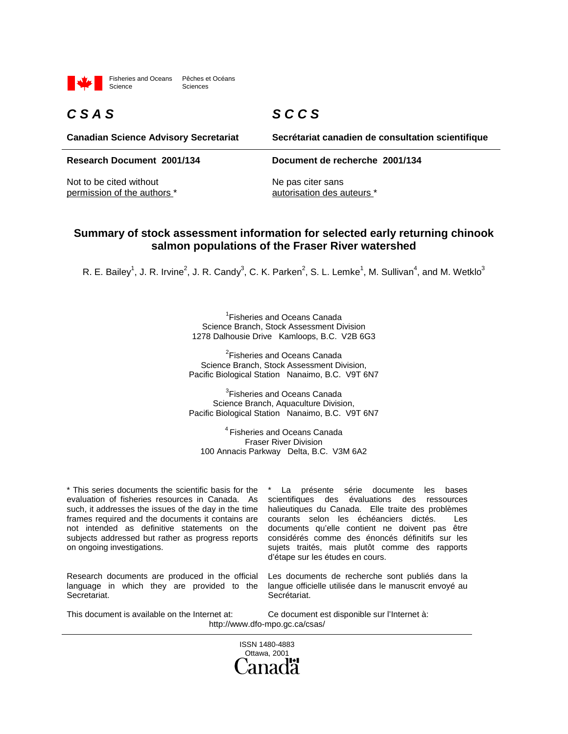

Fisheries and Oceans Pêches et Océans Sciences

## *C S A S*

*S C C S*

**Canadian Science Advisory Secretariat**

**Research Document 2001/134 Document de recherche 2001/134**

Not to be cited without permission of the authors \* **Secrétariat canadien de consultation scientifique**

Ne pas citer sans autorisation des auteurs \*

#### **Summary of stock assessment information for selected early returning chinook salmon populations of the Fraser River watershed**

R. E. Bailey<sup>1</sup>, J. R. Irvine<sup>2</sup>, J. R. Candy<sup>3</sup>, C. K. Parken<sup>2</sup>, S. L. Lemke<sup>1</sup>, M. Sullivan<sup>4</sup>, and M. Wetklo<sup>3</sup>

<sup>1</sup> Fisheries and Oceans Canada Science Branch, Stock Assessment Division 1278 Dalhousie Drive Kamloops, B.C. V2B 6G3

<sup>2</sup>Fisheries and Oceans Canada Science Branch, Stock Assessment Division, Pacific Biological Station Nanaimo, B.C. V9T 6N7

<sup>3</sup>Fisheries and Oceans Canada Science Branch, Aquaculture Division, Pacific Biological Station Nanaimo, B.C. V9T 6N7

4 Fisheries and Oceans Canada Fraser River Division 100 Annacis Parkway Delta, B.C. V3M 6A2

\* This series documents the scientific basis for the evaluation of fisheries resources in Canada. As such, it addresses the issues of the day in the time frames required and the documents it contains are not intended as definitive statements on the subjects addressed but rather as progress reports on ongoing investigations.

Research documents are produced in the official language in which they are provided to the Secretariat.

La présente série documente les bases scientifiques des évaluations des ressources halieutiques du Canada. Elle traite des problèmes courants selon les échéanciers dictés. Les documents qu'elle contient ne doivent pas être considérés comme des énoncés définitifs sur les sujets traités, mais plutôt comme des rapports d'étape sur les études en cours.

Les documents de recherche sont publiés dans la langue officielle utilisée dans le manuscrit envoyé au Secrétariat.

This document is available on the Internet at: Ce document est disponible sur l'Internet à: http://www.dfo-mpo.gc.ca/csas/

> ISSN 1480-4883 Ottawa, 2001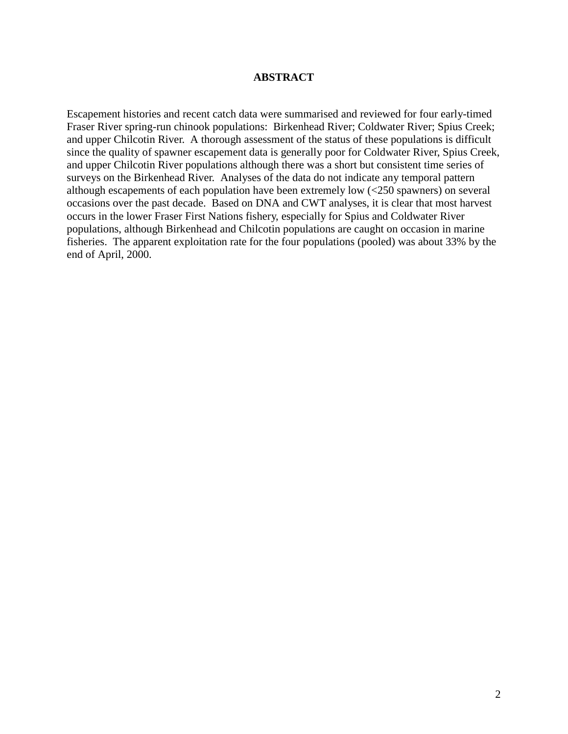#### **ABSTRACT**

Escapement histories and recent catch data were summarised and reviewed for four early-timed Fraser River spring-run chinook populations: Birkenhead River; Coldwater River; Spius Creek; and upper Chilcotin River. A thorough assessment of the status of these populations is difficult since the quality of spawner escapement data is generally poor for Coldwater River, Spius Creek, and upper Chilcotin River populations although there was a short but consistent time series of surveys on the Birkenhead River. Analyses of the data do not indicate any temporal pattern although escapements of each population have been extremely low (<250 spawners) on several occasions over the past decade. Based on DNA and CWT analyses, it is clear that most harvest occurs in the lower Fraser First Nations fishery, especially for Spius and Coldwater River populations, although Birkenhead and Chilcotin populations are caught on occasion in marine fisheries. The apparent exploitation rate for the four populations (pooled) was about 33% by the end of April, 2000.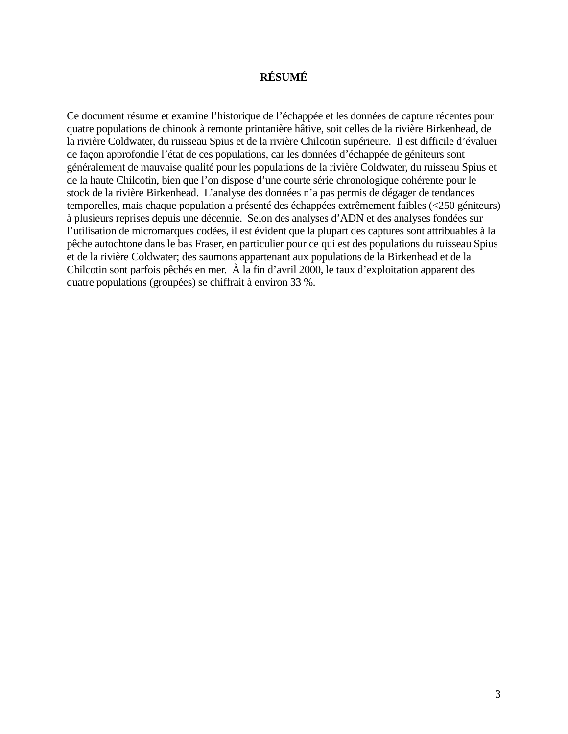#### **RÉSUMÉ**

Ce document résume et examine l'historique de l'échappée et les données de capture récentes pour quatre populations de chinook à remonte printanière hâtive, soit celles de la rivière Birkenhead, de la rivière Coldwater, du ruisseau Spius et de la rivière Chilcotin supérieure. Il est difficile d'évaluer de façon approfondie l'état de ces populations, car les données d'échappée de géniteurs sont généralement de mauvaise qualité pour les populations de la rivière Coldwater, du ruisseau Spius et de la haute Chilcotin, bien que l'on dispose d'une courte série chronologique cohérente pour le stock de la rivière Birkenhead. L'analyse des données n'a pas permis de dégager de tendances temporelles, mais chaque population a présenté des échappées extrêmement faibles (<250 géniteurs) à plusieurs reprises depuis une décennie. Selon des analyses d'ADN et des analyses fondées sur l'utilisation de micromarques codées, il est évident que la plupart des captures sont attribuables à la pêche autochtone dans le bas Fraser, en particulier pour ce qui est des populations du ruisseau Spius et de la rivière Coldwater; des saumons appartenant aux populations de la Birkenhead et de la Chilcotin sont parfois pêchés en mer. À la fin d'avril 2000, le taux d'exploitation apparent des quatre populations (groupées) se chiffrait à environ 33 %.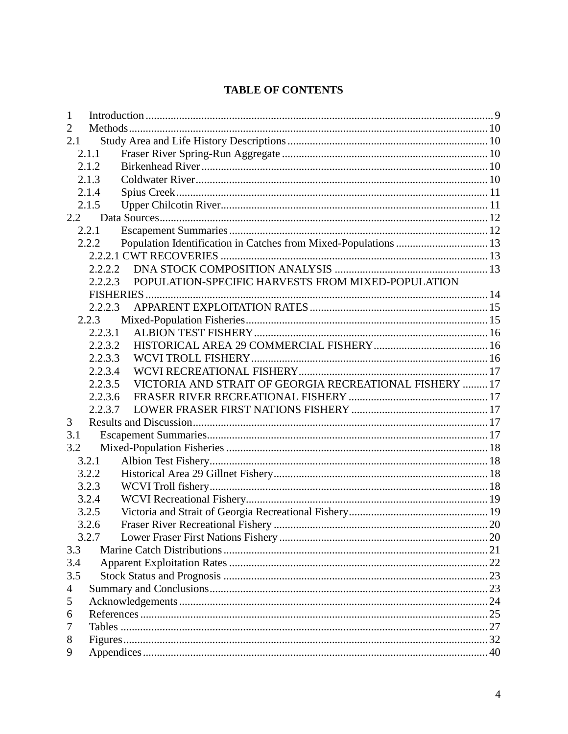## **TABLE OF CONTENTS**

| 1   |         |                                                         |  |
|-----|---------|---------------------------------------------------------|--|
| 2   |         |                                                         |  |
| 2.1 |         |                                                         |  |
|     | 2.1.1   |                                                         |  |
|     | 2.1.2   |                                                         |  |
|     | 2.1.3   |                                                         |  |
|     | 2.1.4   |                                                         |  |
|     | 2.1.5   |                                                         |  |
| 2.2 |         |                                                         |  |
|     | 2.2.1   |                                                         |  |
|     | 2.2.2   |                                                         |  |
|     |         |                                                         |  |
|     | 2.2.2.2 |                                                         |  |
|     | 2.2.2.3 | POPULATION-SPECIFIC HARVESTS FROM MIXED-POPULATION      |  |
|     |         |                                                         |  |
|     | 2.2.2.3 |                                                         |  |
|     | 2.2.3   |                                                         |  |
|     | 2.2.3.1 |                                                         |  |
|     | 2.2.3.2 |                                                         |  |
|     | 2.2.3.3 |                                                         |  |
|     | 2.2.3.4 |                                                         |  |
|     | 2.2.3.5 | VICTORIA AND STRAIT OF GEORGIA RECREATIONAL FISHERY  17 |  |
|     | 2.2.3.6 |                                                         |  |
|     | 2.2.3.7 |                                                         |  |
| 3   |         |                                                         |  |
| 3.1 |         |                                                         |  |
| 3.2 |         |                                                         |  |
|     | 3.2.1   |                                                         |  |
|     | 3.2.2   |                                                         |  |
|     | 3.2.3   |                                                         |  |
|     | 3.2.4   |                                                         |  |
|     | 3.2.5   |                                                         |  |
|     | 3.2.6   |                                                         |  |
|     | 3.2.7   |                                                         |  |
| 3.3 |         |                                                         |  |
| 3.4 |         |                                                         |  |
| 3.5 |         |                                                         |  |
| 4   |         |                                                         |  |
| 5   |         |                                                         |  |
| 6   |         |                                                         |  |
| 7   |         |                                                         |  |
| 8   |         |                                                         |  |
| 9   |         |                                                         |  |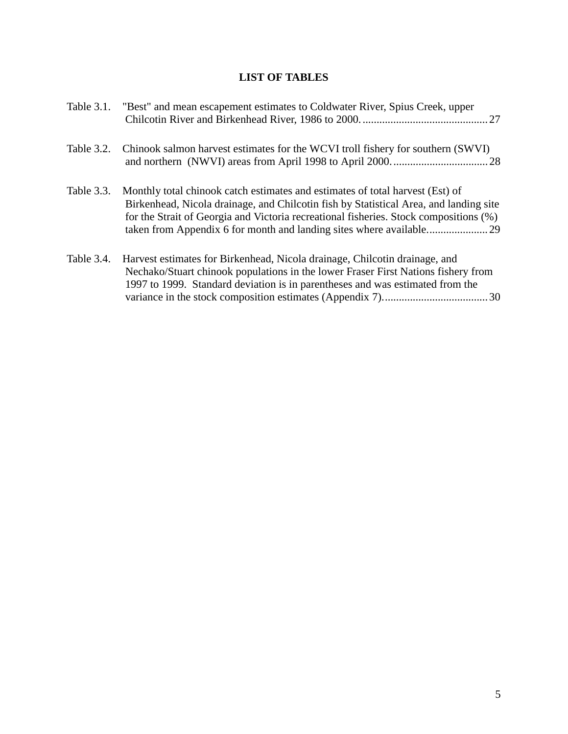## **LIST OF TABLES**

| Table 3.1. | "Best" and mean escapement estimates to Coldwater River, Spius Creek, upper                                                                                                                                                                                     |
|------------|-----------------------------------------------------------------------------------------------------------------------------------------------------------------------------------------------------------------------------------------------------------------|
| Table 3.2. | Chinook salmon harvest estimates for the WCVI troll fishery for southern (SWVI)                                                                                                                                                                                 |
| Table 3.3. | Monthly total chinook catch estimates and estimates of total harvest (Est) of<br>Birkenhead, Nicola drainage, and Chilcotin fish by Statistical Area, and landing site<br>for the Strait of Georgia and Victoria recreational fisheries. Stock compositions (%) |
| Table 3.4. | Harvest estimates for Birkenhead, Nicola drainage, Chilcotin drainage, and<br>Nechako/Stuart chinook populations in the lower Fraser First Nations fishery from<br>1997 to 1999. Standard deviation is in parentheses and was estimated from the                |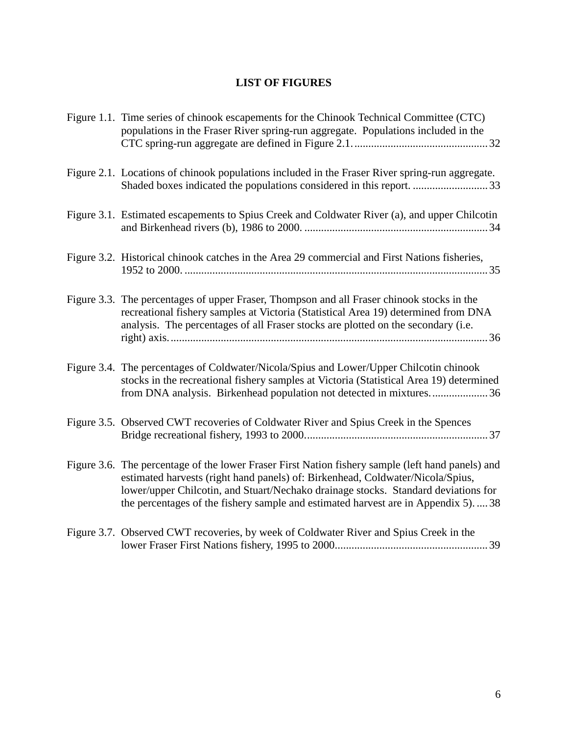## **LIST OF FIGURES**

| Figure 1.1. Time series of chinook escapements for the Chinook Technical Committee (CTC)<br>populations in the Fraser River spring-run aggregate. Populations included in the                                                                                                                                                                                    |
|------------------------------------------------------------------------------------------------------------------------------------------------------------------------------------------------------------------------------------------------------------------------------------------------------------------------------------------------------------------|
| Figure 2.1. Locations of chinook populations included in the Fraser River spring-run aggregate.                                                                                                                                                                                                                                                                  |
| Figure 3.1. Estimated escapements to Spius Creek and Coldwater River (a), and upper Chilcotin                                                                                                                                                                                                                                                                    |
| Figure 3.2. Historical chinook catches in the Area 29 commercial and First Nations fisheries,                                                                                                                                                                                                                                                                    |
| Figure 3.3. The percentages of upper Fraser, Thompson and all Fraser chinook stocks in the<br>recreational fishery samples at Victoria (Statistical Area 19) determined from DNA<br>analysis. The percentages of all Fraser stocks are plotted on the secondary (i.e.                                                                                            |
| Figure 3.4. The percentages of Coldwater/Nicola/Spius and Lower/Upper Chilcotin chinook<br>stocks in the recreational fishery samples at Victoria (Statistical Area 19) determined<br>from DNA analysis. Birkenhead population not detected in mixtures36                                                                                                        |
| Figure 3.5. Observed CWT recoveries of Coldwater River and Spius Creek in the Spences                                                                                                                                                                                                                                                                            |
| Figure 3.6. The percentage of the lower Fraser First Nation fishery sample (left hand panels) and<br>estimated harvests (right hand panels) of: Birkenhead, Coldwater/Nicola/Spius,<br>lower/upper Chilcotin, and Stuart/Nechako drainage stocks. Standard deviations for<br>the percentages of the fishery sample and estimated harvest are in Appendix 5).  38 |
| Figure 3.7. Observed CWT recoveries, by week of Coldwater River and Spius Creek in the                                                                                                                                                                                                                                                                           |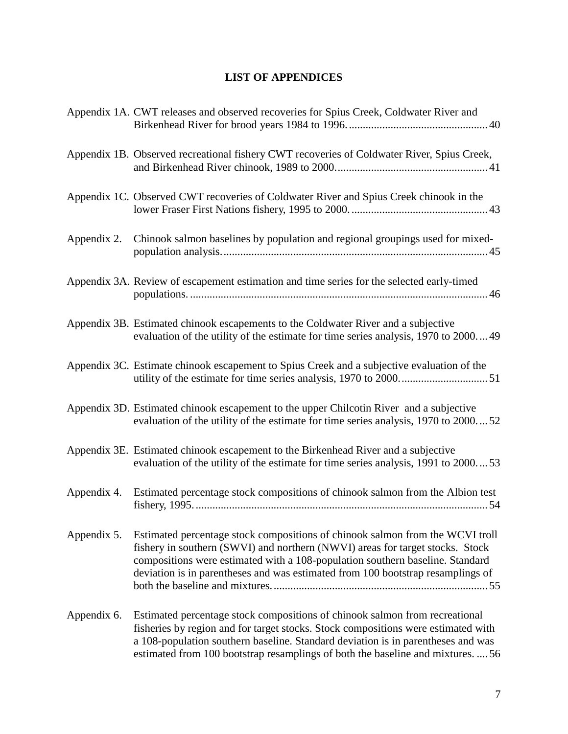## **LIST OF APPENDICES**

|             | Appendix 1A. CWT releases and observed recoveries for Spius Creek, Coldwater River and                                                                                                                                                                                                                                                  |
|-------------|-----------------------------------------------------------------------------------------------------------------------------------------------------------------------------------------------------------------------------------------------------------------------------------------------------------------------------------------|
|             | Appendix 1B. Observed recreational fishery CWT recoveries of Coldwater River, Spius Creek,                                                                                                                                                                                                                                              |
|             | Appendix 1C. Observed CWT recoveries of Coldwater River and Spius Creek chinook in the                                                                                                                                                                                                                                                  |
| Appendix 2. | Chinook salmon baselines by population and regional groupings used for mixed-                                                                                                                                                                                                                                                           |
|             | Appendix 3A. Review of escapement estimation and time series for the selected early-timed                                                                                                                                                                                                                                               |
|             | Appendix 3B. Estimated chinook escapements to the Coldwater River and a subjective<br>evaluation of the utility of the estimate for time series analysis, 1970 to 2000 49                                                                                                                                                               |
|             | Appendix 3C. Estimate chinook escapement to Spius Creek and a subjective evaluation of the                                                                                                                                                                                                                                              |
|             | Appendix 3D. Estimated chinook escapement to the upper Chilcotin River and a subjective<br>evaluation of the utility of the estimate for time series analysis, 1970 to 200052                                                                                                                                                           |
|             | Appendix 3E. Estimated chinook escapement to the Birkenhead River and a subjective<br>evaluation of the utility of the estimate for time series analysis, 1991 to 200053                                                                                                                                                                |
| Appendix 4. | Estimated percentage stock compositions of chinook salmon from the Albion test                                                                                                                                                                                                                                                          |
| Appendix 5. | Estimated percentage stock compositions of chinook salmon from the WCVI troll<br>fishery in southern (SWVI) and northern (NWVI) areas for target stocks. Stock<br>compositions were estimated with a 108-population southern baseline. Standard<br>deviation is in parentheses and was estimated from 100 bootstrap resamplings of      |
| Appendix 6. | Estimated percentage stock compositions of chinook salmon from recreational<br>fisheries by region and for target stocks. Stock compositions were estimated with<br>a 108-population southern baseline. Standard deviation is in parentheses and was<br>estimated from 100 bootstrap resamplings of both the baseline and mixtures.  56 |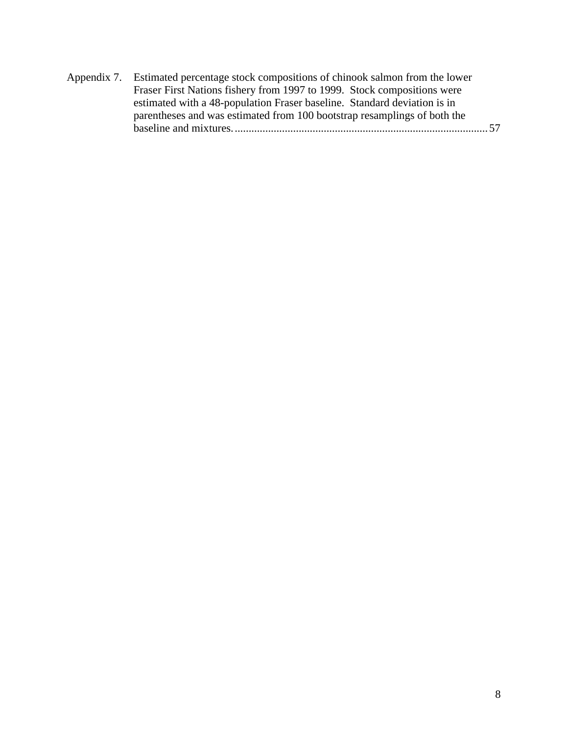| Appendix 7. Estimated percentage stock compositions of chinook salmon from the lower |
|--------------------------------------------------------------------------------------|
| Fraser First Nations fishery from 1997 to 1999. Stock compositions were              |
| estimated with a 48-population Fraser baseline. Standard deviation is in             |
| parentheses and was estimated from 100 bootstrap resamplings of both the             |
| - 57                                                                                 |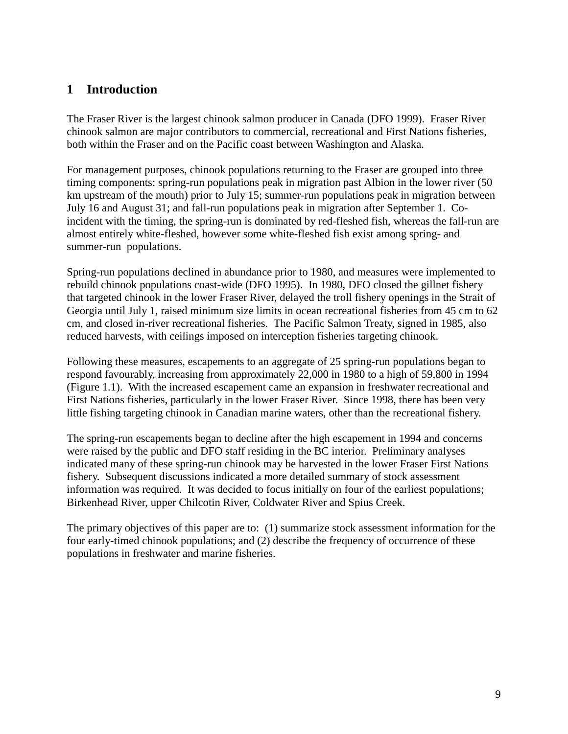## **1 Introduction**

The Fraser River is the largest chinook salmon producer in Canada (DFO 1999). Fraser River chinook salmon are major contributors to commercial, recreational and First Nations fisheries, both within the Fraser and on the Pacific coast between Washington and Alaska.

For management purposes, chinook populations returning to the Fraser are grouped into three timing components: spring-run populations peak in migration past Albion in the lower river (50 km upstream of the mouth) prior to July 15; summer-run populations peak in migration between July 16 and August 31; and fall-run populations peak in migration after September 1. Coincident with the timing, the spring-run is dominated by red-fleshed fish, whereas the fall-run are almost entirely white-fleshed, however some white-fleshed fish exist among spring- and summer-run populations.

Spring-run populations declined in abundance prior to 1980, and measures were implemented to rebuild chinook populations coast-wide (DFO 1995). In 1980, DFO closed the gillnet fishery that targeted chinook in the lower Fraser River, delayed the troll fishery openings in the Strait of Georgia until July 1, raised minimum size limits in ocean recreational fisheries from 45 cm to 62 cm, and closed in-river recreational fisheries. The Pacific Salmon Treaty, signed in 1985, also reduced harvests, with ceilings imposed on interception fisheries targeting chinook.

Following these measures, escapements to an aggregate of 25 spring-run populations began to respond favourably, increasing from approximately 22,000 in 1980 to a high of 59,800 in 1994 (Figure 1.1). With the increased escapement came an expansion in freshwater recreational and First Nations fisheries, particularly in the lower Fraser River. Since 1998, there has been very little fishing targeting chinook in Canadian marine waters, other than the recreational fishery.

The spring-run escapements began to decline after the high escapement in 1994 and concerns were raised by the public and DFO staff residing in the BC interior. Preliminary analyses indicated many of these spring-run chinook may be harvested in the lower Fraser First Nations fishery. Subsequent discussions indicated a more detailed summary of stock assessment information was required. It was decided to focus initially on four of the earliest populations; Birkenhead River, upper Chilcotin River, Coldwater River and Spius Creek.

The primary objectives of this paper are to: (1) summarize stock assessment information for the four early-timed chinook populations; and (2) describe the frequency of occurrence of these populations in freshwater and marine fisheries.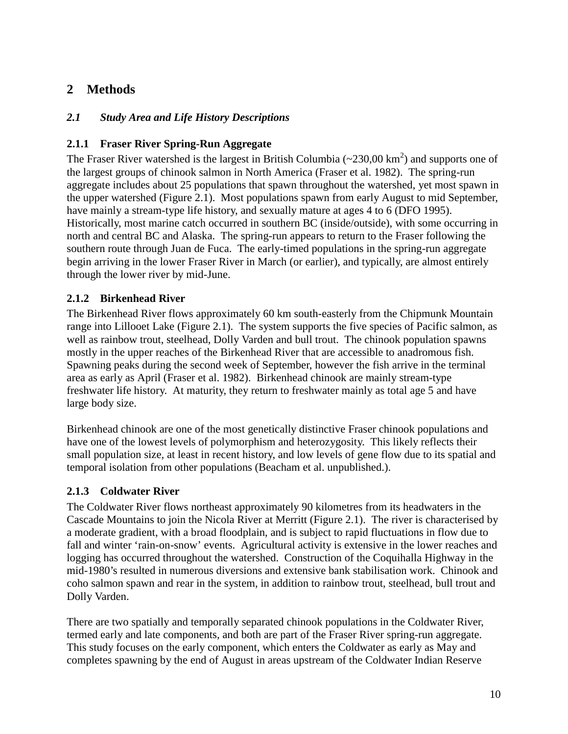## **2 Methods**

#### *2.1 Study Area and Life History Descriptions*

#### **2.1.1 Fraser River Spring-Run Aggregate**

The Fraser River watershed is the largest in British Columbia  $(\sim 230,00 \text{ km}^2)$  and supports one of the largest groups of chinook salmon in North America (Fraser et al. 1982). The spring-run aggregate includes about 25 populations that spawn throughout the watershed, yet most spawn in the upper watershed (Figure 2.1). Most populations spawn from early August to mid September, have mainly a stream-type life history, and sexually mature at ages 4 to 6 (DFO 1995). Historically, most marine catch occurred in southern BC (inside/outside), with some occurring in north and central BC and Alaska. The spring-run appears to return to the Fraser following the southern route through Juan de Fuca. The early-timed populations in the spring-run aggregate begin arriving in the lower Fraser River in March (or earlier), and typically, are almost entirely through the lower river by mid-June.

#### **2.1.2 Birkenhead River**

The Birkenhead River flows approximately 60 km south-easterly from the Chipmunk Mountain range into Lillooet Lake (Figure 2.1). The system supports the five species of Pacific salmon, as well as rainbow trout, steelhead, Dolly Varden and bull trout. The chinook population spawns mostly in the upper reaches of the Birkenhead River that are accessible to anadromous fish. Spawning peaks during the second week of September, however the fish arrive in the terminal area as early as April (Fraser et al. 1982). Birkenhead chinook are mainly stream-type freshwater life history. At maturity, they return to freshwater mainly as total age 5 and have large body size.

Birkenhead chinook are one of the most genetically distinctive Fraser chinook populations and have one of the lowest levels of polymorphism and heterozygosity. This likely reflects their small population size, at least in recent history, and low levels of gene flow due to its spatial and temporal isolation from other populations (Beacham et al. unpublished.).

#### **2.1.3 Coldwater River**

The Coldwater River flows northeast approximately 90 kilometres from its headwaters in the Cascade Mountains to join the Nicola River at Merritt (Figure 2.1). The river is characterised by a moderate gradient, with a broad floodplain, and is subject to rapid fluctuations in flow due to fall and winter 'rain-on-snow' events. Agricultural activity is extensive in the lower reaches and logging has occurred throughout the watershed. Construction of the Coquihalla Highway in the mid-1980's resulted in numerous diversions and extensive bank stabilisation work. Chinook and coho salmon spawn and rear in the system, in addition to rainbow trout, steelhead, bull trout and Dolly Varden.

There are two spatially and temporally separated chinook populations in the Coldwater River, termed early and late components, and both are part of the Fraser River spring-run aggregate. This study focuses on the early component, which enters the Coldwater as early as May and completes spawning by the end of August in areas upstream of the Coldwater Indian Reserve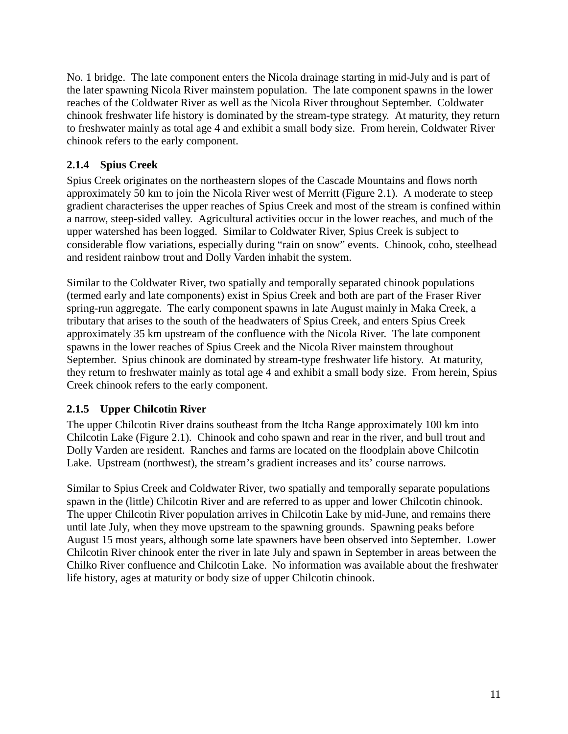No. 1 bridge. The late component enters the Nicola drainage starting in mid-July and is part of the later spawning Nicola River mainstem population. The late component spawns in the lower reaches of the Coldwater River as well as the Nicola River throughout September. Coldwater chinook freshwater life history is dominated by the stream-type strategy. At maturity, they return to freshwater mainly as total age 4 and exhibit a small body size. From herein, Coldwater River chinook refers to the early component.

#### **2.1.4 Spius Creek**

Spius Creek originates on the northeastern slopes of the Cascade Mountains and flows north approximately 50 km to join the Nicola River west of Merritt (Figure 2.1). A moderate to steep gradient characterises the upper reaches of Spius Creek and most of the stream is confined within a narrow, steep-sided valley. Agricultural activities occur in the lower reaches, and much of the upper watershed has been logged. Similar to Coldwater River, Spius Creek is subject to considerable flow variations, especially during "rain on snow" events. Chinook, coho, steelhead and resident rainbow trout and Dolly Varden inhabit the system.

Similar to the Coldwater River, two spatially and temporally separated chinook populations (termed early and late components) exist in Spius Creek and both are part of the Fraser River spring-run aggregate. The early component spawns in late August mainly in Maka Creek, a tributary that arises to the south of the headwaters of Spius Creek, and enters Spius Creek approximately 35 km upstream of the confluence with the Nicola River. The late component spawns in the lower reaches of Spius Creek and the Nicola River mainstem throughout September. Spius chinook are dominated by stream-type freshwater life history. At maturity, they return to freshwater mainly as total age 4 and exhibit a small body size. From herein, Spius Creek chinook refers to the early component.

#### **2.1.5 Upper Chilcotin River**

The upper Chilcotin River drains southeast from the Itcha Range approximately 100 km into Chilcotin Lake (Figure 2.1). Chinook and coho spawn and rear in the river, and bull trout and Dolly Varden are resident. Ranches and farms are located on the floodplain above Chilcotin Lake. Upstream (northwest), the stream's gradient increases and its' course narrows.

Similar to Spius Creek and Coldwater River, two spatially and temporally separate populations spawn in the (little) Chilcotin River and are referred to as upper and lower Chilcotin chinook. The upper Chilcotin River population arrives in Chilcotin Lake by mid-June, and remains there until late July, when they move upstream to the spawning grounds. Spawning peaks before August 15 most years, although some late spawners have been observed into September. Lower Chilcotin River chinook enter the river in late July and spawn in September in areas between the Chilko River confluence and Chilcotin Lake. No information was available about the freshwater life history, ages at maturity or body size of upper Chilcotin chinook.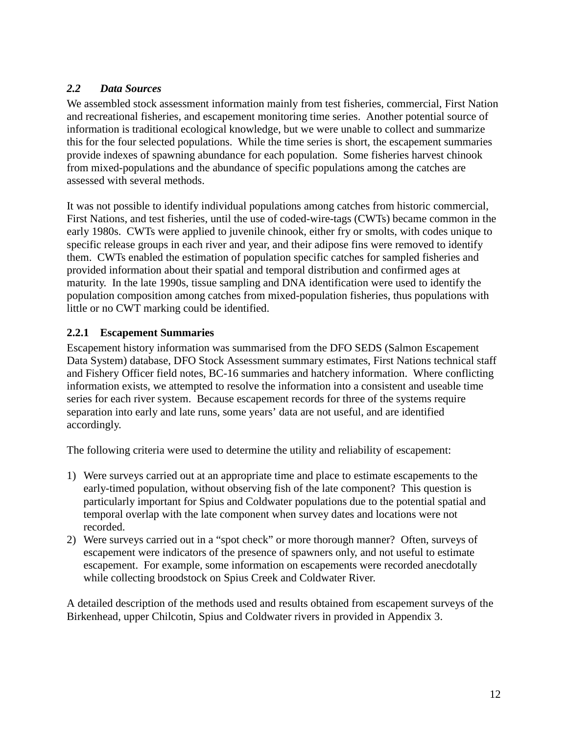#### *2.2 Data Sources*

We assembled stock assessment information mainly from test fisheries, commercial, First Nation and recreational fisheries, and escapement monitoring time series. Another potential source of information is traditional ecological knowledge, but we were unable to collect and summarize this for the four selected populations. While the time series is short, the escapement summaries provide indexes of spawning abundance for each population. Some fisheries harvest chinook from mixed-populations and the abundance of specific populations among the catches are assessed with several methods.

It was not possible to identify individual populations among catches from historic commercial, First Nations, and test fisheries, until the use of coded-wire-tags (CWTs) became common in the early 1980s. CWTs were applied to juvenile chinook, either fry or smolts, with codes unique to specific release groups in each river and year, and their adipose fins were removed to identify them. CWTs enabled the estimation of population specific catches for sampled fisheries and provided information about their spatial and temporal distribution and confirmed ages at maturity. In the late 1990s, tissue sampling and DNA identification were used to identify the population composition among catches from mixed-population fisheries, thus populations with little or no CWT marking could be identified.

#### **2.2.1 Escapement Summaries**

Escapement history information was summarised from the DFO SEDS (Salmon Escapement Data System) database, DFO Stock Assessment summary estimates, First Nations technical staff and Fishery Officer field notes, BC-16 summaries and hatchery information. Where conflicting information exists, we attempted to resolve the information into a consistent and useable time series for each river system. Because escapement records for three of the systems require separation into early and late runs, some years' data are not useful, and are identified accordingly.

The following criteria were used to determine the utility and reliability of escapement:

- 1) Were surveys carried out at an appropriate time and place to estimate escapements to the early-timed population, without observing fish of the late component? This question is particularly important for Spius and Coldwater populations due to the potential spatial and temporal overlap with the late component when survey dates and locations were not recorded.
- 2) Were surveys carried out in a "spot check" or more thorough manner? Often, surveys of escapement were indicators of the presence of spawners only, and not useful to estimate escapement. For example, some information on escapements were recorded anecdotally while collecting broodstock on Spius Creek and Coldwater River.

A detailed description of the methods used and results obtained from escapement surveys of the Birkenhead, upper Chilcotin, Spius and Coldwater rivers in provided in Appendix 3.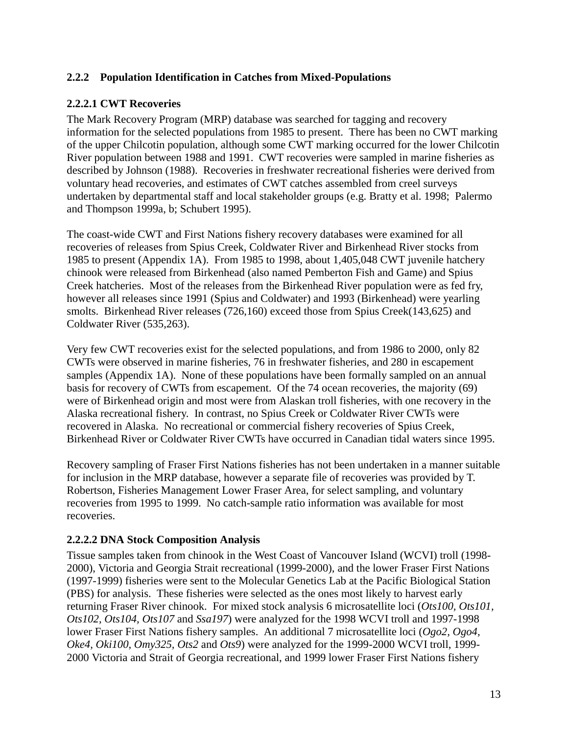#### **2.2.2 Population Identification in Catches from Mixed-Populations**

#### **2.2.2.1 CWT Recoveries**

The Mark Recovery Program (MRP) database was searched for tagging and recovery information for the selected populations from 1985 to present. There has been no CWT marking of the upper Chilcotin population, although some CWT marking occurred for the lower Chilcotin River population between 1988 and 1991. CWT recoveries were sampled in marine fisheries as described by Johnson (1988). Recoveries in freshwater recreational fisheries were derived from voluntary head recoveries, and estimates of CWT catches assembled from creel surveys undertaken by departmental staff and local stakeholder groups (e.g. Bratty et al. 1998; Palermo and Thompson 1999a, b; Schubert 1995).

The coast-wide CWT and First Nations fishery recovery databases were examined for all recoveries of releases from Spius Creek, Coldwater River and Birkenhead River stocks from 1985 to present (Appendix 1A). From 1985 to 1998, about 1,405,048 CWT juvenile hatchery chinook were released from Birkenhead (also named Pemberton Fish and Game) and Spius Creek hatcheries. Most of the releases from the Birkenhead River population were as fed fry, however all releases since 1991 (Spius and Coldwater) and 1993 (Birkenhead) were yearling smolts. Birkenhead River releases (726,160) exceed those from Spius Creek(143,625) and Coldwater River (535,263).

Very few CWT recoveries exist for the selected populations, and from 1986 to 2000, only 82 CWTs were observed in marine fisheries, 76 in freshwater fisheries, and 280 in escapement samples (Appendix 1A). None of these populations have been formally sampled on an annual basis for recovery of CWTs from escapement. Of the 74 ocean recoveries, the majority (69) were of Birkenhead origin and most were from Alaskan troll fisheries, with one recovery in the Alaska recreational fishery. In contrast, no Spius Creek or Coldwater River CWTs were recovered in Alaska. No recreational or commercial fishery recoveries of Spius Creek, Birkenhead River or Coldwater River CWTs have occurred in Canadian tidal waters since 1995.

Recovery sampling of Fraser First Nations fisheries has not been undertaken in a manner suitable for inclusion in the MRP database, however a separate file of recoveries was provided by T. Robertson, Fisheries Management Lower Fraser Area, for select sampling, and voluntary recoveries from 1995 to 1999. No catch-sample ratio information was available for most recoveries.

#### **2.2.2.2 DNA Stock Composition Analysis**

Tissue samples taken from chinook in the West Coast of Vancouver Island (WCVI) troll (1998- 2000), Victoria and Georgia Strait recreational (1999-2000), and the lower Fraser First Nations (1997-1999) fisheries were sent to the Molecular Genetics Lab at the Pacific Biological Station (PBS) for analysis. These fisheries were selected as the ones most likely to harvest early returning Fraser River chinook. For mixed stock analysis 6 microsatellite loci (*Ots100, Ots101, Ots102, Ots104, Ots107* and *Ssa197*) were analyzed for the 1998 WCVI troll and 1997-1998 lower Fraser First Nations fishery samples. An additional 7 microsatellite loci (*Ogo2, Ogo4, Oke4, Oki100, Omy325, Ots2* and *Ots9*) were analyzed for the 1999-2000 WCVI troll, 1999- 2000 Victoria and Strait of Georgia recreational, and 1999 lower Fraser First Nations fishery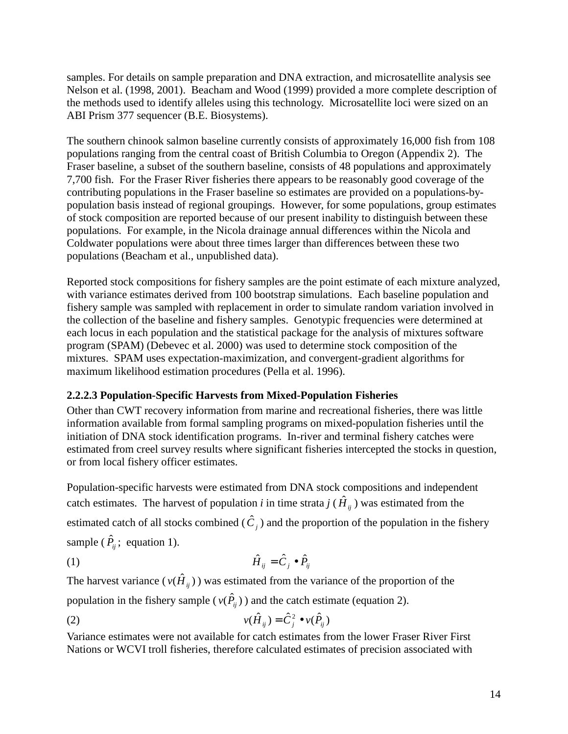samples. For details on sample preparation and DNA extraction, and microsatellite analysis see Nelson et al. (1998, 2001). Beacham and Wood (1999) provided a more complete description of the methods used to identify alleles using this technology. Microsatellite loci were sized on an ABI Prism 377 sequencer (B.E. Biosystems).

The southern chinook salmon baseline currently consists of approximately 16,000 fish from 108 populations ranging from the central coast of British Columbia to Oregon (Appendix 2). The Fraser baseline, a subset of the southern baseline, consists of 48 populations and approximately 7,700 fish. For the Fraser River fisheries there appears to be reasonably good coverage of the contributing populations in the Fraser baseline so estimates are provided on a populations-bypopulation basis instead of regional groupings. However, for some populations, group estimates of stock composition are reported because of our present inability to distinguish between these populations. For example, in the Nicola drainage annual differences within the Nicola and Coldwater populations were about three times larger than differences between these two populations (Beacham et al., unpublished data).

Reported stock compositions for fishery samples are the point estimate of each mixture analyzed, with variance estimates derived from 100 bootstrap simulations. Each baseline population and fishery sample was sampled with replacement in order to simulate random variation involved in the collection of the baseline and fishery samples. Genotypic frequencies were determined at each locus in each population and the statistical package for the analysis of mixtures software program (SPAM) (Debevec et al. 2000) was used to determine stock composition of the mixtures. SPAM uses expectation-maximization, and convergent-gradient algorithms for maximum likelihood estimation procedures (Pella et al. 1996).

#### **2.2.2.3 Population-Specific Harvests from Mixed-Population Fisheries**

Other than CWT recovery information from marine and recreational fisheries, there was little information available from formal sampling programs on mixed-population fisheries until the initiation of DNA stock identification programs. In-river and terminal fishery catches were estimated from creel survey results where significant fisheries intercepted the stocks in question, or from local fishery officer estimates.

Population-specific harvests were estimated from DNA stock compositions and independent catch estimates. The harvest of population *i* in time strata *j* (  $\hat{H}_{ij}$  ) was estimated from the estimated catch of all stocks combined  $(\hat{C}_j)$  and the proportion of the population in the fishery sample ( $\hat{P}_{ij}$ ; equation 1).

$$
\hat{H}_{ij} = \hat{C}_j \bullet \hat{P}_{ij}
$$

The harvest variance ( $v(\hat{H}_{ij})$ ) was estimated from the variance of the proportion of the

population in the fishery sample ( $v(\hat{P}_{ii})$ ) and the catch estimate (equation 2).

$$
v(\hat{H}_{ij}) = \hat{C}_j^2 \bullet v(\hat{P}_{ij})
$$

Variance estimates were not available for catch estimates from the lower Fraser River First Nations or WCVI troll fisheries, therefore calculated estimates of precision associated with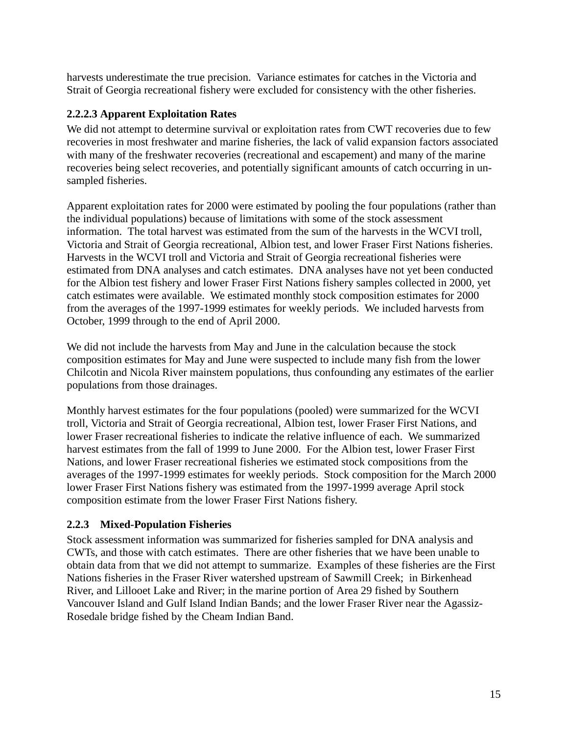harvests underestimate the true precision. Variance estimates for catches in the Victoria and Strait of Georgia recreational fishery were excluded for consistency with the other fisheries.

#### **2.2.2.3 Apparent Exploitation Rates**

We did not attempt to determine survival or exploitation rates from CWT recoveries due to few recoveries in most freshwater and marine fisheries, the lack of valid expansion factors associated with many of the freshwater recoveries (recreational and escapement) and many of the marine recoveries being select recoveries, and potentially significant amounts of catch occurring in unsampled fisheries.

Apparent exploitation rates for 2000 were estimated by pooling the four populations (rather than the individual populations) because of limitations with some of the stock assessment information. The total harvest was estimated from the sum of the harvests in the WCVI troll, Victoria and Strait of Georgia recreational, Albion test, and lower Fraser First Nations fisheries. Harvests in the WCVI troll and Victoria and Strait of Georgia recreational fisheries were estimated from DNA analyses and catch estimates. DNA analyses have not yet been conducted for the Albion test fishery and lower Fraser First Nations fishery samples collected in 2000, yet catch estimates were available. We estimated monthly stock composition estimates for 2000 from the averages of the 1997-1999 estimates for weekly periods. We included harvests from October, 1999 through to the end of April 2000.

We did not include the harvests from May and June in the calculation because the stock composition estimates for May and June were suspected to include many fish from the lower Chilcotin and Nicola River mainstem populations, thus confounding any estimates of the earlier populations from those drainages.

Monthly harvest estimates for the four populations (pooled) were summarized for the WCVI troll, Victoria and Strait of Georgia recreational, Albion test, lower Fraser First Nations, and lower Fraser recreational fisheries to indicate the relative influence of each. We summarized harvest estimates from the fall of 1999 to June 2000. For the Albion test, lower Fraser First Nations, and lower Fraser recreational fisheries we estimated stock compositions from the averages of the 1997-1999 estimates for weekly periods. Stock composition for the March 2000 lower Fraser First Nations fishery was estimated from the 1997-1999 average April stock composition estimate from the lower Fraser First Nations fishery.

#### **2.2.3 Mixed-Population Fisheries**

Stock assessment information was summarized for fisheries sampled for DNA analysis and CWTs, and those with catch estimates. There are other fisheries that we have been unable to obtain data from that we did not attempt to summarize. Examples of these fisheries are the First Nations fisheries in the Fraser River watershed upstream of Sawmill Creek; in Birkenhead River, and Lillooet Lake and River; in the marine portion of Area 29 fished by Southern Vancouver Island and Gulf Island Indian Bands; and the lower Fraser River near the Agassiz-Rosedale bridge fished by the Cheam Indian Band.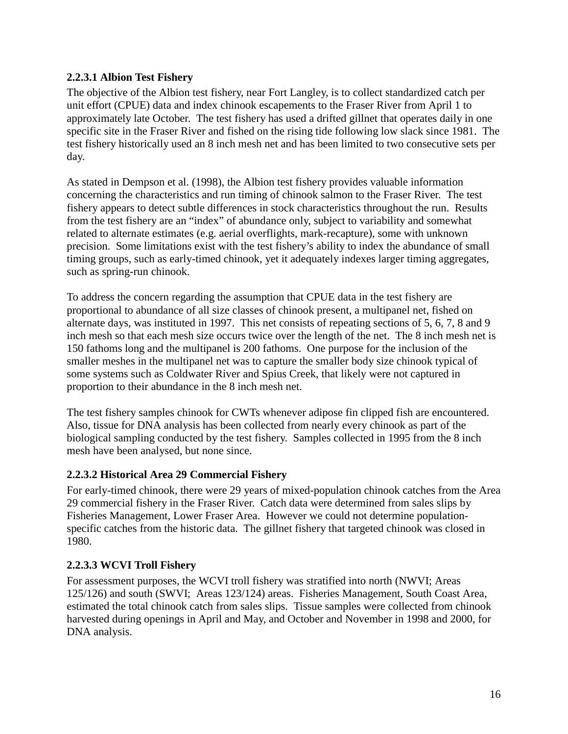#### **2.2.3.1 Albion Test Fishery**

The objective of the Albion test fishery, near Fort Langley, is to collect standardized catch per unit effort (CPUE) data and index chinook escapements to the Fraser River from April 1 to approximately late October. The test fishery has used a drifted gillnet that operates daily in one specific site in the Fraser River and fished on the rising tide following low slack since 1981. The test fishery historically used an 8 inch mesh net and has been limited to two consecutive sets per day.

As stated in Dempson et al. (1998), the Albion test fishery provides valuable information concerning the characteristics and run timing of chinook salmon to the Fraser River. The test fishery appears to detect subtle differences in stock characteristics throughout the run. Results from the test fishery are an "index" of abundance only, subject to variability and somewhat related to alternate estimates (e.g. aerial overflights, mark-recapture), some with unknown precision. Some limitations exist with the test fishery's ability to index the abundance of small timing groups, such as early-timed chinook, yet it adequately indexes larger timing aggregates, such as spring-run chinook.

To address the concern regarding the assumption that CPUE data in the test fishery are proportional to abundance of all size classes of chinook present, a multipanel net, fished on alternate days, was instituted in 1997. This net consists of repeating sections of 5, 6, 7, 8 and 9 inch mesh so that each mesh size occurs twice over the length of the net. The 8 inch mesh net is 150 fathoms long and the multipanel is 200 fathoms. One purpose for the inclusion of the smaller meshes in the multipanel net was to capture the smaller body size chinook typical of some systems such as Coldwater River and Spius Creek, that likely were not captured in proportion to their abundance in the 8 inch mesh net.

The test fishery samples chinook for CWTs whenever adipose fin clipped fish are encountered. Also, tissue for DNA analysis has been collected from nearly every chinook as part of the biological sampling conducted by the test fishery. Samples collected in 1995 from the 8 inch mesh have been analysed, but none since.

#### **2.2.3.2 Historical Area 29 Commercial Fishery**

For early-timed chinook, there were 29 years of mixed-population chinook catches from the Area 29 commercial fishery in the Fraser River. Catch data were determined from sales slips by Fisheries Management, Lower Fraser Area. However we could not determine populationspecific catches from the historic data. The gillnet fishery that targeted chinook was closed in 1980.

#### **2.2.3.3 WCVI Troll Fishery**

For assessment purposes, the WCVI troll fishery was stratified into north (NWVI; Areas 125/126) and south (SWVI; Areas 123/124) areas. Fisheries Management, South Coast Area, estimated the total chinook catch from sales slips. Tissue samples were collected from chinook harvested during openings in April and May, and October and November in 1998 and 2000, for DNA analysis.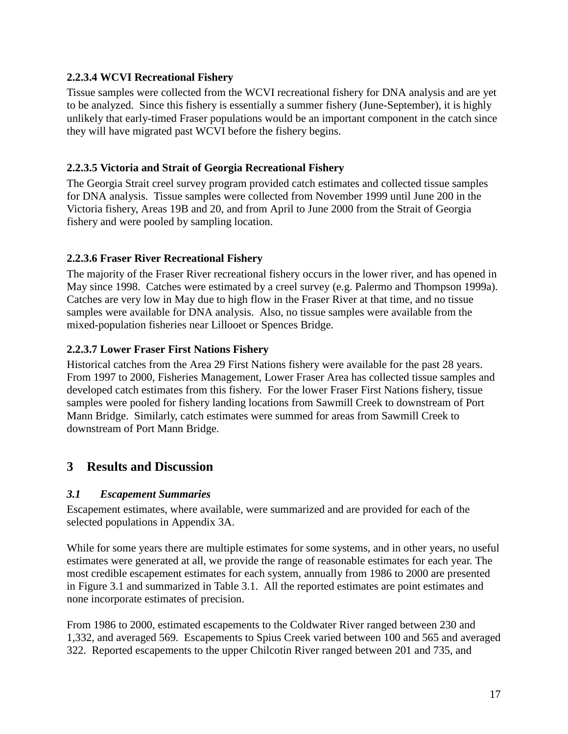#### **2.2.3.4 WCVI Recreational Fishery**

Tissue samples were collected from the WCVI recreational fishery for DNA analysis and are yet to be analyzed. Since this fishery is essentially a summer fishery (June-September), it is highly unlikely that early-timed Fraser populations would be an important component in the catch since they will have migrated past WCVI before the fishery begins.

#### **2.2.3.5 Victoria and Strait of Georgia Recreational Fishery**

The Georgia Strait creel survey program provided catch estimates and collected tissue samples for DNA analysis. Tissue samples were collected from November 1999 until June 200 in the Victoria fishery, Areas 19B and 20, and from April to June 2000 from the Strait of Georgia fishery and were pooled by sampling location.

#### **2.2.3.6 Fraser River Recreational Fishery**

The majority of the Fraser River recreational fishery occurs in the lower river, and has opened in May since 1998. Catches were estimated by a creel survey (e.g. Palermo and Thompson 1999a). Catches are very low in May due to high flow in the Fraser River at that time, and no tissue samples were available for DNA analysis. Also, no tissue samples were available from the mixed-population fisheries near Lillooet or Spences Bridge.

#### **2.2.3.7 Lower Fraser First Nations Fishery**

Historical catches from the Area 29 First Nations fishery were available for the past 28 years. From 1997 to 2000, Fisheries Management, Lower Fraser Area has collected tissue samples and developed catch estimates from this fishery. For the lower Fraser First Nations fishery, tissue samples were pooled for fishery landing locations from Sawmill Creek to downstream of Port Mann Bridge. Similarly, catch estimates were summed for areas from Sawmill Creek to downstream of Port Mann Bridge.

## **3 Results and Discussion**

#### *3.1 Escapement Summaries*

Escapement estimates, where available, were summarized and are provided for each of the selected populations in Appendix 3A.

While for some years there are multiple estimates for some systems, and in other years, no useful estimates were generated at all, we provide the range of reasonable estimates for each year. The most credible escapement estimates for each system, annually from 1986 to 2000 are presented in Figure 3.1 and summarized in Table 3.1. All the reported estimates are point estimates and none incorporate estimates of precision.

From 1986 to 2000, estimated escapements to the Coldwater River ranged between 230 and 1,332, and averaged 569. Escapements to Spius Creek varied between 100 and 565 and averaged 322. Reported escapements to the upper Chilcotin River ranged between 201 and 735, and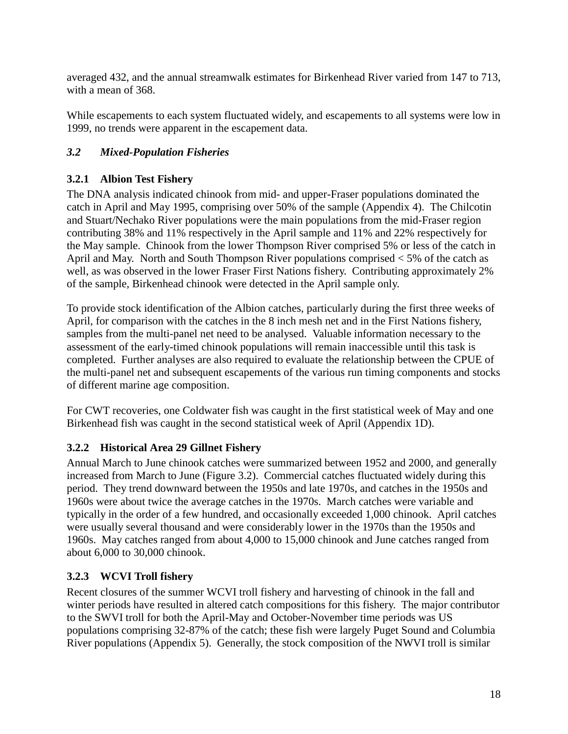averaged 432, and the annual streamwalk estimates for Birkenhead River varied from 147 to 713, with a mean of 368.

While escapements to each system fluctuated widely, and escapements to all systems were low in 1999, no trends were apparent in the escapement data.

#### *3.2 Mixed-Population Fisheries*

#### **3.2.1 Albion Test Fishery**

The DNA analysis indicated chinook from mid- and upper-Fraser populations dominated the catch in April and May 1995, comprising over 50% of the sample (Appendix 4). The Chilcotin and Stuart/Nechako River populations were the main populations from the mid-Fraser region contributing 38% and 11% respectively in the April sample and 11% and 22% respectively for the May sample. Chinook from the lower Thompson River comprised 5% or less of the catch in April and May. North and South Thompson River populations comprised < 5% of the catch as well, as was observed in the lower Fraser First Nations fishery. Contributing approximately 2% of the sample, Birkenhead chinook were detected in the April sample only.

To provide stock identification of the Albion catches, particularly during the first three weeks of April, for comparison with the catches in the 8 inch mesh net and in the First Nations fishery, samples from the multi-panel net need to be analysed. Valuable information necessary to the assessment of the early-timed chinook populations will remain inaccessible until this task is completed. Further analyses are also required to evaluate the relationship between the CPUE of the multi-panel net and subsequent escapements of the various run timing components and stocks of different marine age composition.

For CWT recoveries, one Coldwater fish was caught in the first statistical week of May and one Birkenhead fish was caught in the second statistical week of April (Appendix 1D).

#### **3.2.2 Historical Area 29 Gillnet Fishery**

Annual March to June chinook catches were summarized between 1952 and 2000, and generally increased from March to June (Figure 3.2). Commercial catches fluctuated widely during this period. They trend downward between the 1950s and late 1970s, and catches in the 1950s and 1960s were about twice the average catches in the 1970s. March catches were variable and typically in the order of a few hundred, and occasionally exceeded 1,000 chinook. April catches were usually several thousand and were considerably lower in the 1970s than the 1950s and 1960s. May catches ranged from about 4,000 to 15,000 chinook and June catches ranged from about 6,000 to 30,000 chinook.

#### **3.2.3 WCVI Troll fishery**

Recent closures of the summer WCVI troll fishery and harvesting of chinook in the fall and winter periods have resulted in altered catch compositions for this fishery. The major contributor to the SWVI troll for both the April-May and October-November time periods was US populations comprising 32-87% of the catch; these fish were largely Puget Sound and Columbia River populations (Appendix 5). Generally, the stock composition of the NWVI troll is similar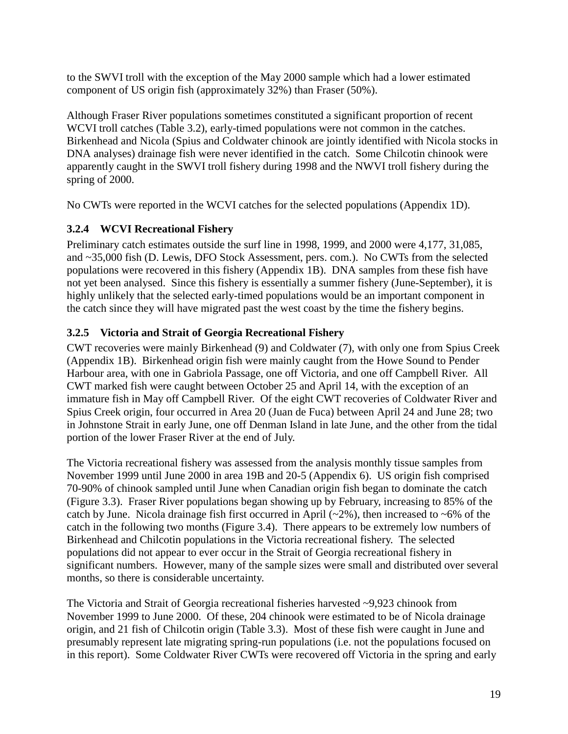to the SWVI troll with the exception of the May 2000 sample which had a lower estimated component of US origin fish (approximately 32%) than Fraser (50%).

Although Fraser River populations sometimes constituted a significant proportion of recent WCVI troll catches (Table 3.2), early-timed populations were not common in the catches. Birkenhead and Nicola (Spius and Coldwater chinook are jointly identified with Nicola stocks in DNA analyses) drainage fish were never identified in the catch. Some Chilcotin chinook were apparently caught in the SWVI troll fishery during 1998 and the NWVI troll fishery during the spring of 2000.

No CWTs were reported in the WCVI catches for the selected populations (Appendix 1D).

#### **3.2.4 WCVI Recreational Fishery**

Preliminary catch estimates outside the surf line in 1998, 1999, and 2000 were 4,177, 31,085, and ~35,000 fish (D. Lewis, DFO Stock Assessment, pers. com.). No CWTs from the selected populations were recovered in this fishery (Appendix 1B). DNA samples from these fish have not yet been analysed. Since this fishery is essentially a summer fishery (June-September), it is highly unlikely that the selected early-timed populations would be an important component in the catch since they will have migrated past the west coast by the time the fishery begins.

#### **3.2.5 Victoria and Strait of Georgia Recreational Fishery**

CWT recoveries were mainly Birkenhead (9) and Coldwater (7), with only one from Spius Creek (Appendix 1B). Birkenhead origin fish were mainly caught from the Howe Sound to Pender Harbour area, with one in Gabriola Passage, one off Victoria, and one off Campbell River. All CWT marked fish were caught between October 25 and April 14, with the exception of an immature fish in May off Campbell River. Of the eight CWT recoveries of Coldwater River and Spius Creek origin, four occurred in Area 20 (Juan de Fuca) between April 24 and June 28; two in Johnstone Strait in early June, one off Denman Island in late June, and the other from the tidal portion of the lower Fraser River at the end of July.

The Victoria recreational fishery was assessed from the analysis monthly tissue samples from November 1999 until June 2000 in area 19B and 20-5 (Appendix 6). US origin fish comprised 70-90% of chinook sampled until June when Canadian origin fish began to dominate the catch (Figure 3.3). Fraser River populations began showing up by February, increasing to 85% of the catch by June. Nicola drainage fish first occurred in April  $(\sim 2\%)$ , then increased to  $\sim 6\%$  of the catch in the following two months (Figure 3.4). There appears to be extremely low numbers of Birkenhead and Chilcotin populations in the Victoria recreational fishery. The selected populations did not appear to ever occur in the Strait of Georgia recreational fishery in significant numbers. However, many of the sample sizes were small and distributed over several months, so there is considerable uncertainty.

The Victoria and Strait of Georgia recreational fisheries harvested ~9,923 chinook from November 1999 to June 2000. Of these, 204 chinook were estimated to be of Nicola drainage origin, and 21 fish of Chilcotin origin (Table 3.3). Most of these fish were caught in June and presumably represent late migrating spring-run populations (i.e. not the populations focused on in this report). Some Coldwater River CWTs were recovered off Victoria in the spring and early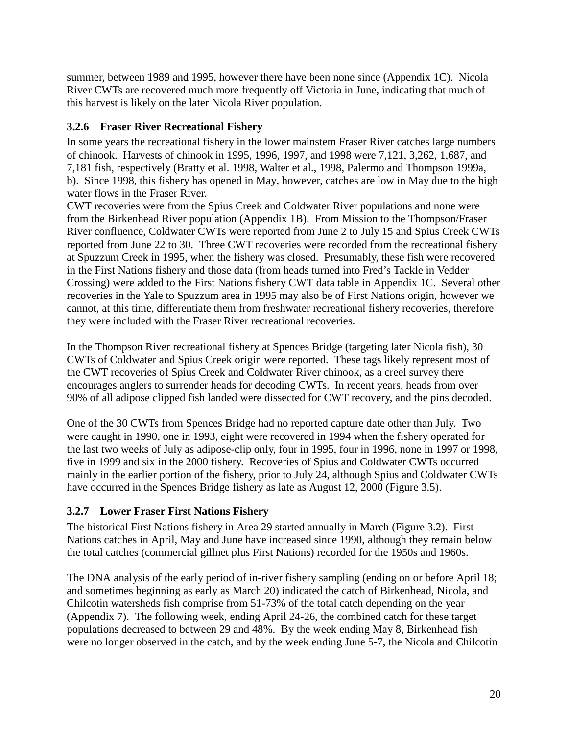summer, between 1989 and 1995, however there have been none since (Appendix 1C). Nicola River CWTs are recovered much more frequently off Victoria in June, indicating that much of this harvest is likely on the later Nicola River population.

#### **3.2.6 Fraser River Recreational Fishery**

In some years the recreational fishery in the lower mainstem Fraser River catches large numbers of chinook. Harvests of chinook in 1995, 1996, 1997, and 1998 were 7,121, 3,262, 1,687, and 7,181 fish, respectively (Bratty et al. 1998, Walter et al., 1998, Palermo and Thompson 1999a, b). Since 1998, this fishery has opened in May, however, catches are low in May due to the high water flows in the Fraser River.

CWT recoveries were from the Spius Creek and Coldwater River populations and none were from the Birkenhead River population (Appendix 1B). From Mission to the Thompson/Fraser River confluence, Coldwater CWTs were reported from June 2 to July 15 and Spius Creek CWTs reported from June 22 to 30. Three CWT recoveries were recorded from the recreational fishery at Spuzzum Creek in 1995, when the fishery was closed. Presumably, these fish were recovered in the First Nations fishery and those data (from heads turned into Fred's Tackle in Vedder Crossing) were added to the First Nations fishery CWT data table in Appendix 1C. Several other recoveries in the Yale to Spuzzum area in 1995 may also be of First Nations origin, however we cannot, at this time, differentiate them from freshwater recreational fishery recoveries, therefore they were included with the Fraser River recreational recoveries.

In the Thompson River recreational fishery at Spences Bridge (targeting later Nicola fish), 30 CWTs of Coldwater and Spius Creek origin were reported. These tags likely represent most of the CWT recoveries of Spius Creek and Coldwater River chinook, as a creel survey there encourages anglers to surrender heads for decoding CWTs. In recent years, heads from over 90% of all adipose clipped fish landed were dissected for CWT recovery, and the pins decoded.

One of the 30 CWTs from Spences Bridge had no reported capture date other than July. Two were caught in 1990, one in 1993, eight were recovered in 1994 when the fishery operated for the last two weeks of July as adipose-clip only, four in 1995, four in 1996, none in 1997 or 1998, five in 1999 and six in the 2000 fishery. Recoveries of Spius and Coldwater CWTs occurred mainly in the earlier portion of the fishery, prior to July 24, although Spius and Coldwater CWTs have occurred in the Spences Bridge fishery as late as August 12, 2000 (Figure 3.5).

#### **3.2.7 Lower Fraser First Nations Fishery**

The historical First Nations fishery in Area 29 started annually in March (Figure 3.2). First Nations catches in April, May and June have increased since 1990, although they remain below the total catches (commercial gillnet plus First Nations) recorded for the 1950s and 1960s.

The DNA analysis of the early period of in-river fishery sampling (ending on or before April 18; and sometimes beginning as early as March 20) indicated the catch of Birkenhead, Nicola, and Chilcotin watersheds fish comprise from 51-73% of the total catch depending on the year (Appendix 7). The following week, ending April 24-26, the combined catch for these target populations decreased to between 29 and 48%. By the week ending May 8, Birkenhead fish were no longer observed in the catch, and by the week ending June 5-7, the Nicola and Chilcotin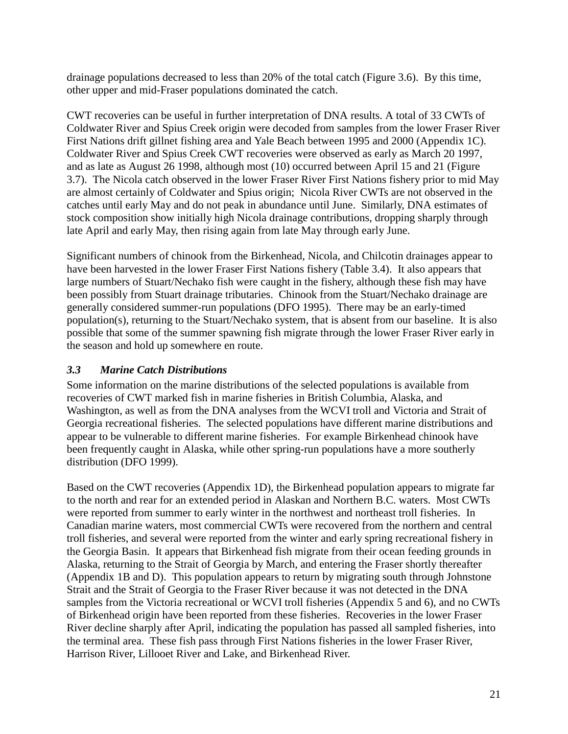drainage populations decreased to less than 20% of the total catch (Figure 3.6). By this time, other upper and mid-Fraser populations dominated the catch.

CWT recoveries can be useful in further interpretation of DNA results. A total of 33 CWTs of Coldwater River and Spius Creek origin were decoded from samples from the lower Fraser River First Nations drift gillnet fishing area and Yale Beach between 1995 and 2000 (Appendix 1C). Coldwater River and Spius Creek CWT recoveries were observed as early as March 20 1997, and as late as August 26 1998, although most (10) occurred between April 15 and 21 (Figure 3.7). The Nicola catch observed in the lower Fraser River First Nations fishery prior to mid May are almost certainly of Coldwater and Spius origin; Nicola River CWTs are not observed in the catches until early May and do not peak in abundance until June. Similarly, DNA estimates of stock composition show initially high Nicola drainage contributions, dropping sharply through late April and early May, then rising again from late May through early June.

Significant numbers of chinook from the Birkenhead, Nicola, and Chilcotin drainages appear to have been harvested in the lower Fraser First Nations fishery (Table 3.4). It also appears that large numbers of Stuart/Nechako fish were caught in the fishery, although these fish may have been possibly from Stuart drainage tributaries. Chinook from the Stuart/Nechako drainage are generally considered summer-run populations (DFO 1995). There may be an early-timed population(s), returning to the Stuart/Nechako system, that is absent from our baseline. It is also possible that some of the summer spawning fish migrate through the lower Fraser River early in the season and hold up somewhere en route.

#### *3.3 Marine Catch Distributions*

Some information on the marine distributions of the selected populations is available from recoveries of CWT marked fish in marine fisheries in British Columbia, Alaska, and Washington, as well as from the DNA analyses from the WCVI troll and Victoria and Strait of Georgia recreational fisheries. The selected populations have different marine distributions and appear to be vulnerable to different marine fisheries. For example Birkenhead chinook have been frequently caught in Alaska, while other spring-run populations have a more southerly distribution (DFO 1999).

Based on the CWT recoveries (Appendix 1D), the Birkenhead population appears to migrate far to the north and rear for an extended period in Alaskan and Northern B.C. waters. Most CWTs were reported from summer to early winter in the northwest and northeast troll fisheries. In Canadian marine waters, most commercial CWTs were recovered from the northern and central troll fisheries, and several were reported from the winter and early spring recreational fishery in the Georgia Basin. It appears that Birkenhead fish migrate from their ocean feeding grounds in Alaska, returning to the Strait of Georgia by March, and entering the Fraser shortly thereafter (Appendix 1B and D). This population appears to return by migrating south through Johnstone Strait and the Strait of Georgia to the Fraser River because it was not detected in the DNA samples from the Victoria recreational or WCVI troll fisheries (Appendix 5 and 6), and no CWTs of Birkenhead origin have been reported from these fisheries. Recoveries in the lower Fraser River decline sharply after April, indicating the population has passed all sampled fisheries, into the terminal area. These fish pass through First Nations fisheries in the lower Fraser River, Harrison River, Lillooet River and Lake, and Birkenhead River.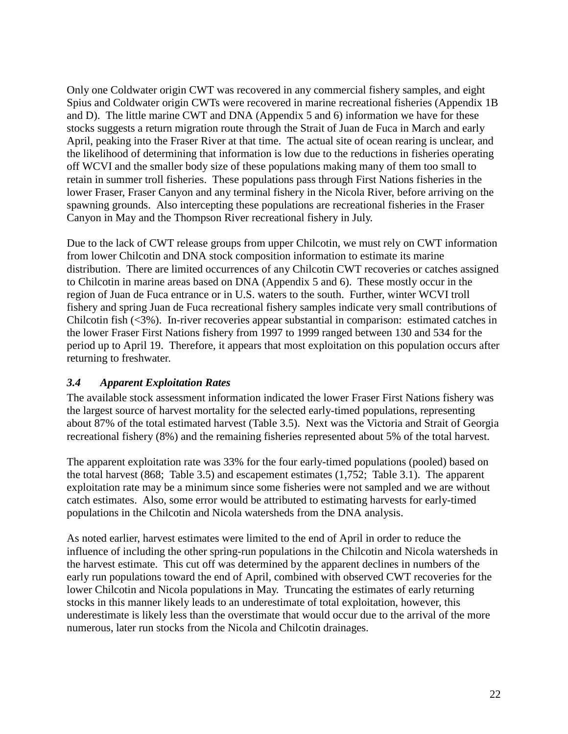Only one Coldwater origin CWT was recovered in any commercial fishery samples, and eight Spius and Coldwater origin CWTs were recovered in marine recreational fisheries (Appendix 1B and D). The little marine CWT and DNA (Appendix 5 and 6) information we have for these stocks suggests a return migration route through the Strait of Juan de Fuca in March and early April, peaking into the Fraser River at that time. The actual site of ocean rearing is unclear, and the likelihood of determining that information is low due to the reductions in fisheries operating off WCVI and the smaller body size of these populations making many of them too small to retain in summer troll fisheries. These populations pass through First Nations fisheries in the lower Fraser, Fraser Canyon and any terminal fishery in the Nicola River, before arriving on the spawning grounds. Also intercepting these populations are recreational fisheries in the Fraser Canyon in May and the Thompson River recreational fishery in July.

Due to the lack of CWT release groups from upper Chilcotin, we must rely on CWT information from lower Chilcotin and DNA stock composition information to estimate its marine distribution. There are limited occurrences of any Chilcotin CWT recoveries or catches assigned to Chilcotin in marine areas based on DNA (Appendix 5 and 6). These mostly occur in the region of Juan de Fuca entrance or in U.S. waters to the south. Further, winter WCVI troll fishery and spring Juan de Fuca recreational fishery samples indicate very small contributions of Chilcotin fish (<3%). In-river recoveries appear substantial in comparison: estimated catches in the lower Fraser First Nations fishery from 1997 to 1999 ranged between 130 and 534 for the period up to April 19. Therefore, it appears that most exploitation on this population occurs after returning to freshwater.

#### *3.4 Apparent Exploitation Rates*

The available stock assessment information indicated the lower Fraser First Nations fishery was the largest source of harvest mortality for the selected early-timed populations, representing about 87% of the total estimated harvest (Table 3.5). Next was the Victoria and Strait of Georgia recreational fishery (8%) and the remaining fisheries represented about 5% of the total harvest.

The apparent exploitation rate was 33% for the four early-timed populations (pooled) based on the total harvest (868; Table 3.5) and escapement estimates (1,752; Table 3.1). The apparent exploitation rate may be a minimum since some fisheries were not sampled and we are without catch estimates. Also, some error would be attributed to estimating harvests for early-timed populations in the Chilcotin and Nicola watersheds from the DNA analysis.

As noted earlier, harvest estimates were limited to the end of April in order to reduce the influence of including the other spring-run populations in the Chilcotin and Nicola watersheds in the harvest estimate. This cut off was determined by the apparent declines in numbers of the early run populations toward the end of April, combined with observed CWT recoveries for the lower Chilcotin and Nicola populations in May. Truncating the estimates of early returning stocks in this manner likely leads to an underestimate of total exploitation, however, this underestimate is likely less than the overstimate that would occur due to the arrival of the more numerous, later run stocks from the Nicola and Chilcotin drainages.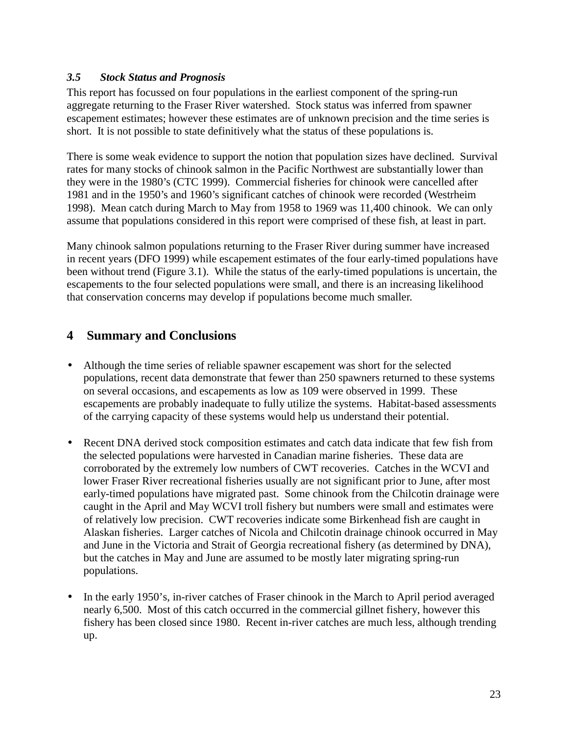#### *3.5 Stock Status and Prognosis*

This report has focussed on four populations in the earliest component of the spring-run aggregate returning to the Fraser River watershed. Stock status was inferred from spawner escapement estimates; however these estimates are of unknown precision and the time series is short. It is not possible to state definitively what the status of these populations is.

There is some weak evidence to support the notion that population sizes have declined. Survival rates for many stocks of chinook salmon in the Pacific Northwest are substantially lower than they were in the 1980's (CTC 1999). Commercial fisheries for chinook were cancelled after 1981 and in the 1950's and 1960's significant catches of chinook were recorded (Westrheim 1998). Mean catch during March to May from 1958 to 1969 was 11,400 chinook. We can only assume that populations considered in this report were comprised of these fish, at least in part.

Many chinook salmon populations returning to the Fraser River during summer have increased in recent years (DFO 1999) while escapement estimates of the four early-timed populations have been without trend (Figure 3.1). While the status of the early-timed populations is uncertain, the escapements to the four selected populations were small, and there is an increasing likelihood that conservation concerns may develop if populations become much smaller.

## **4 Summary and Conclusions**

- Although the time series of reliable spawner escapement was short for the selected populations, recent data demonstrate that fewer than 250 spawners returned to these systems on several occasions, and escapements as low as 109 were observed in 1999. These escapements are probably inadequate to fully utilize the systems. Habitat-based assessments of the carrying capacity of these systems would help us understand their potential.
- Recent DNA derived stock composition estimates and catch data indicate that few fish from the selected populations were harvested in Canadian marine fisheries. These data are corroborated by the extremely low numbers of CWT recoveries. Catches in the WCVI and lower Fraser River recreational fisheries usually are not significant prior to June, after most early-timed populations have migrated past. Some chinook from the Chilcotin drainage were caught in the April and May WCVI troll fishery but numbers were small and estimates were of relatively low precision. CWT recoveries indicate some Birkenhead fish are caught in Alaskan fisheries. Larger catches of Nicola and Chilcotin drainage chinook occurred in May and June in the Victoria and Strait of Georgia recreational fishery (as determined by DNA), but the catches in May and June are assumed to be mostly later migrating spring-run populations.
- In the early 1950's, in-river catches of Fraser chinook in the March to April period averaged nearly 6,500. Most of this catch occurred in the commercial gillnet fishery, however this fishery has been closed since 1980. Recent in-river catches are much less, although trending up.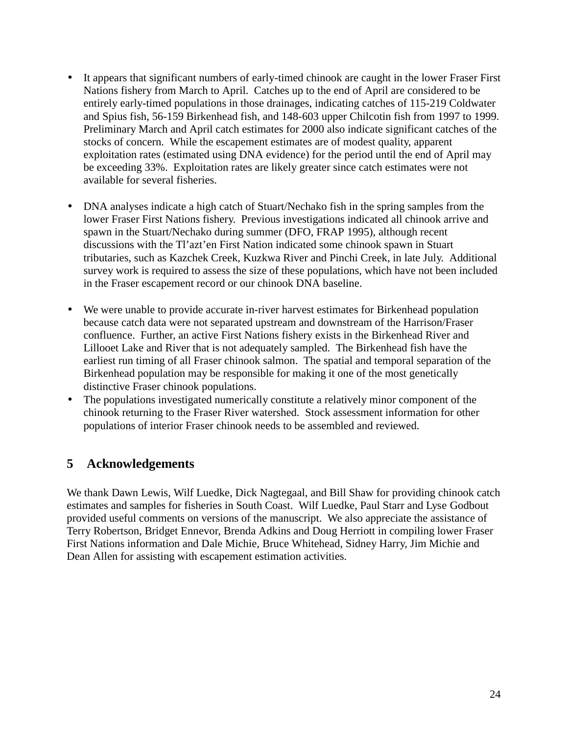- It appears that significant numbers of early-timed chinook are caught in the lower Fraser First Nations fishery from March to April. Catches up to the end of April are considered to be entirely early-timed populations in those drainages, indicating catches of 115-219 Coldwater and Spius fish, 56-159 Birkenhead fish, and 148-603 upper Chilcotin fish from 1997 to 1999. Preliminary March and April catch estimates for 2000 also indicate significant catches of the stocks of concern. While the escapement estimates are of modest quality, apparent exploitation rates (estimated using DNA evidence) for the period until the end of April may be exceeding 33%. Exploitation rates are likely greater since catch estimates were not available for several fisheries.
- DNA analyses indicate a high catch of Stuart/Nechako fish in the spring samples from the lower Fraser First Nations fishery. Previous investigations indicated all chinook arrive and spawn in the Stuart/Nechako during summer (DFO, FRAP 1995), although recent discussions with the Tl'azt'en First Nation indicated some chinook spawn in Stuart tributaries, such as Kazchek Creek, Kuzkwa River and Pinchi Creek, in late July. Additional survey work is required to assess the size of these populations, which have not been included in the Fraser escapement record or our chinook DNA baseline.
- We were unable to provide accurate in-river harvest estimates for Birkenhead population because catch data were not separated upstream and downstream of the Harrison/Fraser confluence. Further, an active First Nations fishery exists in the Birkenhead River and Lillooet Lake and River that is not adequately sampled. The Birkenhead fish have the earliest run timing of all Fraser chinook salmon. The spatial and temporal separation of the Birkenhead population may be responsible for making it one of the most genetically distinctive Fraser chinook populations.
- The populations investigated numerically constitute a relatively minor component of the chinook returning to the Fraser River watershed. Stock assessment information for other populations of interior Fraser chinook needs to be assembled and reviewed.

## **5 Acknowledgements**

We thank Dawn Lewis, Wilf Luedke, Dick Nagtegaal, and Bill Shaw for providing chinook catch estimates and samples for fisheries in South Coast. Wilf Luedke, Paul Starr and Lyse Godbout provided useful comments on versions of the manuscript. We also appreciate the assistance of Terry Robertson, Bridget Ennevor, Brenda Adkins and Doug Herriott in compiling lower Fraser First Nations information and Dale Michie, Bruce Whitehead, Sidney Harry, Jim Michie and Dean Allen for assisting with escapement estimation activities.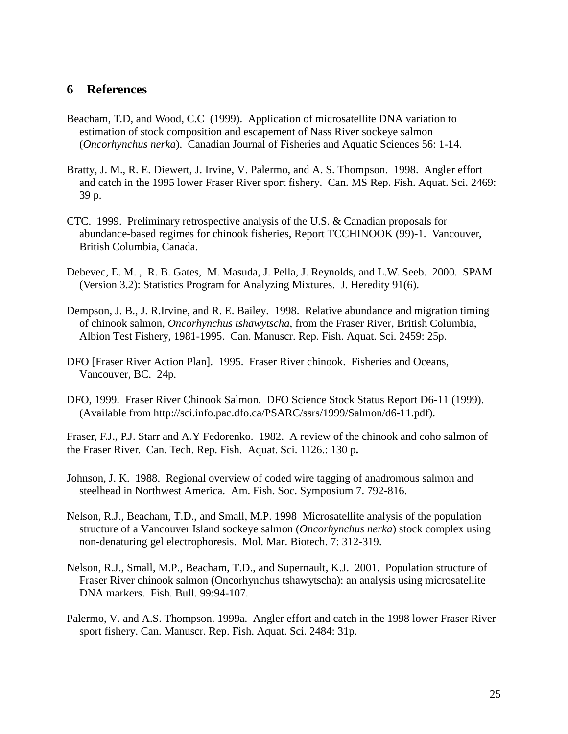#### **6 References**

- Beacham, T.D, and Wood, C.C (1999). Application of microsatellite DNA variation to estimation of stock composition and escapement of Nass River sockeye salmon (*Oncorhynchus nerka*). Canadian Journal of Fisheries and Aquatic Sciences 56: 1-14.
- Bratty, J. M., R. E. Diewert, J. Irvine, V. Palermo, and A. S. Thompson. 1998. Angler effort and catch in the 1995 lower Fraser River sport fishery. Can. MS Rep. Fish. Aquat. Sci. 2469: 39 p.
- CTC. 1999. Preliminary retrospective analysis of the U.S. & Canadian proposals for abundance-based regimes for chinook fisheries, Report TCCHINOOK (99)-1. Vancouver, British Columbia, Canada.
- Debevec, E. M. , R. B. Gates, M. Masuda, J. Pella, J. Reynolds, and L.W. Seeb. 2000. SPAM (Version 3.2): Statistics Program for Analyzing Mixtures. J. Heredity 91(6).
- Dempson, J. B., J. R.Irvine, and R. E. Bailey. 1998. Relative abundance and migration timing of chinook salmon, *Oncorhynchus tshawytscha*, from the Fraser River, British Columbia, Albion Test Fishery, 1981-1995. Can. Manuscr. Rep. Fish. Aquat. Sci. 2459: 25p.
- DFO [Fraser River Action Plan]. 1995. Fraser River chinook. Fisheries and Oceans, Vancouver, BC. 24p.
- DFO, 1999. Fraser River Chinook Salmon. DFO Science Stock Status Report D6-11 (1999). (Available from http://sci.info.pac.dfo.ca/PSARC/ssrs/1999/Salmon/d6-11.pdf).

Fraser, F.J., P.J. Starr and A.Y Fedorenko. 1982. A review of the chinook and coho salmon of the Fraser River. Can. Tech. Rep. Fish. Aquat. Sci. 1126.: 130 p**.**

- Johnson, J. K. 1988. Regional overview of coded wire tagging of anadromous salmon and steelhead in Northwest America. Am. Fish. Soc. Symposium 7. 792-816.
- Nelson, R.J., Beacham, T.D., and Small, M.P. 1998 Microsatellite analysis of the population structure of a Vancouver Island sockeye salmon (*Oncorhynchus nerka*) stock complex using non-denaturing gel electrophoresis. Mol. Mar. Biotech. 7: 312-319.
- Nelson, R.J., Small, M.P., Beacham, T.D., and Supernault, K.J. 2001. Population structure of Fraser River chinook salmon (Oncorhynchus tshawytscha): an analysis using microsatellite DNA markers. Fish. Bull. 99:94-107.
- Palermo, V. and A.S. Thompson. 1999a. Angler effort and catch in the 1998 lower Fraser River sport fishery. Can. Manuscr. Rep. Fish. Aquat. Sci. 2484: 31p.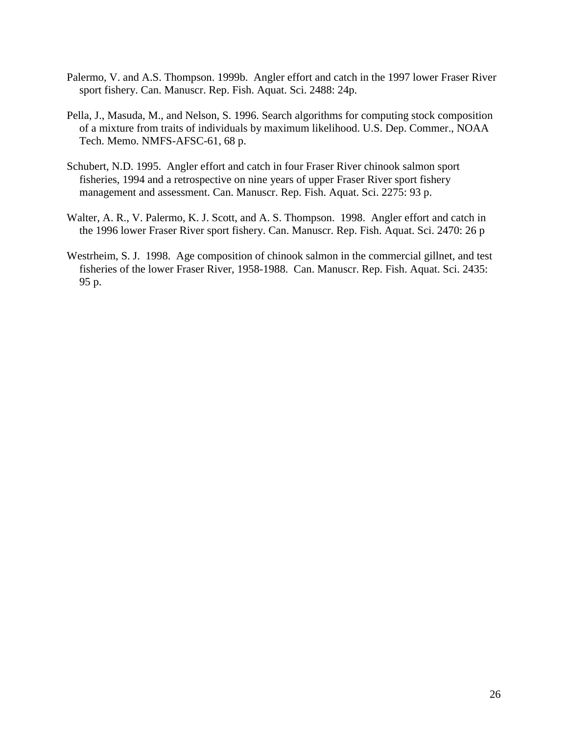- Palermo, V. and A.S. Thompson. 1999b. Angler effort and catch in the 1997 lower Fraser River sport fishery. Can. Manuscr. Rep. Fish. Aquat. Sci. 2488: 24p.
- Pella, J., Masuda, M., and Nelson, S. 1996. Search algorithms for computing stock composition of a mixture from traits of individuals by maximum likelihood. U.S. Dep. Commer., NOAA Tech. Memo. NMFS-AFSC-61, 68 p.
- Schubert, N.D. 1995. Angler effort and catch in four Fraser River chinook salmon sport fisheries, 1994 and a retrospective on nine years of upper Fraser River sport fishery management and assessment. Can. Manuscr. Rep. Fish. Aquat. Sci. 2275: 93 p.
- Walter, A. R., V. Palermo, K. J. Scott, and A. S. Thompson. 1998. Angler effort and catch in the 1996 lower Fraser River sport fishery. Can. Manuscr. Rep. Fish. Aquat. Sci. 2470: 26 p
- Westrheim, S. J. 1998. Age composition of chinook salmon in the commercial gillnet, and test fisheries of the lower Fraser River, 1958-1988. Can. Manuscr. Rep. Fish. Aquat. Sci. 2435: 95 p.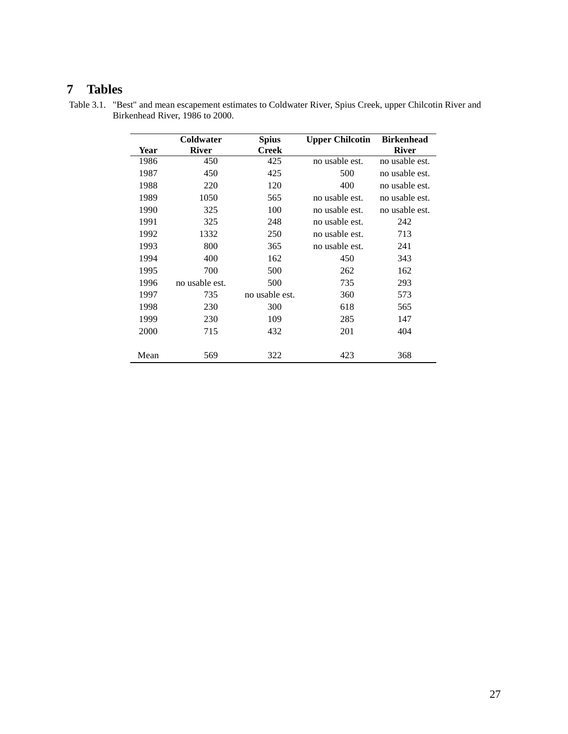## **7 Tables**

|      | Coldwater      | <b>Spius</b>   | <b>Upper Chilcotin</b> | <b>Birkenhead</b> |
|------|----------------|----------------|------------------------|-------------------|
| Year | <b>River</b>   | <b>Creek</b>   |                        | <b>River</b>      |
| 1986 | 450            | 425            | no usable est.         | no usable est.    |
| 1987 | 450            | 425            | 500                    | no usable est.    |
| 1988 | 220            | 120            | 400                    | no usable est.    |
| 1989 | 1050           | 565            | no usable est.         | no usable est.    |
| 1990 | 325            | 100            | no usable est.         | no usable est.    |
| 1991 | 325            | 248            | no usable est.         | 242               |
| 1992 | 1332           | 250            | no usable est.         | 713               |
| 1993 | 800            | 365            | no usable est.         | 241               |
| 1994 | 400            | 162            | 450                    | 343               |
| 1995 | 700            | 500            | 262                    | 162               |
| 1996 | no usable est. | 500            | 735                    | 293               |
| 1997 | 735            | no usable est. | 360                    | 573               |
| 1998 | 230            | 300            | 618                    | 565               |
| 1999 | 230            | 109            | 285                    | 147               |
| 2000 | 715            | 432            | 201                    | 404               |
| Mean | 569            | 322            | 423                    | 368               |

 Table 3.1. "Best" and mean escapement estimates to Coldwater River, Spius Creek, upper Chilcotin River and Birkenhead River, 1986 to 2000.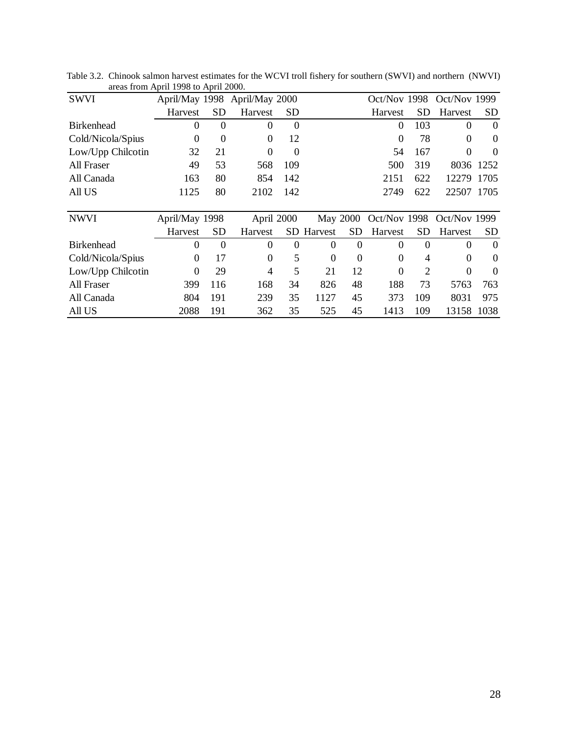| <b>SWVI</b>       |                  |                | April/May 1998 April/May 2000 |            |                   |                  |                  |          | Oct/Nov 1998 Oct/Nov 1999 |          |
|-------------------|------------------|----------------|-------------------------------|------------|-------------------|------------------|------------------|----------|---------------------------|----------|
|                   | Harvest          | <b>SD</b>      | Harvest                       | <b>SD</b>  |                   |                  | Harvest          | SD       | Harvest                   | SD       |
| <b>Birkenhead</b> | 0                | $\Omega$       | $\Omega$                      | $\Omega$   |                   |                  | 0                | 103      | $\Omega$                  | $\Omega$ |
| Cold/Nicola/Spius | $\boldsymbol{0}$ | $\overline{0}$ | $\Omega$                      | 12         |                   |                  | $\boldsymbol{0}$ | 78       | $\Omega$                  | $\Omega$ |
| Low/Upp Chilcotin | 32               | 21             | $\Omega$                      | $\Omega$   |                   |                  | 54               | 167      | $\Omega$                  | $\Omega$ |
| All Fraser        | 49               | 53             | 568                           | 109        |                   |                  | 500              | 319      | 8036                      | 1252     |
| All Canada        | 163              | 80             | 854                           | 142        |                   |                  | 2151             | 622      | 12279                     | 1705     |
| All US            | 1125             | 80             | 2102                          | 142        |                   |                  | 2749             | 622      | 22507                     | 1705     |
|                   |                  |                |                               |            |                   |                  |                  |          |                           |          |
| <b>NWVI</b>       | April/May 1998   |                |                               | April 2000 |                   | May 2000         | Oct/Nov 1998     |          | Oct/Nov 1999              |          |
|                   | Harvest          | <b>SD</b>      | Harvest                       |            | <b>SD</b> Harvest | <b>SD</b>        | Harvest          | SD       | Harvest                   | SD       |
| <b>Birkenhead</b> | 0                | $\Omega$       | $\Omega$                      | $\Omega$   | $\Omega$          | $\Omega$         | 0                | $\Omega$ | 0                         | $\Omega$ |
| Cold/Nicola/Spius | $\theta$         | 17             | $\Omega$                      | 5          | $\theta$          | $\boldsymbol{0}$ | $\theta$         | 4        | $\theta$                  | $\theta$ |
| Low/Upp Chilcotin | $\overline{0}$   | 29             | 4                             | 5          | 21                | 12               | $\theta$         | 2        | 0                         | $\Omega$ |
| All Fraser        | 399              | 116            | 168                           | 34         | 826               | 48               | 188              | 73       | 5763                      | 763      |
| All Canada        | 804              | 191            | 239                           | 35         | 1127              | 45               | 373              | 109      | 8031                      | 975      |
| All US            | 2088             | 191            | 362                           | 35         | 525               | 45               | 1413             | 109      | 13158                     | 1038     |

Table 3.2. Chinook salmon harvest estimates for the WCVI troll fishery for southern (SWVI) and northern (NWVI) areas from April 1998 to April 2000.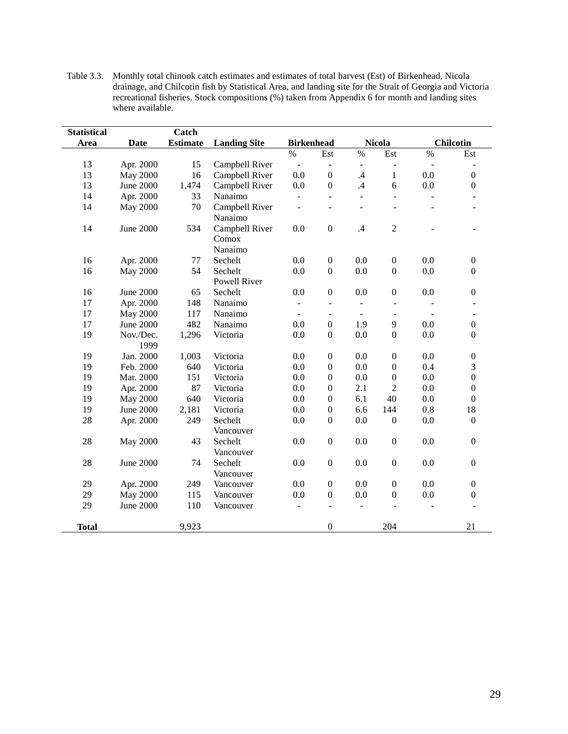| <b>Statistical</b> |                  | Catch           |                     |                          |                          |                          |                  |                |                  |
|--------------------|------------------|-----------------|---------------------|--------------------------|--------------------------|--------------------------|------------------|----------------|------------------|
| Area               | <b>Date</b>      | <b>Estimate</b> | <b>Landing Site</b> | <b>Birkenhead</b>        |                          |                          | <b>Nicola</b>    |                | <b>Chilcotin</b> |
|                    |                  |                 |                     | %                        | Est                      | %                        | Est              | $\%$           | Est              |
| 13                 | Apr. 2000        | 15              | Campbell River      | $\Box$                   | $\overline{\phantom{a}}$ |                          | ÷,               | Ĭ.             |                  |
| 13                 | <b>May 2000</b>  | 16              | Campbell River      | 0.0                      | $\boldsymbol{0}$         | .4                       | $\mathbf{1}$     | 0.0            | $\boldsymbol{0}$ |
| 13                 | <b>June 2000</b> | 1,474           | Campbell River      | 0.0                      | $\boldsymbol{0}$         | .4                       | 6                | 0.0            | $\boldsymbol{0}$ |
| 14                 | Apr. 2000        | 33              | Nanaimo             | $\overline{\phantom{a}}$ | $\blacksquare$           | $\overline{\phantom{0}}$ | ÷,               | $\overline{a}$ |                  |
| 14                 | <b>May 2000</b>  | 70              | Campbell River      | ÷,                       | $\blacksquare$           | $\overline{a}$           | ÷,               |                | ÷                |
|                    |                  |                 | Nanaimo             |                          |                          |                          |                  |                |                  |
| 14                 | <b>June 2000</b> | 534             | Campbell River      | 0.0                      | $\boldsymbol{0}$         | .4                       | $\overline{2}$   |                |                  |
|                    |                  |                 | Comox               |                          |                          |                          |                  |                |                  |
|                    |                  |                 | Nanaimo             |                          |                          |                          |                  |                |                  |
| 16                 | Apr. 2000        | 77              | Sechelt             | 0.0                      | $\boldsymbol{0}$         | 0.0                      | $\boldsymbol{0}$ | 0.0            | $\boldsymbol{0}$ |
| 16                 | <b>May 2000</b>  | 54              | Sechelt             | 0.0                      | $\boldsymbol{0}$         | 0.0                      | $\boldsymbol{0}$ | $0.0\,$        | $\boldsymbol{0}$ |
|                    |                  |                 | Powell River        |                          |                          |                          |                  |                |                  |
| 16                 | <b>June 2000</b> | 65              | Sechelt             | 0.0                      | $\mathbf{0}$             | 0.0                      | $\boldsymbol{0}$ | 0.0            | $\boldsymbol{0}$ |
| 17                 | Apr. 2000        | 148             | Nanaimo             | $\frac{1}{2}$            | $\overline{\phantom{a}}$ | $\blacksquare$           | $\overline{a}$   |                |                  |
| 17                 | <b>May 2000</b>  | 117             | Nanaimo             | $\overline{\phantom{a}}$ | $\overline{\phantom{a}}$ |                          |                  |                | $\blacksquare$   |
| 17                 | <b>June 2000</b> | 482             | Nanaimo             | 0.0                      | $\boldsymbol{0}$         | 1.9                      | 9                | 0.0            | $\boldsymbol{0}$ |
| 19                 | Nov./Dec.        | 1,296           | Victoria            | 0.0                      | $\boldsymbol{0}$         | 0.0                      | $\boldsymbol{0}$ | 0.0            | $\boldsymbol{0}$ |
|                    | 1999             |                 |                     |                          |                          |                          |                  |                |                  |
| 19                 | Jan. 2000        | 1,003           | Victoria            | 0.0                      | $\boldsymbol{0}$         | 0.0                      | $\boldsymbol{0}$ | 0.0            | $\boldsymbol{0}$ |
| 19                 | Feb. 2000        | 640             | Victoria            | 0.0                      | $\boldsymbol{0}$         | 0.0                      | $\boldsymbol{0}$ | 0.4            | 3                |
| 19                 | Mar. 2000        | 151             | Victoria            | 0.0                      | $\boldsymbol{0}$         | 0.0                      | $\boldsymbol{0}$ | 0.0            | $\overline{0}$   |
| 19                 | Apr. 2000        | 87              | Victoria            | 0.0                      | $\boldsymbol{0}$         | 2.1                      | $\overline{c}$   | 0.0            | $\boldsymbol{0}$ |
| 19                 | <b>May 2000</b>  | 640             | Victoria            | 0.0                      | $\boldsymbol{0}$         | 6.1                      | 40               | 0.0            | $\boldsymbol{0}$ |
| 19                 | <b>June 2000</b> | 2,181           | Victoria            | 0.0                      | $\boldsymbol{0}$         | 6.6                      | 144              | $0.8\,$        | 18               |
| 28                 | Apr. 2000        | 249             | Sechelt             | 0.0                      | $\boldsymbol{0}$         | 0.0                      | $\boldsymbol{0}$ | 0.0            | $\Omega$         |
|                    |                  |                 | Vancouver           |                          |                          |                          |                  |                |                  |
| 28                 | <b>May 2000</b>  | 43              | Sechelt             | 0.0                      | $\boldsymbol{0}$         | 0.0                      | $\boldsymbol{0}$ | 0.0            | $\boldsymbol{0}$ |
|                    |                  |                 | Vancouver           |                          |                          |                          |                  |                |                  |
| 28                 | <b>June 2000</b> | 74              | Sechelt             | 0.0                      | $\boldsymbol{0}$         | 0.0                      | $\boldsymbol{0}$ | 0.0            | $\overline{0}$   |
|                    |                  |                 | Vancouver           |                          |                          |                          |                  |                |                  |
| 29                 | Apr. 2000        | 249             | Vancouver           | 0.0                      | $\boldsymbol{0}$         | 0.0                      | $\boldsymbol{0}$ | $0.0\,$        | $\boldsymbol{0}$ |
| 29                 | <b>May 2000</b>  | 115             | Vancouver           | 0.0                      | $\boldsymbol{0}$         | 0.0                      | $\boldsymbol{0}$ | 0.0            | $\boldsymbol{0}$ |
| 29                 | <b>June 2000</b> | 110             | Vancouver           | $\overline{\phantom{m}}$ | $\overline{\phantom{a}}$ |                          |                  |                |                  |
| <b>Total</b>       |                  | 9,923           |                     |                          | $\boldsymbol{0}$         |                          | 204              |                | 21               |

Table 3.3. Monthly total chinook catch estimates and estimates of total harvest (Est) of Birkenhead, Nicola drainage, and Chilcotin fish by Statistical Area, and landing site for the Strait of Georgia and Victoria recreational fisheries. Stock compositions (%) taken from Appendix 6 for month and landing sites where available.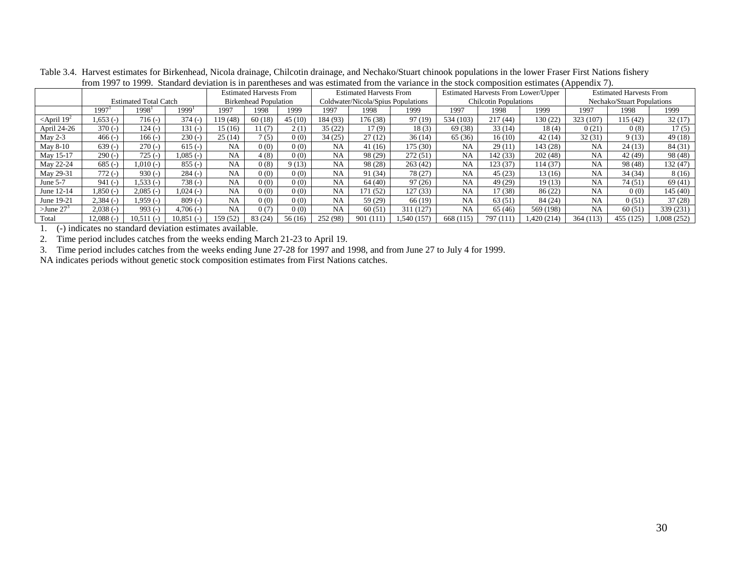|                             |             |                              |                   |           | <b>Estimated Harvests From</b>                                     |        | <b>Estimated Harvests From</b> |                              |             | <b>Estimated Harvests From Lower/Upper</b> |                            |             | <b>Estimated Harvests From</b> |           |             |
|-----------------------------|-------------|------------------------------|-------------------|-----------|--------------------------------------------------------------------|--------|--------------------------------|------------------------------|-------------|--------------------------------------------|----------------------------|-------------|--------------------------------|-----------|-------------|
|                             |             | <b>Estimated Total Catch</b> |                   |           | Coldwater/Nicola/Spius Populations<br><b>Birkenhead Population</b> |        |                                | <b>Chilcotin Populations</b> |             |                                            | Nechako/Stuart Populations |             |                                |           |             |
|                             | 1997        | 1998'                        | 1999 <sup>1</sup> | 1997      | 1998                                                               | 1999   | 1997                           | 1998                         | 1999        | 1997                                       | 1998                       | 1999        | 1997                           | 1998      | 1999        |
| $\le$ April 19 <sup>2</sup> | $.653(-)$   | 716 (-)                      | $374(-)$          | 19(48)    | 60(18)                                                             | 45(10) | 184 (93)                       | 176 (38)                     | 97(19)      | 534 (103)                                  | 217(44)                    | 130 (22)    | 323 (107)                      | 115 (42)  | 32(17)      |
| April 24-26                 | $370(-)$    | 124 (-)                      | 131 (-)           | 15 (16)   | 11(7)                                                              | 2(1)   | 35(22)                         | 17(9)                        | 18(3)       | 69 (38)                                    | 33(14)                     | 18(4)       | 0(21)                          | 0(8)      | 17(5)       |
| May $2-3$                   | $466(-)$    | $166(-)$                     | $230(-)$          | 25(14)    | 7(5)                                                               | 0(0)   | 34(25)                         | 27(12)                       | 36(14)      | 65 (36)                                    | 16(10)                     | 42(14)      | 32(31)                         | 9(13)     | 49(18)      |
| May 8-10                    | $639(-)$    | $270(-)$                     | $615(-)$          | <b>NA</b> | 0(0)                                                               | 0(0)   | <b>NA</b>                      | 41(16)                       | 175(30)     | <b>NA</b>                                  | 29 (11                     | 143 (28)    | <b>NA</b>                      | 24(13)    | 84 (31)     |
| May 15-17                   | $290(-)$    | $725(-)$                     | $0.085(-)$        | <b>NA</b> | 4(8)                                                               | 0(0)   | <b>NA</b>                      | 98 (29)                      | 272(51)     | <b>NA</b>                                  | 142 (33)                   | 202(48)     | <b>NA</b>                      | 42 (49)   | 98 (48)     |
| May 22-24                   | $685(-)$    | (-) 100.l                    | $855(-)$          | <b>NA</b> | 0(8)                                                               | 9(13)  | <b>NA</b>                      | 98 (28)                      | 263(42)     | <b>NA</b>                                  | 123 (37)                   | 114 (37)    | <b>NA</b>                      | 98 (48)   | 132 (47)    |
| May 29-31                   | $772(-)$    | $930(-)$                     | $284(-)$          | NA        | 0(0)                                                               | 0(0)   | <b>NA</b>                      | 91 (34)                      | 78 (27)     | <b>NA</b>                                  | 45(23)                     | 13(16)      | NA                             | 34(34)    | 8(16)       |
| June 5-7                    | $941(-)$    | $1.533(-)$                   | $738(-)$          | <b>NA</b> | 0(0)                                                               | 0(0)   | <b>NA</b>                      | 64 (40)                      | 97(26)      | <b>NA</b>                                  | 49 (29)                    | 19(13)      | <b>NA</b>                      | 74 (51)   | 69(41)      |
| June 12-14                  | $.850(-)$   | $2,085$ (-                   | $1.024$ (-)       | NA        | 0(0)                                                               | 0(0)   | <b>NA</b>                      | 171 (52)                     | 127(33)     | <b>NA</b>                                  | 17 (38)                    | 86(22)      | <b>NA</b>                      | 0(0)      | 145(40)     |
| June 19-21                  | $2.384(-)$  | 1.959 (-)                    | $809(-)$          | <b>NA</b> | 0(0)                                                               | 0(0)   | NA                             | 59 (29)                      | 66 (19)     | <b>NA</b>                                  | 63 (51)                    | 84 (24)     | <b>NA</b>                      | 0(51)     | 37(28)      |
| $>$ June 27 $3$             | $2,038$ (-) | $993$ (-                     | $4,706$ (-)       | NA        | 0(7)                                                               | 0(0)   | <b>NA</b>                      | 60(51)                       | 311 (127)   | <b>NA</b>                                  | 65 (46)                    | 569 (198)   | <b>NA</b>                      | 60(51)    | 339 (231)   |
| Total                       | $12.088(-)$ | 10.511                       | 10.851            | 159 (52)  | 83(24)                                                             | 56(16) | 252 (98)                       | 901 (111)                    | 1.540 (157) | 668 (115)                                  | 797 (111                   | 1,420 (214) | 364 (113)                      | 455 (125) | 1,008 (252) |

Table 3.4. Harvest estimates for Birkenhead, Nicola drainage, Chilcotin drainage, and Nechako/Stuart chinook populations in the lower Fraser First Nations fishery from 1997 to 1999. Standard deviation is in parentheses and was estimated from the variance in the stock composition estimates (Appendix 7).

1. (-) indicates no standard deviation estimates available.

2. Time period includes catches from the weeks ending March 21-23 to April 19.

3. Time period includes catches from the weeks ending June 27-28 for 1997 and 1998, and from June 27 to July 4 for 1999.

NA indicates periods without genetic stock composition estimates from First Nations catches.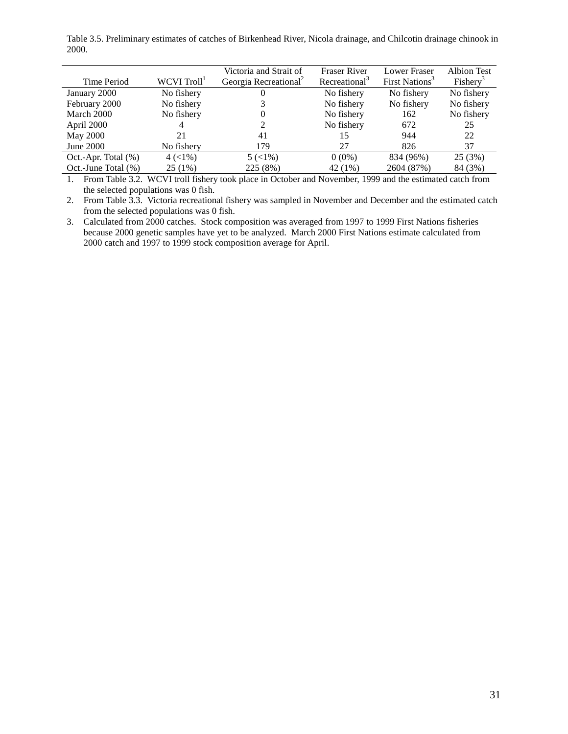Table 3.5. Preliminary estimates of catches of Birkenhead River, Nicola drainage, and Chilcotin drainage chinook in 2000.

| Time Period            | WCVI Troll <sup>1</sup> | Victoria and Strait of<br>Georgia Recreational <sup>2</sup> | <b>Fraser River</b><br>Recreational <sup>3</sup> | Lower Fraser<br>First Nations <sup>3</sup> | <b>Albion Test</b><br>Fishery <sup>3</sup> |
|------------------------|-------------------------|-------------------------------------------------------------|--------------------------------------------------|--------------------------------------------|--------------------------------------------|
| January 2000           | No fishery              | U                                                           | No fishery                                       | No fishery                                 | No fishery                                 |
| February 2000          | No fishery              |                                                             | No fishery                                       | No fishery                                 | No fishery                                 |
| March 2000             | No fishery              | O                                                           | No fishery                                       | 162                                        | No fishery                                 |
| April 2000             |                         |                                                             | No fishery                                       | 672                                        | 25                                         |
| May 2000               | 21                      | 41                                                          | 15                                               | 944                                        | 22                                         |
| June 2000              | No fishery              | 179                                                         | 27                                               | 826                                        | 37                                         |
| Oct.-Apr. Total $(\%)$ | $4 (< 1\%)$             | $5 (< 1\%)$                                                 | $0(0\%)$                                         | 834 (96%)                                  | 25 (3%)                                    |
| Oct.-June Total (%)    | 25(1%)                  | 225 (8%)                                                    | 42 (1%)                                          | 2604 (87%)                                 | 84 (3%)                                    |

1. From Table 3.2. WCVI troll fishery took place in October and November, 1999 and the estimated catch from the selected populations was 0 fish.

2. From Table 3.3. Victoria recreational fishery was sampled in November and December and the estimated catch from the selected populations was 0 fish.

3. Calculated from 2000 catches. Stock composition was averaged from 1997 to 1999 First Nations fisheries because 2000 genetic samples have yet to be analyzed. March 2000 First Nations estimate calculated from 2000 catch and 1997 to 1999 stock composition average for April.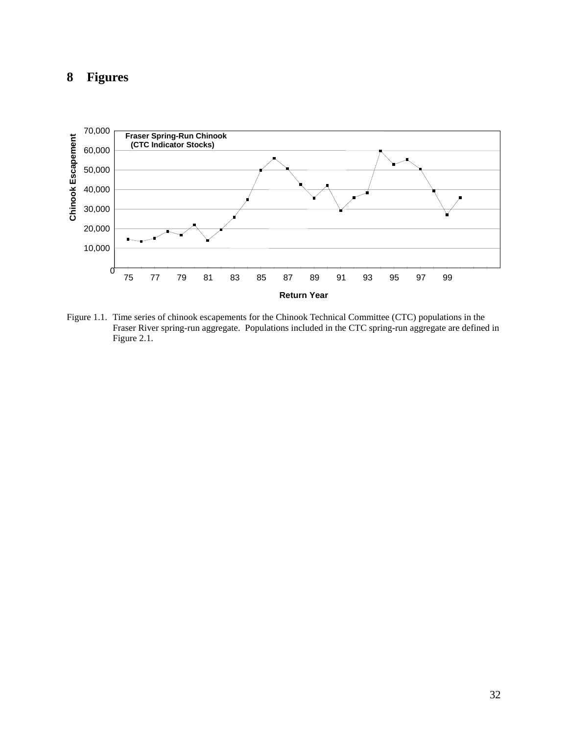## **8 Figures**



Figure 1.1. Time series of chinook escapements for the Chinook Technical Committee (CTC) populations in the Fraser River spring-run aggregate. Populations included in the CTC spring-run aggregate are defined in Figure 2.1.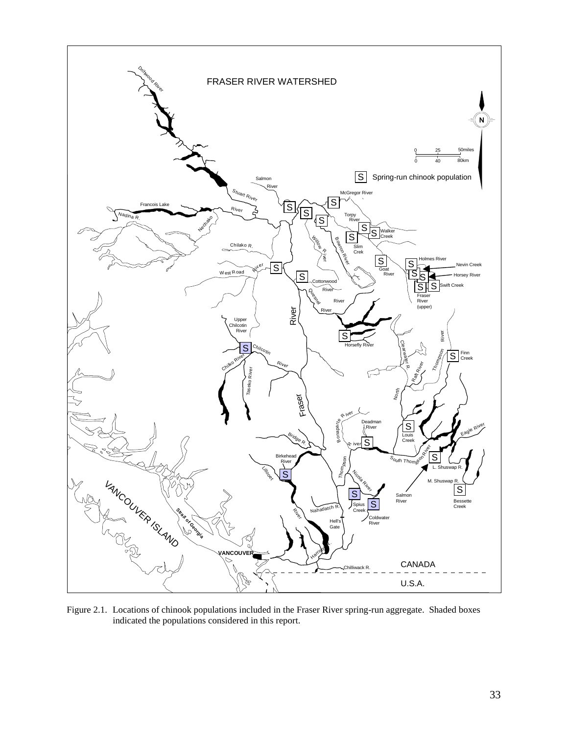

Figure 2.1. Locations of chinook populations included in the Fraser River spring-run aggregate. Shaded boxes indicated the populations considered in this report.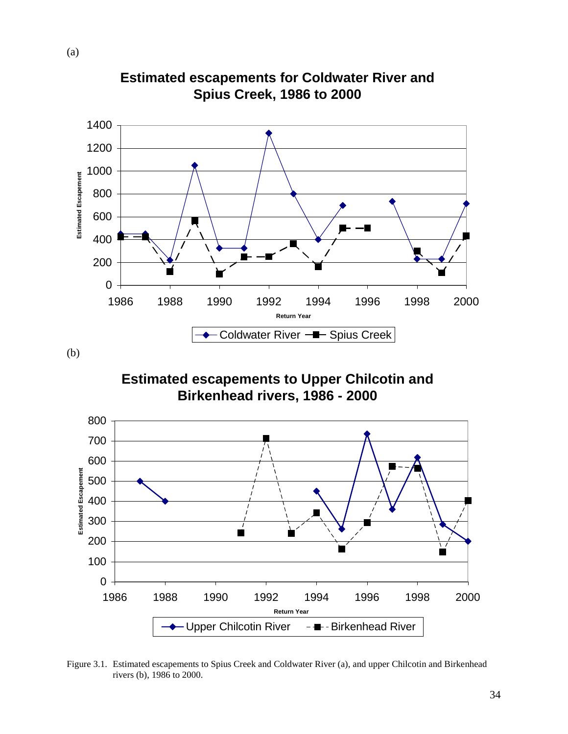

**Estimated escapements for Coldwater River and Spius Creek, 1986 to 2000**

(b)

**Estimated escapements to Upper Chilcotin and Birkenhead rivers, 1986 - 2000**



Figure 3.1. Estimated escapements to Spius Creek and Coldwater River (a), and upper Chilcotin and Birkenhead rivers (b), 1986 to 2000.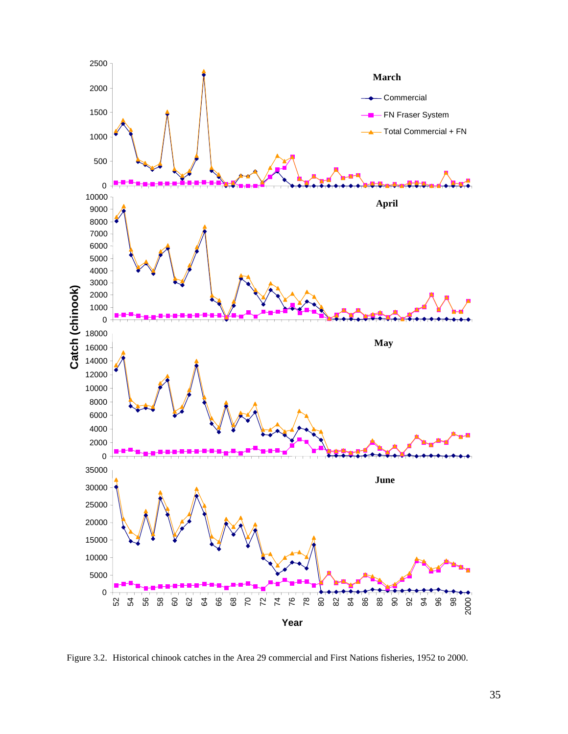

Figure 3.2. Historical chinook catches in the Area 29 commercial and First Nations fisheries, 1952 to 2000.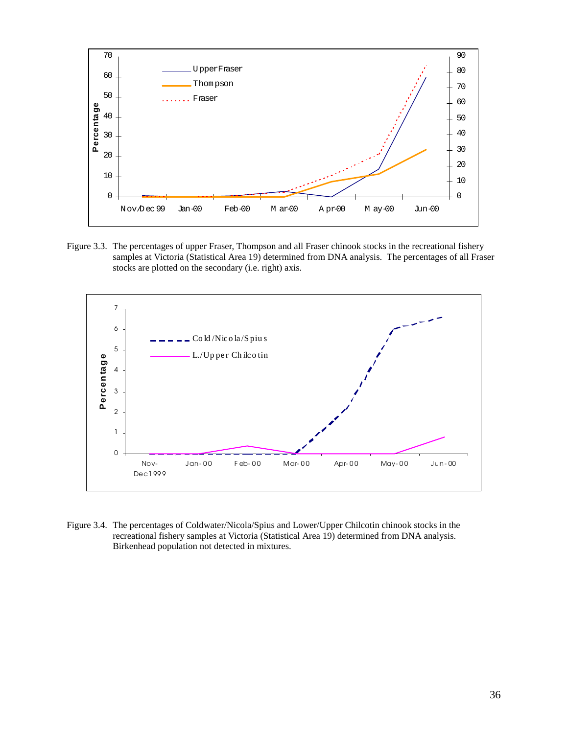

Figure 3.3. The percentages of upper Fraser, Thompson and all Fraser chinook stocks in the recreational fishery samples at Victoria (Statistical Area 19) determined from DNA analysis. The percentages of all Fraser stocks are plotted on the secondary (i.e. right) axis.



Figure 3.4. The percentages of Coldwater/Nicola/Spius and Lower/Upper Chilcotin chinook stocks in the recreational fishery samples at Victoria (Statistical Area 19) determined from DNA analysis. Birkenhead population not detected in mixtures.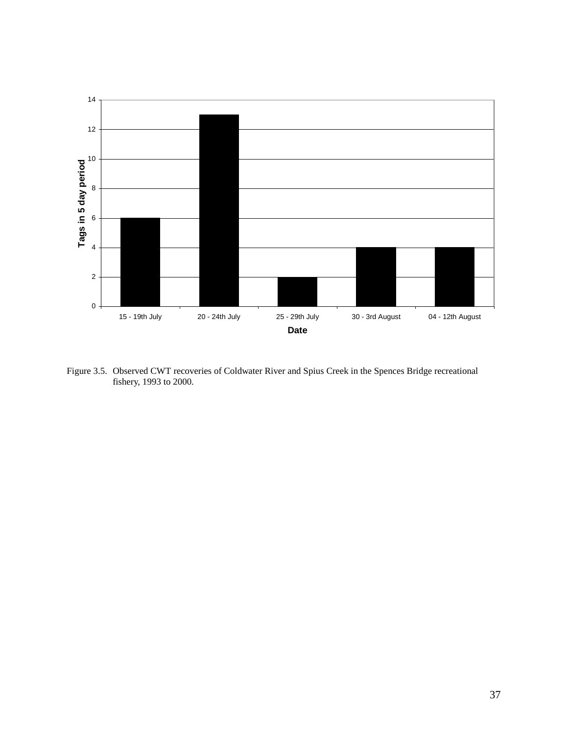

Figure 3.5. Observed CWT recoveries of Coldwater River and Spius Creek in the Spences Bridge recreational fishery, 1993 to 2000.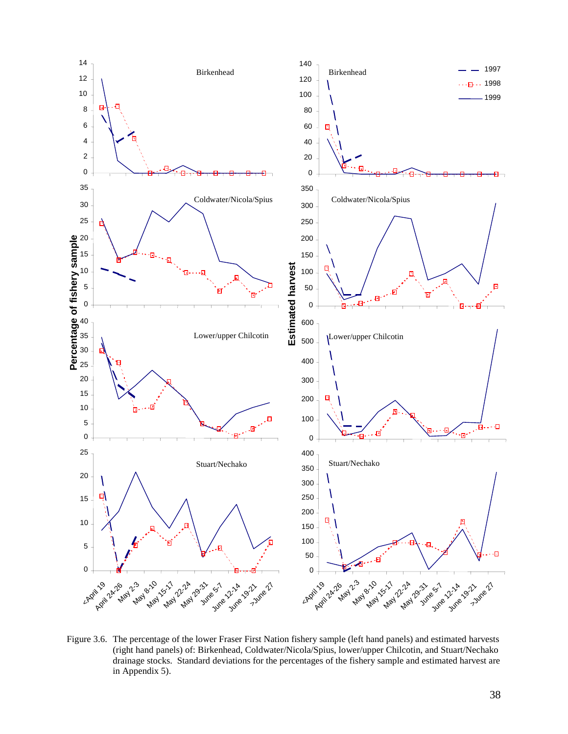

Figure 3.6. The percentage of the lower Fraser First Nation fishery sample (left hand panels) and estimated harvests (right hand panels) of: Birkenhead, Coldwater/Nicola/Spius, lower/upper Chilcotin, and Stuart/Nechako drainage stocks. Standard deviations for the percentages of the fishery sample and estimated harvest are in Appendix 5).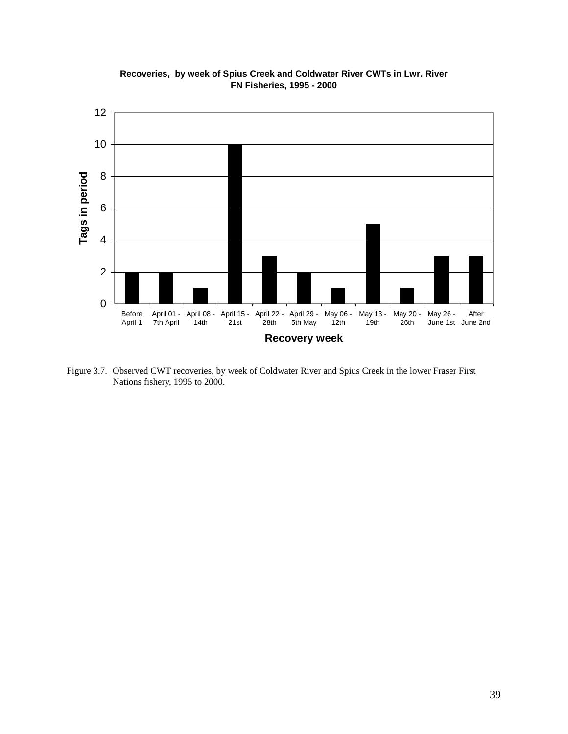

**Recoveries, by week of Spius Creek and Coldwater River CWTs in Lwr. River FN Fisheries, 1995 - 2000**

Figure 3.7. Observed CWT recoveries, by week of Coldwater River and Spius Creek in the lower Fraser First Nations fishery, 1995 to 2000.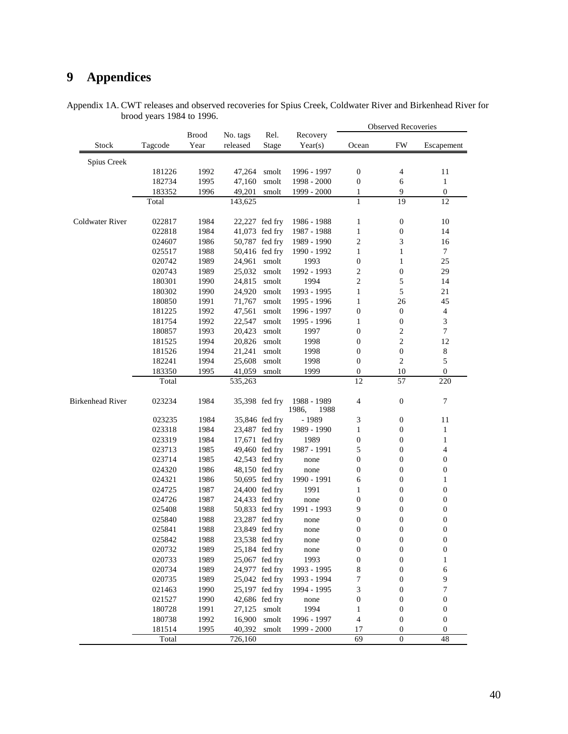# **9 Appendices**

|                                | Appendix 1A. CWT releases and observed recoveries for Spius Creek, Coldwater River and Birkenhead River for |  |                     |  |
|--------------------------------|-------------------------------------------------------------------------------------------------------------|--|---------------------|--|
| brood years $1984$ to $1996$ . |                                                                                                             |  |                     |  |
|                                |                                                                                                             |  | Observed Deceyories |  |

|                         |         |                      |                      |                |                              | <b>Observed Recoveries</b> |                  |                  |
|-------------------------|---------|----------------------|----------------------|----------------|------------------------------|----------------------------|------------------|------------------|
| Stock                   | Tagcode | <b>Brood</b><br>Year | No. tags<br>released | Rel.<br>Stage  | Recovery<br>Year(s)          | Ocean                      | <b>FW</b>        | Escapement       |
|                         |         |                      |                      |                |                              |                            |                  |                  |
| Spius Creek             |         |                      |                      |                |                              |                            |                  |                  |
|                         | 181226  | 1992                 | 47,264               | smolt          | 1996 - 1997                  | $\boldsymbol{0}$           | $\overline{4}$   | 11               |
|                         | 182734  | 1995                 | 47,160               | smolt          | 1998 - 2000                  | $\boldsymbol{0}$           | 6                | $\mathbf{1}$     |
|                         | 183352  | 1996                 | 49,201               | smolt          | 1999 - 2000                  | 1                          | 9                | $\boldsymbol{0}$ |
|                         | Total   |                      | 143,625              |                |                              | 1                          | 19               | 12               |
| Coldwater River         | 022817  | 1984                 |                      | 22,227 fed fry | 1986 - 1988                  | 1                          | $\boldsymbol{0}$ | 10               |
|                         | 022818  | 1984                 |                      | 41,073 fed fry | 1987 - 1988                  | $\mathbf{1}$               | $\boldsymbol{0}$ | 14               |
|                         | 024607  | 1986                 |                      | 50,787 fed fry | 1989 - 1990                  | $\sqrt{2}$                 | 3                | 16               |
|                         | 025517  | 1988                 |                      | 50,416 fed fry | 1990 - 1992                  | $\mathbf{1}$               | $\mathbf{1}$     | $\tau$           |
|                         | 020742  | 1989                 | 24,961               | smolt          | 1993                         | $\boldsymbol{0}$           | $\mathbf{1}$     | 25               |
|                         | 020743  | 1989                 | 25,032               | smolt          | 1992 - 1993                  | 2                          | $\boldsymbol{0}$ | 29               |
|                         | 180301  | 1990                 | 24,815               | smolt          | 1994                         | $\overline{c}$             | $\sqrt{5}$       | 14               |
|                         | 180302  | 1990                 | 24,920               | smolt          | 1993 - 1995                  | 1                          | 5                | 21               |
|                         | 180850  | 1991                 | 71,767               | smolt          | 1995 - 1996                  | 1                          | 26               | 45               |
|                         | 181225  | 1992                 | 47,561               | smolt          | 1996 - 1997                  | $\boldsymbol{0}$           | $\boldsymbol{0}$ | $\overline{4}$   |
|                         | 181754  | 1992                 | 22,547               | smolt          | 1995 - 1996                  | 1                          | $\boldsymbol{0}$ | 3                |
|                         | 180857  | 1993                 | 20,423               | smolt          | 1997                         | $\boldsymbol{0}$           | $\boldsymbol{2}$ | $\boldsymbol{7}$ |
|                         | 181525  | 1994                 | 20,826               | smolt          | 1998                         | $\boldsymbol{0}$           | $\mathfrak{2}$   | 12               |
|                         | 181526  | 1994                 | 21,241               | smolt          | 1998                         | $\boldsymbol{0}$           | $\boldsymbol{0}$ | $\,8\,$          |
|                         | 182241  | 1994                 | 25,608               | smolt          | 1998                         | $\boldsymbol{0}$           | $\overline{c}$   | $\sqrt{5}$       |
|                         | 183350  | 1995                 | 41,059               | smolt          | 1999                         | $\boldsymbol{0}$           | 10               | $\boldsymbol{0}$ |
|                         | Total   |                      | 535,263              |                |                              | 12                         | 57               | 220              |
|                         |         |                      |                      |                |                              |                            |                  |                  |
| <b>Birkenhead River</b> | 023234  | 1984                 |                      | 35,398 fed fry | 1988 - 1989<br>1986,<br>1988 | 4                          | $\boldsymbol{0}$ | $\boldsymbol{7}$ |
|                         | 023235  | 1984                 |                      | 35,846 fed fry | - 1989                       | 3                          | $\boldsymbol{0}$ | 11               |
|                         | 023318  | 1984                 |                      | 23,487 fed fry | 1989 - 1990                  | 1                          | $\boldsymbol{0}$ | $\mathbf{1}$     |
|                         | 023319  | 1984                 |                      | 17,671 fed fry | 1989                         | $\boldsymbol{0}$           | 0                | $\mathbf{1}$     |
|                         | 023713  | 1985                 | 49,460 fed fry       |                | 1987 - 1991                  | 5                          | $\boldsymbol{0}$ | 4                |
|                         | 023714  | 1985                 | 42,543 fed fry       |                | none                         | $\boldsymbol{0}$           | $\boldsymbol{0}$ | $\boldsymbol{0}$ |
|                         | 024320  | 1986                 |                      | 48,150 fed fry | none                         | $\boldsymbol{0}$           | $\boldsymbol{0}$ | $\boldsymbol{0}$ |
|                         | 024321  | 1986                 |                      | 50,695 fed fry | 1990 - 1991                  | 6                          | $\boldsymbol{0}$ | $\mathbf{1}$     |
|                         | 024725  | 1987                 |                      | 24,400 fed fry | 1991                         | 1                          | $\boldsymbol{0}$ | $\boldsymbol{0}$ |
|                         | 024726  | 1987                 |                      | 24,433 fed fry | none                         | $\boldsymbol{0}$           | 0                | $\boldsymbol{0}$ |
|                         | 025408  | 1988                 |                      | 50,833 fed fry | 1991 - 1993                  | 9                          | $\boldsymbol{0}$ | $\boldsymbol{0}$ |
|                         | 025840  | 1988                 |                      | 23,287 fed fry | none                         | $\boldsymbol{0}$           | $\boldsymbol{0}$ | $\boldsymbol{0}$ |
|                         | 025841  | 1988                 | 23,849 fed fry       |                | none                         | $\boldsymbol{0}$           | $\boldsymbol{0}$ | $\boldsymbol{0}$ |
|                         | 025842  | 1988                 |                      | 23,538 fed fry | none                         | 0                          | 0                | $\overline{0}$   |
|                         | 020732  | 1989                 | 25,184 fed fry       |                | none                         | $\boldsymbol{0}$           | $\boldsymbol{0}$ | $\boldsymbol{0}$ |
|                         | 020733  | 1989                 |                      | 25,067 fed fry | 1993                         | $\boldsymbol{0}$           | $\boldsymbol{0}$ | 1                |
|                         | 020734  | 1989                 |                      | 24,977 fed fry | 1993 - 1995                  |                            | $\boldsymbol{0}$ |                  |
|                         | 020735  | 1989                 |                      | 25,042 fed fry | 1993 - 1994                  | 8<br>7                     | $\boldsymbol{0}$ | 6                |
|                         | 021463  |                      |                      |                |                              |                            |                  | 9<br>7           |
|                         |         | 1990                 |                      | 25,197 fed fry | 1994 - 1995                  | 3                          | $\boldsymbol{0}$ |                  |
|                         | 021527  | 1990                 |                      | 42,686 fed fry | none                         | $\boldsymbol{0}$           | $\boldsymbol{0}$ | $\boldsymbol{0}$ |
|                         | 180728  | 1991                 | 27,125               | smolt          | 1994                         | 1                          | $\boldsymbol{0}$ | $\boldsymbol{0}$ |
|                         | 180738  | 1992                 | 16,900               | smolt          | 1996 - 1997                  | 4                          | $\boldsymbol{0}$ | $\boldsymbol{0}$ |
|                         | 181514  | 1995                 | 40,392               | smolt          | 1999 - 2000                  | 17                         | 0                | $\boldsymbol{0}$ |
|                         | Total   |                      | 726,160              |                |                              | 69                         | $\boldsymbol{0}$ | 48               |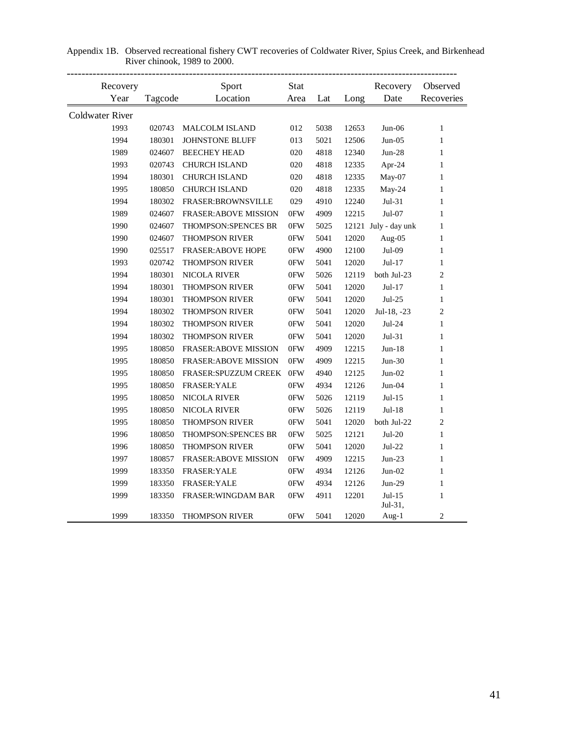| Recovery               |         | Sport                        | Stat           |      |       | Recovery             | Observed       |
|------------------------|---------|------------------------------|----------------|------|-------|----------------------|----------------|
| Year                   | Tagcode | Location                     | Area           | Lat  | Long  | Date                 | Recoveries     |
| <b>Coldwater River</b> |         |                              |                |      |       |                      |                |
| 1993                   | 020743  | <b>MALCOLM ISLAND</b>        | 012            | 5038 | 12653 | $Jun-06$             | $\mathbf{1}$   |
| 1994                   | 180301  | JOHNSTONE BLUFF              | 013            | 5021 | 12506 | $Jun-05$             | $\mathbf{1}$   |
| 1989                   | 024607  | <b>BEECHEY HEAD</b>          | 020            | 4818 | 12340 | $Jun-28$             | $\mathbf{1}$   |
| 1993                   | 020743  | <b>CHURCH ISLAND</b>         | 020            | 4818 | 12335 | Apr-24               | 1              |
| 1994                   | 180301  | <b>CHURCH ISLAND</b>         | 020            | 4818 | 12335 | $May-07$             | $\mathbf{1}$   |
| 1995                   | 180850  | <b>CHURCH ISLAND</b>         | 020            | 4818 | 12335 | May-24               | $\mathbf{1}$   |
| 1994                   | 180302  | FRASER:BROWNSVILLE           | 029            | 4910 | 12240 | $Jul-31$             | $\mathbf{1}$   |
| 1989                   | 024607  | <b>FRASER: ABOVE MISSION</b> | 0FW            | 4909 | 12215 | Jul-07               | $\mathbf{1}$   |
| 1990                   | 024607  | THOMPSON:SPENCES BR          | 0FW            | 5025 |       | 12121 July - day unk | $\mathbf{1}$   |
| 1990                   | 024607  | <b>THOMPSON RIVER</b>        | 0FW            | 5041 | 12020 | Aug-05               | $\mathbf{1}$   |
| 1990                   | 025517  | <b>FRASER: ABOVE HOPE</b>    | 0FW            | 4900 | 12100 | Jul-09               | $\mathbf{1}$   |
| 1993                   | 020742  | <b>THOMPSON RIVER</b>        | 0FW            | 5041 | 12020 | Jul-17               | $\mathbf{1}$   |
| 1994                   | 180301  | <b>NICOLA RIVER</b>          | 0FW            | 5026 | 12119 | both Jul-23          | $\mathfrak{2}$ |
| 1994                   | 180301  | THOMPSON RIVER               | $0\mathrm{FW}$ | 5041 | 12020 | $Jul-17$             | $\mathbf{1}$   |
| 1994                   | 180301  | THOMPSON RIVER               | $0\mathrm{FW}$ | 5041 | 12020 | $Jul-25$             | $\mathbf{1}$   |
| 1994                   | 180302  | THOMPSON RIVER               | $0\mathrm{FW}$ | 5041 | 12020 | Jul-18, $-23$        | $\mathfrak{2}$ |
| 1994                   | 180302  | THOMPSON RIVER               | 0FW            | 5041 | 12020 | $Jul-24$             | $\mathbf{1}$   |
| 1994                   | 180302  | <b>THOMPSON RIVER</b>        | 0FW            | 5041 | 12020 | $Jul-31$             | $\mathbf{1}$   |
| 1995                   | 180850  | <b>FRASER: ABOVE MISSION</b> | 0FW            | 4909 | 12215 | $Jun-18$             | $\mathbf{1}$   |
| 1995                   | 180850  | <b>FRASER: ABOVE MISSION</b> | 0FW            | 4909 | 12215 | $Jun-30$             | 1              |
| 1995                   | 180850  | FRASER:SPUZZUM CREEK         | 0FW            | 4940 | 12125 | $Jun-02$             | 1              |
| 1995                   | 180850  | FRASER: YALE                 | $0\mathrm{FW}$ | 4934 | 12126 | $Jun-04$             | $\mathbf{1}$   |
| 1995                   | 180850  | NICOLA RIVER                 | $0\mathrm{FW}$ | 5026 | 12119 | $Jul-15$             | $\mathbf{1}$   |
| 1995                   | 180850  | <b>NICOLA RIVER</b>          | $0\mathrm{FW}$ | 5026 | 12119 | $Jul-18$             | $\mathbf{1}$   |
| 1995                   | 180850  | THOMPSON RIVER               | 0FW            | 5041 | 12020 | both Jul-22          | $\mathfrak{2}$ |
| 1996                   | 180850  | THOMPSON:SPENCES BR          | 0FW            | 5025 | 12121 | $Jul-20$             | $\mathbf{1}$   |
| 1996                   | 180850  | <b>THOMPSON RIVER</b>        | 0FW            | 5041 | 12020 | $Jul-22$             | $\mathbf{1}$   |
| 1997                   | 180857  | <b>FRASER: ABOVE MISSION</b> | 0FW            | 4909 | 12215 | $Jun-23$             | $\mathbf{1}$   |
| 1999                   | 183350  | <b>FRASER: YALE</b>          | 0FW            | 4934 | 12126 | $Jun-02$             | $\mathbf{1}$   |
| 1999                   | 183350  | FRASER: YALE                 | 0FW            | 4934 | 12126 | $Jun-29$             | $\mathbf{1}$   |
| 1999                   | 183350  | FRASER: WINGDAM BAR          | 0FW            | 4911 | 12201 | $Jul-15$             | $\mathbf{1}$   |
|                        |         |                              |                |      |       | Jul-31,              |                |
| 1999                   | 183350  | THOMPSON RIVER               | 0FW            | 5041 | 12020 | Aug-1                | $\mathfrak{2}$ |

Appendix 1B. Observed recreational fishery CWT recoveries of Coldwater River, Spius Creek, and Birkenhead River chinook, 1989 to 2000.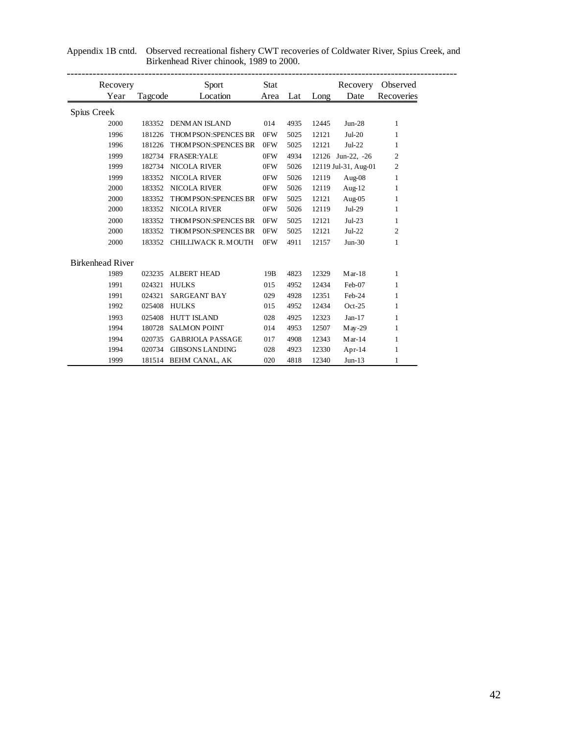| Recovery                |         | Sport                       | Stat |      |       | Recovery             | Observed     |
|-------------------------|---------|-----------------------------|------|------|-------|----------------------|--------------|
| Year                    | Tagcode | Location                    | Area | Lat  | Long  | Date                 | Recoveries   |
| Spius Creek             |         |                             |      |      |       |                      |              |
| 2000                    |         | 183352 DENMAN ISLAND        | 014  | 4935 | 12445 | $Jun-28$             | $\mathbf{1}$ |
| 1996                    | 181226  | THOM PSON: SPENCES BR       | 0FW  | 5025 | 12121 | $Jul-20$             | 1            |
| 1996                    | 181226  | THOM PSON: SPENCES BR       | 0FW  | 5025 | 12121 | $Jul-22$             | 1            |
| 1999                    | 182734  | <b>FRASER:YALE</b>          | 0FW  | 4934 | 12126 | Jun-22, $-26$        | 2            |
| 1999                    | 182734  | NICOLA RIVER                | 0FW  | 5026 |       | 12119 Jul-31, Aug-01 | 2            |
| 1999                    | 183352  | <b>NICOLA RIVER</b>         | 0FW  | 5026 | 12119 | Aug-08               | $\mathbf{1}$ |
| 2000                    | 183352  | <b>NICOLA RIVER</b>         | 0FW  | 5026 | 12119 | Aug- $12$            | 1            |
| 2000                    | 183352  | <b>THOM PSON:SPENCES BR</b> | 0FW  | 5025 | 12121 | Aug-05               | 1            |
| 2000                    | 183352  | <b>NICOLA RIVER</b>         | 0FW  | 5026 | 12119 | $Jul-29$             | 1            |
| 2000                    | 183352  | THOM PSON: SPENCES BR       | 0FW  | 5025 | 12121 | $Jul-23$             | $\mathbf{1}$ |
| 2000                    | 183352  | <b>THOM PSON:SPENCES BR</b> | 0FW  | 5025 | 12121 | $Jul-22$             | 2            |
| 2000                    | 183352  | CHILLIWACK R. MOUTH         | 0FW  | 4911 | 12157 | $Jun-30$             | 1            |
| <b>Birkenhead River</b> |         |                             |      |      |       |                      |              |
| 1989                    | 023235  | <b>ALBERT HEAD</b>          | 19B  | 4823 | 12329 | $Mar-18$             | 1            |
| 1991                    | 024321  | <b>HULKS</b>                | 015  | 4952 | 12434 | Feb-07               | 1            |
| 1991                    | 024321  | <b>SARGEANT BAY</b>         | 029  | 4928 | 12351 | Feb-24               | 1            |
| 1992                    | 025408  | <b>HULKS</b>                | 015  | 4952 | 12434 | $Oct-25$             | $\mathbf{1}$ |
| 1993                    | 025408  | <b>HUTT ISLAND</b>          | 028  | 4925 | 12323 | $Jan-17$             | 1            |
| 1994                    | 180728  | <b>SALMON POINT</b>         | 014  | 4953 | 12507 | $M$ ay -29           | $\mathbf{1}$ |
| 1994                    | 020735  | <b>GABRIOLA PASSAGE</b>     | 017  | 4908 | 12343 | $M$ ar-14            | 1            |
| 1994                    | 020734  | <b>GIBSONS LANDING</b>      | 028  | 4923 | 12330 | Apr- $14$            | 1            |
| 1999                    |         | 181514 BEHM CANAL, AK       | 020  | 4818 | 12340 | $Jun-13$             | 1            |

#### Appendix 1B cntd. Observed recreational fishery CWT recoveries of Coldwater River, Spius Creek, and Birkenhead River chinook, 1989 to 2000.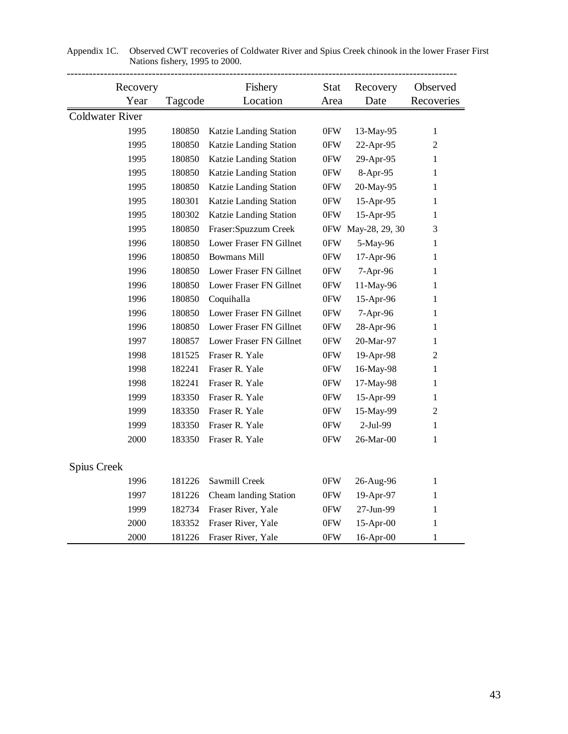| Recovery               |         | Fishery                 | Recovery            | Observed           |                |
|------------------------|---------|-------------------------|---------------------|--------------------|----------------|
| Year                   | Tagcode | Location                | <b>Stat</b><br>Area | Date               | Recoveries     |
| <b>Coldwater River</b> |         |                         |                     |                    |                |
| 1995                   | 180850  | Katzie Landing Station  | 0FW                 | 13-May-95          | $\mathbf{1}$   |
| 1995                   | 180850  | Katzie Landing Station  | 0FW                 | 22-Apr-95          | $\overline{2}$ |
| 1995                   | 180850  | Katzie Landing Station  | 0FW                 | 29-Apr-95          | $\mathbf{1}$   |
| 1995                   | 180850  | Katzie Landing Station  | 0FW                 | 8-Apr-95           | 1              |
| 1995                   | 180850  | Katzie Landing Station  | 0FW                 | 20-May-95          | 1              |
| 1995                   | 180301  | Katzie Landing Station  | 0FW                 | 15-Apr-95          | $\mathbf{1}$   |
| 1995                   | 180302  | Katzie Landing Station  | 0FW                 | 15-Apr-95          | $\mathbf{1}$   |
| 1995                   | 180850  | Fraser: Spuzzum Creek   |                     | 0FW May-28, 29, 30 | 3              |
| 1996                   | 180850  | Lower Fraser FN Gillnet | 0FW                 | 5-May-96           | 1              |
| 1996                   | 180850  | <b>Bowmans Mill</b>     | 0FW                 | 17-Apr-96          | $\mathbf{1}$   |
| 1996                   | 180850  | Lower Fraser FN Gillnet | 0FW                 | 7-Apr-96           | $\mathbf{1}$   |
| 1996                   | 180850  | Lower Fraser FN Gillnet | 0FW                 | 11-May-96          | $\mathbf{1}$   |
| 1996                   | 180850  | Coquihalla              | 0FW                 | 15-Apr-96          | 1              |
| 1996                   | 180850  | Lower Fraser FN Gillnet | 0FW                 | 7-Apr-96           | 1              |
| 1996                   | 180850  | Lower Fraser FN Gillnet | 0FW                 | 28-Apr-96          | $\mathbf{1}$   |
| 1997                   | 180857  | Lower Fraser FN Gillnet | 0FW                 | 20-Mar-97          | $\mathbf{1}$   |
| 1998                   | 181525  | Fraser R. Yale          | 0FW                 | 19-Apr-98          | $\overline{2}$ |
| 1998                   | 182241  | Fraser R. Yale          | 0FW                 | 16-May-98          | $\mathbf{1}$   |
| 1998                   | 182241  | Fraser R. Yale          | 0FW                 | 17-May-98          | $\mathbf{1}$   |
| 1999                   | 183350  | Fraser R. Yale          | 0FW                 | 15-Apr-99          | $\mathbf{1}$   |
| 1999                   | 183350  | Fraser R. Yale          | 0FW                 | 15-May-99          | $\mathbf{2}$   |
| 1999                   | 183350  | Fraser R. Yale          | 0FW                 | 2-Jul-99           | $\mathbf{1}$   |
| 2000                   | 183350  | Fraser R. Yale          | 0FW                 | 26-Mar-00          | $\mathbf{1}$   |
| Spius Creek            |         |                         |                     |                    |                |
| 1996                   | 181226  | Sawmill Creek           | 0FW                 | 26-Aug-96          | $\mathbf{1}$   |
| 1997                   | 181226  | Cheam landing Station   | 0FW                 | 19-Apr-97          | 1              |
| 1999                   | 182734  | Fraser River, Yale      | 0FW                 | 27-Jun-99          | $\mathbf{1}$   |
| 2000                   | 183352  | Fraser River, Yale      | 0FW                 | 15-Apr-00          | 1              |
| 2000                   | 181226  | Fraser River, Yale      | 0FW                 | 16-Apr-00          | 1              |

| Appendix 1C. Observed CWT recoveries of Coldwater River and Spius Creek chinook in the lower Fraser First |
|-----------------------------------------------------------------------------------------------------------|
| Nations fishery, 1995 to 2000.                                                                            |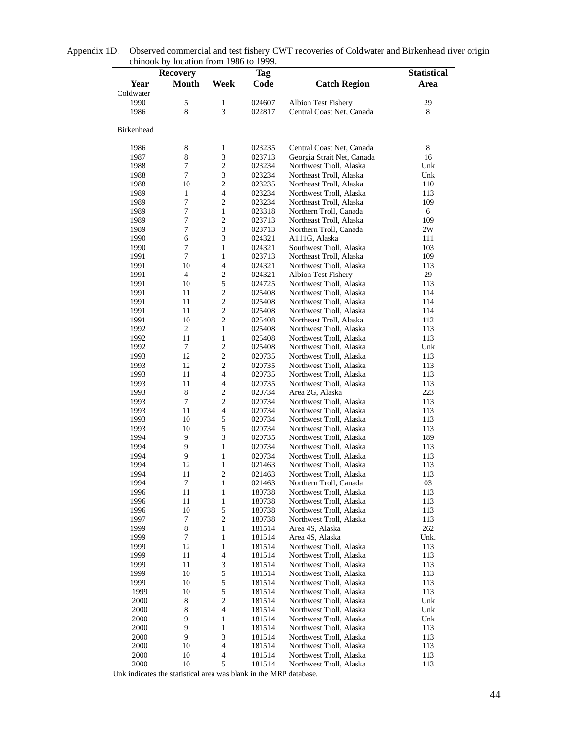|              | $\alpha$ chinoon by focation from 1980 to 1999.<br><b>Recovery</b> |                                        | <b>Tag</b>       |                                                    | <b>Statistical</b> |
|--------------|--------------------------------------------------------------------|----------------------------------------|------------------|----------------------------------------------------|--------------------|
| Year         | <b>Month</b>                                                       | <b>Week</b>                            | Code             | <b>Catch Region</b>                                | Area               |
| Coldwater    |                                                                    |                                        |                  |                                                    |                    |
| 1990         | $\mathfrak s$                                                      | $\mathbf{1}$                           | 024607           | Albion Test Fishery                                | 29                 |
| 1986         | 8                                                                  | 3                                      | 022817           | Central Coast Net, Canada                          | 8                  |
|              |                                                                    |                                        |                  |                                                    |                    |
| Birkenhead   |                                                                    |                                        |                  |                                                    |                    |
|              |                                                                    |                                        |                  |                                                    |                    |
| 1986         | 8                                                                  | 1                                      | 023235           | Central Coast Net, Canada                          | 8                  |
| 1987         | 8                                                                  | $\mathfrak{Z}$                         | 023713           | Georgia Strait Net, Canada                         | 16                 |
| 1988         | $\tau$                                                             | $\mathbf{2}$                           | 023234           | Northwest Troll, Alaska                            | Unk                |
| 1988         | 7                                                                  | $\mathfrak{Z}$                         | 023234           | Northeast Troll, Alaska                            | Unk                |
| 1988         | 10                                                                 | $\mathbf{2}$                           | 023235           | Northeast Troll, Alaska                            | 110                |
| 1989         | 1                                                                  | $\overline{4}$                         | 023234           | Northwest Troll, Alaska                            | 113                |
| 1989         | 7<br>$\boldsymbol{7}$                                              | $\overline{c}$<br>$\mathbf{1}$         | 023234           | Northeast Troll, Alaska                            | 109                |
| 1989<br>1989 | $\boldsymbol{7}$                                                   | $\mathbf{2}$                           | 023318<br>023713 | Northern Troll, Canada<br>Northeast Troll, Alaska  | 6<br>109           |
| 1989         | $\boldsymbol{7}$                                                   | $\mathfrak{Z}$                         | 023713           | Northern Troll, Canada                             | 2W                 |
| 1990         | 6                                                                  | 3                                      | 024321           | A111G, Alaska                                      | 111                |
| 1990         | $\tau$                                                             | $\mathbf{1}$                           | 024321           | Southwest Troll, Alaska                            | 103                |
| 1991         | $\tau$                                                             | $\mathbf{1}$                           | 023713           | Northeast Troll, Alaska                            | 109                |
| 1991         | 10                                                                 | $\overline{4}$                         | 024321           | Northwest Troll, Alaska                            | 113                |
| 1991         | $\overline{4}$                                                     | $\sqrt{2}$                             | 024321           | <b>Albion Test Fishery</b>                         | 29                 |
| 1991         | 10                                                                 | 5                                      | 024725           | Northwest Troll, Alaska                            | 113                |
| 1991         | 11                                                                 | $\mathbf{2}$                           | 025408           | Northwest Troll, Alaska                            | 114                |
| 1991         | 11                                                                 | $\mathbf{2}$                           | 025408           | Northwest Troll, Alaska                            | 114                |
| 1991         | 11                                                                 | $\mathbf{2}$                           | 025408           | Northwest Troll, Alaska                            | 114                |
| 1991         | 10                                                                 | $\mathbf{2}$                           | 025408           | Northeast Troll, Alaska                            | 112                |
| 1992         | $\mathbf{2}$                                                       | $\mathbf{1}$                           | 025408           | Northwest Troll, Alaska                            | 113                |
| 1992         | 11                                                                 | $\mathbf{1}$                           | 025408           | Northwest Troll, Alaska                            | 113                |
| 1992         | $\tau$                                                             | $\sqrt{2}$                             | 025408           | Northwest Troll, Alaska                            | Unk                |
| 1993         | 12                                                                 | $\overline{2}$                         | 020735           | Northwest Troll, Alaska                            | 113                |
| 1993         | 12                                                                 | $\sqrt{2}$                             | 020735           | Northwest Troll, Alaska                            | 113                |
| 1993         | 11                                                                 | $\overline{4}$                         | 020735           | Northwest Troll, Alaska                            | 113                |
| 1993         | 11                                                                 | $\overline{4}$                         | 020735           | Northwest Troll, Alaska                            | 113                |
| 1993         | 8<br>$\tau$                                                        | $\mathbf{2}$<br>$\sqrt{2}$             | 020734           | Area 2G, Alaska                                    | 223                |
| 1993<br>1993 | 11                                                                 | $\overline{4}$                         | 020734<br>020734 | Northwest Troll, Alaska<br>Northwest Troll, Alaska | 113<br>113         |
| 1993         | 10                                                                 | 5                                      | 020734           | Northwest Troll, Alaska                            | 113                |
| 1993         | 10                                                                 | 5                                      | 020734           | Northwest Troll, Alaska                            | 113                |
| 1994         | 9                                                                  | $\mathfrak{Z}$                         | 020735           | Northwest Troll, Alaska                            | 189                |
| 1994         | 9                                                                  | $\mathbf{1}$                           | 020734           | Northwest Troll, Alaska                            | 113                |
| 1994         | 9                                                                  | $\mathbf{1}$                           | 020734           | Northwest Troll, Alaska                            | 113                |
| 1994         | 12                                                                 | $\mathbf{1}$                           | 021463           | Northwest Troll, Alaska                            | 113                |
| 1994         | 11                                                                 | $\mathbf{2}$                           | 021463           | Northwest Troll, Alaska                            | 113                |
| 1994         | $\tau$                                                             | 1                                      | 021463           | Northern Troll, Canada                             | 03                 |
| 1996         | 11                                                                 | $\mathbf{1}$                           | 180738           | Northwest Troll, Alaska                            | 113                |
| 1996         | 11                                                                 | $\,1$                                  | 180738           | Northwest Troll, Alaska                            | 113                |
| 1996         | 10                                                                 | 5                                      | 180738           | Northwest Troll, Alaska                            | 113                |
| 1997         | 7                                                                  | $\sqrt{2}$                             | 180738           | Northwest Troll, Alaska                            | 113                |
| 1999         | $\,8$                                                              | 1                                      | 181514           | Area 4S, Alaska                                    | 262                |
| 1999         | $\tau$                                                             | $\mathbf{1}$                           | 181514           | Area 4S, Alaska                                    | Unk.               |
| 1999         | 12                                                                 | $\,1$                                  | 181514           | Northwest Troll, Alaska                            | 113                |
| 1999         | 11                                                                 | $\overline{\mathcal{L}}$               | 181514           | Northwest Troll, Alaska                            | 113                |
| 1999         | 11                                                                 | 3                                      | 181514           | Northwest Troll, Alaska                            | 113                |
| 1999         | 10                                                                 | 5                                      | 181514           | Northwest Troll, Alaska                            | 113                |
| 1999         | 10                                                                 | 5                                      | 181514           | Northwest Troll, Alaska                            | 113                |
| 1999         | 10                                                                 | 5                                      | 181514           | Northwest Troll, Alaska                            | 113                |
| 2000<br>2000 | 8<br>$\,8\,$                                                       | $\sqrt{2}$<br>$\overline{\mathcal{L}}$ | 181514           | Northwest Troll, Alaska                            | Unk                |
| 2000         | 9                                                                  | $\mathbf{1}$                           | 181514<br>181514 | Northwest Troll, Alaska<br>Northwest Troll, Alaska | Unk<br>Unk         |
| $2000\,$     | 9                                                                  | $\mathbf{1}$                           | 181514           | Northwest Troll, Alaska                            | 113                |
| 2000         | 9                                                                  | 3                                      | 181514           | Northwest Troll, Alaska                            | 113                |
| 2000         | 10                                                                 | $\overline{\mathbf{4}}$                | 181514           | Northwest Troll, Alaska                            | 113                |
| 2000         | 10                                                                 | $\overline{\mathcal{L}}$               | 181514           | Northwest Troll, Alaska                            | 113                |
| 2000         | 10                                                                 | 5                                      | 181514           | Northwest Troll, Alaska                            | 113                |

Appendix 1D. Observed commercial and test fishery CWT recoveries of Coldwater and Birkenhead river origin chinook by location from 1986 to 1999.  $\overline{\phantom{a}}$ 

Unk indicates the statistical area was blank in the MRP database.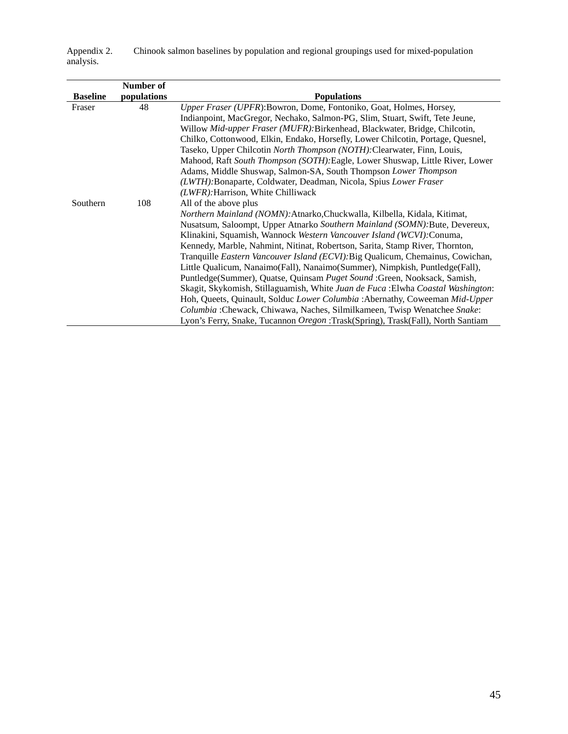Chinook salmon baselines by population and regional groupings used for mixed-population Appendix 2.<br>analysis.

|                 | Number of   |                                                                                        |
|-----------------|-------------|----------------------------------------------------------------------------------------|
| <b>Baseline</b> | populations | <b>Populations</b>                                                                     |
| Fraser          | 48          | Upper Fraser (UPFR): Bowron, Dome, Fontoniko, Goat, Holmes, Horsey,                    |
|                 |             | Indianpoint, MacGregor, Nechako, Salmon-PG, Slim, Stuart, Swift, Tete Jeune,           |
|                 |             | Willow Mid-upper Fraser (MUFR): Birkenhead, Blackwater, Bridge, Chilcotin,             |
|                 |             | Chilko, Cottonwood, Elkin, Endako, Horsefly, Lower Chilcotin, Portage, Quesnel,        |
|                 |             | Taseko, Upper Chilcotin <i>North Thompson (NOTH)</i> : Clearwater, Finn, Louis,        |
|                 |             | Mahood, Raft South Thompson (SOTH): Eagle, Lower Shuswap, Little River, Lower          |
|                 |             | Adams, Middle Shuswap, Salmon-SA, South Thompson Lower Thompson                        |
|                 |             | (LWTH): Bonaparte, Coldwater, Deadman, Nicola, Spius Lower Fraser                      |
|                 |             | (LWFR): Harrison, White Chilliwack                                                     |
| Southern        | 108         | All of the above plus                                                                  |
|                 |             | Northern Mainland (NOMN): Atnarko, Chuckwalla, Kilbella, Kidala, Kitimat,              |
|                 |             | Nusatsum, Saloompt, Upper Atnarko Southern Mainland (SOMN): Bute, Devereux,            |
|                 |             | Klinakini, Squamish, Wannock Western Vancouver Island (WCVI): Conuma,                  |
|                 |             | Kennedy, Marble, Nahmint, Nitinat, Robertson, Sarita, Stamp River, Thornton,           |
|                 |             | Tranquille <i>Eastern Vancouver Island (ECVI)</i> : Big Qualicum, Chemainus, Cowichan, |
|                 |             | Little Qualicum, Nanaimo(Fall), Nanaimo(Summer), Nimpkish, Puntledge(Fall),            |
|                 |             | Puntledge(Summer), Quatse, Quinsam Puget Sound :Green, Nooksack, Samish,               |
|                 |             | Skagit, Skykomish, Stillaguamish, White Juan de Fuca : Elwha Coastal Washington:       |
|                 |             | Hoh, Queets, Quinault, Solduc Lower Columbia : Abernathy, Coweeman Mid-Upper           |
|                 |             | Columbia : Chewack, Chiwawa, Naches, Silmilkameen, Twisp Wenatchee Snake:              |
|                 |             | Lyon's Ferry, Snake, Tucannon Oregon : Trask(Spring), Trask(Fall), North Santiam       |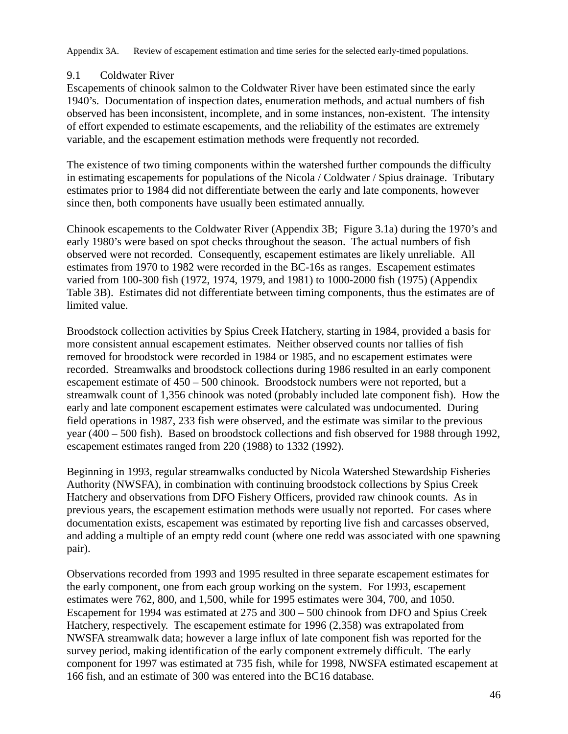Appendix 3A. Review of escapement estimation and time series for the selected early-timed populations.

#### 9.1 Coldwater River

Escapements of chinook salmon to the Coldwater River have been estimated since the early 1940's. Documentation of inspection dates, enumeration methods, and actual numbers of fish observed has been inconsistent, incomplete, and in some instances, non-existent. The intensity of effort expended to estimate escapements, and the reliability of the estimates are extremely variable, and the escapement estimation methods were frequently not recorded.

The existence of two timing components within the watershed further compounds the difficulty in estimating escapements for populations of the Nicola / Coldwater / Spius drainage. Tributary estimates prior to 1984 did not differentiate between the early and late components, however since then, both components have usually been estimated annually.

Chinook escapements to the Coldwater River (Appendix 3B; Figure 3.1a) during the 1970's and early 1980's were based on spot checks throughout the season. The actual numbers of fish observed were not recorded. Consequently, escapement estimates are likely unreliable. All estimates from 1970 to 1982 were recorded in the BC-16s as ranges. Escapement estimates varied from 100-300 fish (1972, 1974, 1979, and 1981) to 1000-2000 fish (1975) (Appendix Table 3B). Estimates did not differentiate between timing components, thus the estimates are of limited value.

Broodstock collection activities by Spius Creek Hatchery, starting in 1984, provided a basis for more consistent annual escapement estimates. Neither observed counts nor tallies of fish removed for broodstock were recorded in 1984 or 1985, and no escapement estimates were recorded. Streamwalks and broodstock collections during 1986 resulted in an early component escapement estimate of 450 – 500 chinook. Broodstock numbers were not reported, but a streamwalk count of 1,356 chinook was noted (probably included late component fish). How the early and late component escapement estimates were calculated was undocumented. During field operations in 1987, 233 fish were observed, and the estimate was similar to the previous year (400 – 500 fish). Based on broodstock collections and fish observed for 1988 through 1992, escapement estimates ranged from 220 (1988) to 1332 (1992).

Beginning in 1993, regular streamwalks conducted by Nicola Watershed Stewardship Fisheries Authority (NWSFA), in combination with continuing broodstock collections by Spius Creek Hatchery and observations from DFO Fishery Officers, provided raw chinook counts. As in previous years, the escapement estimation methods were usually not reported. For cases where documentation exists, escapement was estimated by reporting live fish and carcasses observed, and adding a multiple of an empty redd count (where one redd was associated with one spawning pair).

Observations recorded from 1993 and 1995 resulted in three separate escapement estimates for the early component, one from each group working on the system. For 1993, escapement estimates were 762, 800, and 1,500, while for 1995 estimates were 304, 700, and 1050. Escapement for 1994 was estimated at 275 and 300 – 500 chinook from DFO and Spius Creek Hatchery, respectively. The escapement estimate for 1996 (2,358) was extrapolated from NWSFA streamwalk data; however a large influx of late component fish was reported for the survey period, making identification of the early component extremely difficult. The early component for 1997 was estimated at 735 fish, while for 1998, NWSFA estimated escapement at 166 fish, and an estimate of 300 was entered into the BC16 database.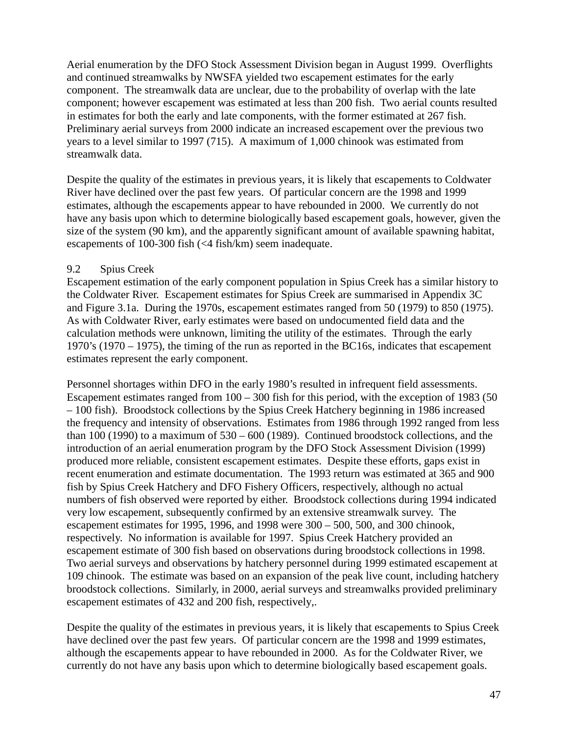Aerial enumeration by the DFO Stock Assessment Division began in August 1999. Overflights and continued streamwalks by NWSFA yielded two escapement estimates for the early component. The streamwalk data are unclear, due to the probability of overlap with the late component; however escapement was estimated at less than 200 fish. Two aerial counts resulted in estimates for both the early and late components, with the former estimated at 267 fish. Preliminary aerial surveys from 2000 indicate an increased escapement over the previous two years to a level similar to 1997 (715). A maximum of 1,000 chinook was estimated from streamwalk data.

Despite the quality of the estimates in previous years, it is likely that escapements to Coldwater River have declined over the past few years. Of particular concern are the 1998 and 1999 estimates, although the escapements appear to have rebounded in 2000. We currently do not have any basis upon which to determine biologically based escapement goals, however, given the size of the system (90 km), and the apparently significant amount of available spawning habitat, escapements of 100-300 fish (<4 fish/km) seem inadequate.

#### 9.2 Spius Creek

Escapement estimation of the early component population in Spius Creek has a similar history to the Coldwater River. Escapement estimates for Spius Creek are summarised in Appendix 3C and Figure 3.1a. During the 1970s, escapement estimates ranged from 50 (1979) to 850 (1975). As with Coldwater River, early estimates were based on undocumented field data and the calculation methods were unknown, limiting the utility of the estimates. Through the early 1970's (1970 – 1975), the timing of the run as reported in the BC16s, indicates that escapement estimates represent the early component.

Personnel shortages within DFO in the early 1980's resulted in infrequent field assessments. Escapement estimates ranged from  $100 - 300$  fish for this period, with the exception of 1983 (50) – 100 fish). Broodstock collections by the Spius Creek Hatchery beginning in 1986 increased the frequency and intensity of observations. Estimates from 1986 through 1992 ranged from less than 100 (1990) to a maximum of 530 – 600 (1989). Continued broodstock collections, and the introduction of an aerial enumeration program by the DFO Stock Assessment Division (1999) produced more reliable, consistent escapement estimates. Despite these efforts, gaps exist in recent enumeration and estimate documentation. The 1993 return was estimated at 365 and 900 fish by Spius Creek Hatchery and DFO Fishery Officers, respectively, although no actual numbers of fish observed were reported by either. Broodstock collections during 1994 indicated very low escapement, subsequently confirmed by an extensive streamwalk survey. The escapement estimates for 1995, 1996, and 1998 were 300 – 500, 500, and 300 chinook, respectively. No information is available for 1997. Spius Creek Hatchery provided an escapement estimate of 300 fish based on observations during broodstock collections in 1998. Two aerial surveys and observations by hatchery personnel during 1999 estimated escapement at 109 chinook. The estimate was based on an expansion of the peak live count, including hatchery broodstock collections. Similarly, in 2000, aerial surveys and streamwalks provided preliminary escapement estimates of 432 and 200 fish, respectively,.

Despite the quality of the estimates in previous years, it is likely that escapements to Spius Creek have declined over the past few years. Of particular concern are the 1998 and 1999 estimates, although the escapements appear to have rebounded in 2000. As for the Coldwater River, we currently do not have any basis upon which to determine biologically based escapement goals.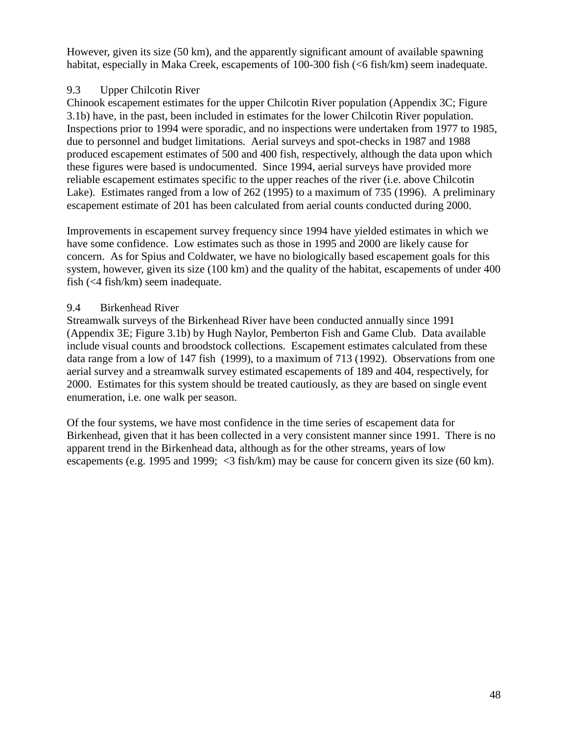However, given its size (50 km), and the apparently significant amount of available spawning habitat, especially in Maka Creek, escapements of 100-300 fish (<6 fish/km) seem inadequate.

#### 9.3 Upper Chilcotin River

Chinook escapement estimates for the upper Chilcotin River population (Appendix 3C; Figure 3.1b) have, in the past, been included in estimates for the lower Chilcotin River population. Inspections prior to 1994 were sporadic, and no inspections were undertaken from 1977 to 1985, due to personnel and budget limitations. Aerial surveys and spot-checks in 1987 and 1988 produced escapement estimates of 500 and 400 fish, respectively, although the data upon which these figures were based is undocumented. Since 1994, aerial surveys have provided more reliable escapement estimates specific to the upper reaches of the river (i.e. above Chilcotin Lake). Estimates ranged from a low of 262 (1995) to a maximum of 735 (1996). A preliminary escapement estimate of 201 has been calculated from aerial counts conducted during 2000.

Improvements in escapement survey frequency since 1994 have yielded estimates in which we have some confidence. Low estimates such as those in 1995 and 2000 are likely cause for concern. As for Spius and Coldwater, we have no biologically based escapement goals for this system, however, given its size (100 km) and the quality of the habitat, escapements of under 400 fish (<4 fish/km) seem inadequate.

#### 9.4 Birkenhead River

Streamwalk surveys of the Birkenhead River have been conducted annually since 1991 (Appendix 3E; Figure 3.1b) by Hugh Naylor, Pemberton Fish and Game Club. Data available include visual counts and broodstock collections. Escapement estimates calculated from these data range from a low of 147 fish (1999), to a maximum of 713 (1992). Observations from one aerial survey and a streamwalk survey estimated escapements of 189 and 404, respectively, for 2000. Estimates for this system should be treated cautiously, as they are based on single event enumeration, i.e. one walk per season.

Of the four systems, we have most confidence in the time series of escapement data for Birkenhead, given that it has been collected in a very consistent manner since 1991. There is no apparent trend in the Birkenhead data, although as for the other streams, years of low escapements (e.g. 1995 and 1999; <3 fish/km) may be cause for concern given its size (60 km).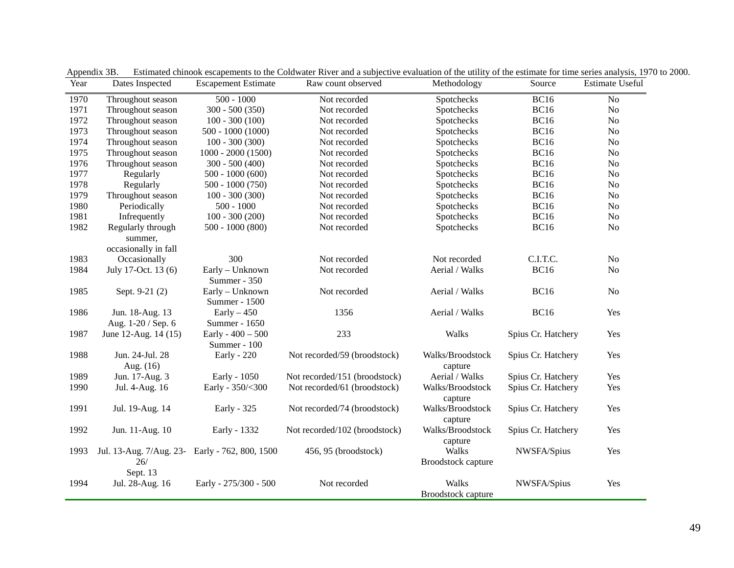| Year | Dates Inspected                                       | <b>Escapement Estimate</b>       | Raw count observed            | Methodology                 | Source             | Estimate Useful |
|------|-------------------------------------------------------|----------------------------------|-------------------------------|-----------------------------|--------------------|-----------------|
| 1970 | Throughout season                                     | $500 - 1000$                     | Not recorded                  | Spotchecks                  | <b>BC16</b>        | N <sub>o</sub>  |
| 1971 | Throughout season                                     | $300 - 500(350)$                 | Not recorded                  | Spotchecks                  | <b>BC16</b>        | No              |
| 1972 | Throughout season                                     | $100 - 300(100)$                 | Not recorded                  | Spotchecks                  | <b>BC16</b>        | N <sub>o</sub>  |
| 1973 | Throughout season                                     | $500 - 1000(1000)$               | Not recorded                  | Spotchecks                  | <b>BC16</b>        | No              |
| 1974 | Throughout season                                     | $100 - 300(300)$                 | Not recorded                  | Spotchecks                  | <b>BC16</b>        | N <sub>o</sub>  |
| 1975 | Throughout season                                     | $1000 - 2000(1500)$              | Not recorded                  | Spotchecks                  | <b>BC16</b>        | N <sub>o</sub>  |
| 1976 | Throughout season                                     | $300 - 500(400)$                 | Not recorded                  | Spotchecks                  | <b>BC16</b>        | N <sub>o</sub>  |
| 1977 | Regularly                                             | $500 - 1000(600)$                | Not recorded                  | Spotchecks                  | <b>BC16</b>        | $\rm No$        |
| 1978 | Regularly                                             | $500 - 1000(750)$                | Not recorded                  | Spotchecks                  | <b>BC16</b>        | N <sub>o</sub>  |
| 1979 | Throughout season                                     | $100 - 300(300)$                 | Not recorded                  | Spotchecks                  | <b>BC16</b>        | N <sub>o</sub>  |
| 1980 | Periodically                                          | $500 - 1000$                     | Not recorded                  | Spotchecks                  | <b>BC16</b>        | N <sub>o</sub>  |
| 1981 | Infrequently                                          | $100 - 300(200)$                 | Not recorded                  | Spotchecks                  | <b>BC16</b>        | N <sub>o</sub>  |
| 1982 | Regularly through                                     | $500 - 1000(800)$                | Not recorded                  | Spotchecks                  | <b>BC16</b>        | No              |
|      | summer,<br>occasionally in fall                       |                                  |                               |                             |                    |                 |
| 1983 | Occasionally                                          | 300                              | Not recorded                  | Not recorded                | C.I.T.C.           | N <sub>o</sub>  |
| 1984 | July 17-Oct. 13 (6)                                   | Early - Unknown<br>Summer - 350  | Not recorded                  | Aerial / Walks              | <b>BC16</b>        | N <sub>o</sub>  |
| 1985 | Sept. 9-21 (2)                                        | Early - Unknown<br>Summer - 1500 | Not recorded                  | Aerial / Walks              | <b>BC16</b>        | N <sub>o</sub>  |
| 1986 | Jun. 18-Aug. 13                                       | $Early-450$                      | 1356                          | Aerial / Walks              | <b>BC16</b>        | Yes             |
|      | Aug. 1-20 / Sep. 6                                    | Summer - 1650                    |                               |                             |                    |                 |
| 1987 | June 12-Aug. 14 (15)                                  | Early - $400 - 500$              | 233                           | Walks                       | Spius Cr. Hatchery | Yes             |
|      |                                                       | Summer - 100                     |                               |                             |                    |                 |
| 1988 | Jun. 24-Jul. 28<br>Aug. (16)                          | Early - 220                      | Not recorded/59 (broodstock)  | Walks/Broodstock<br>capture | Spius Cr. Hatchery | Yes             |
| 1989 | Jun. 17-Aug. 3                                        | Early - 1050                     | Not recorded/151 (broodstock) | Aerial / Walks              | Spius Cr. Hatchery | Yes             |
| 1990 | Jul. 4-Aug. 16                                        | Early - 350/<300                 | Not recorded/61 (broodstock)  | Walks/Broodstock            | Spius Cr. Hatchery | Yes             |
|      |                                                       |                                  |                               | capture                     |                    |                 |
| 1991 | Jul. 19-Aug. 14                                       | Early - 325                      | Not recorded/74 (broodstock)  | Walks/Broodstock<br>capture | Spius Cr. Hatchery | Yes             |
| 1992 | Jun. 11-Aug. 10                                       | Early - 1332                     | Not recorded/102 (broodstock) | Walks/Broodstock            | Spius Cr. Hatchery | Yes             |
|      |                                                       |                                  |                               | capture                     |                    |                 |
| 1993 | Jul. 13-Aug. 7/Aug. 23- Early - 762, 800, 1500<br>26/ |                                  | 456, 95 (broodstock)          | Walks<br>Broodstock capture | NWSFA/Spius        | Yes             |
| 1994 | Sept. 13<br>Jul. 28-Aug. 16                           | Early - 275/300 - 500            | Not recorded                  | Walks<br>Broodstock capture | NWSFA/Spius        | Yes             |

Appendix 3B. Estimated chinook escapements to the Coldwater River and a subjective evaluation of the utility of the estimate for time series analysis, 1970 to 2000.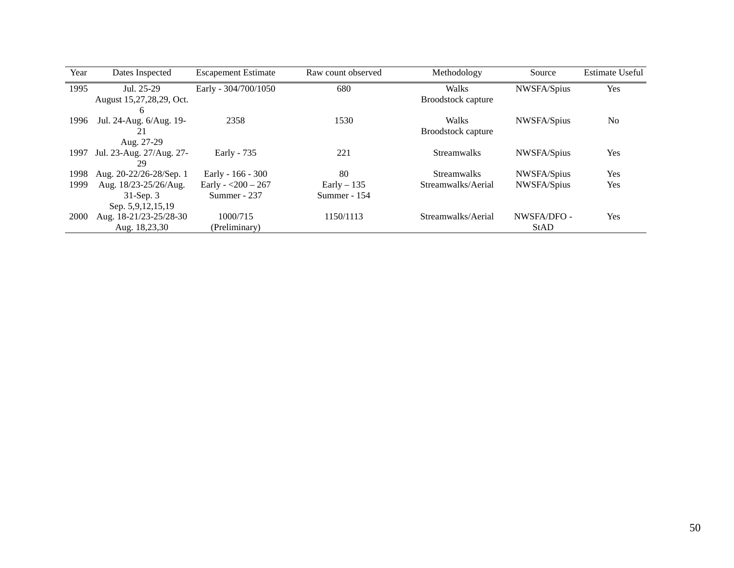| Year | Dates Inspected          | <b>Escapement Estimate</b> | Raw count observed | Methodology               | Source      | <b>Estimate Useful</b> |
|------|--------------------------|----------------------------|--------------------|---------------------------|-------------|------------------------|
| 1995 | Jul. 25-29               | Early - 304/700/1050       | 680                | Walks                     | NWSFA/Spius | Yes                    |
|      | August 15,27,28,29, Oct. |                            |                    | <b>Broodstock capture</b> |             |                        |
|      | 6                        |                            |                    |                           |             |                        |
| 1996 | Jul. 24-Aug. 6/Aug. 19-  | 2358                       | 1530               | Walks                     | NWSFA/Spius | N <sub>0</sub>         |
|      | 21                       |                            |                    | <b>Broodstock capture</b> |             |                        |
|      | Aug. 27-29               |                            |                    |                           |             |                        |
| 1997 | Jul. 23-Aug. 27/Aug. 27- | Early - 735                | 221                | <b>Streamwalks</b>        | NWSFA/Spius | Yes                    |
|      | 29                       |                            |                    |                           |             |                        |
| 1998 | Aug. 20-22/26-28/Sep. 1  | Early - 166 - 300          | 80                 | <b>Streamwalks</b>        | NWSFA/Spius | Yes                    |
| 1999 | Aug. 18/23-25/26/Aug.    | Early - $<$ 200 - 267      | Early $-135$       | Streamwalks/Aerial        | NWSFA/Spius | Yes                    |
|      | $31$ -Sep. 3             | Summer - 237               | Summer - 154       |                           |             |                        |
|      | Sep. 5,9,12,15,19        |                            |                    |                           |             |                        |
| 2000 | Aug. 18-21/23-25/28-30   | 1000/715                   | 1150/1113          | Streamwalks/Aerial        | NWSFA/DFO - | Yes                    |
|      | Aug. 18,23,30            | (Preliminary)              |                    |                           | StAD        |                        |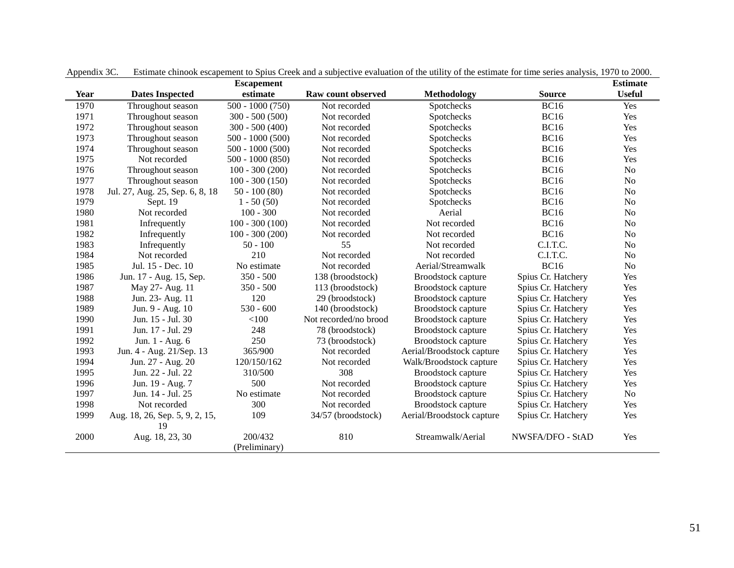|             |                                 | <b>Escapement</b> |                       |                           |                    |                |  |  |
|-------------|---------------------------------|-------------------|-----------------------|---------------------------|--------------------|----------------|--|--|
| <b>Year</b> | <b>Dates Inspected</b>          | estimate          | Raw count observed    | <b>Methodology</b>        | <b>Source</b>      | <b>Useful</b>  |  |  |
| 1970        | Throughout season               | $500 - 1000(750)$ | Not recorded          | Spotchecks                | <b>BC16</b>        | Yes            |  |  |
| 1971        | Throughout season               | $300 - 500(500)$  | Not recorded          | Spotchecks                | <b>BC16</b>        | Yes            |  |  |
| 1972        | Throughout season               | $300 - 500(400)$  | Not recorded          | Spotchecks                | <b>BC16</b>        | Yes            |  |  |
| 1973        | Throughout season               | $500 - 1000(500)$ | Not recorded          | Spotchecks                | <b>BC16</b>        | Yes            |  |  |
| 1974        | Throughout season               | $500 - 1000(500)$ | Not recorded          | Spotchecks                | <b>BC16</b>        | Yes            |  |  |
| 1975        | Not recorded                    | $500 - 1000(850)$ | Not recorded          | Spotchecks                | <b>BC16</b>        | Yes            |  |  |
| 1976        | Throughout season               | $100 - 300(200)$  | Not recorded          | Spotchecks                | <b>BC16</b>        | N <sub>o</sub> |  |  |
| 1977        | Throughout season               | $100 - 300(150)$  | Not recorded          | Spotchecks                | <b>BC16</b>        | No             |  |  |
| 1978        | Jul. 27, Aug. 25, Sep. 6, 8, 18 | $50 - 100(80)$    | Not recorded          | Spotchecks                | <b>BC16</b>        | N <sub>o</sub> |  |  |
| 1979        | Sept. 19                        | $1 - 50(50)$      | Not recorded          | Spotchecks                | <b>BC16</b>        | N <sub>o</sub> |  |  |
| 1980        | Not recorded                    | $100 - 300$       | Not recorded          | Aerial                    | <b>BC16</b>        | N <sub>o</sub> |  |  |
| 1981        | Infrequently                    | $100 - 300(100)$  | Not recorded          | Not recorded              | <b>BC16</b>        | N <sub>o</sub> |  |  |
| 1982        | Infrequently                    | $100 - 300(200)$  | Not recorded          | Not recorded              | <b>BC16</b>        | N <sub>o</sub> |  |  |
| 1983        | Infrequently                    | $50 - 100$        | 55                    | Not recorded              | C.I.T.C.           | N <sub>o</sub> |  |  |
| 1984        | Not recorded                    | 210               | Not recorded          | Not recorded              | C.I.T.C.           | No             |  |  |
| 1985        | Jul. 15 - Dec. 10               | No estimate       | Not recorded          | Aerial/Streamwalk         | <b>BC16</b>        | N <sub>o</sub> |  |  |
| 1986        | Jun. 17 - Aug. 15, Sep.         | $350 - 500$       | 138 (broodstock)      | Broodstock capture        | Spius Cr. Hatchery | Yes            |  |  |
| 1987        | May 27- Aug. 11                 | $350 - 500$       | 113 (broodstock)      | Broodstock capture        | Spius Cr. Hatchery | Yes            |  |  |
| 1988        | Jun. 23- Aug. 11                | 120               | 29 (broodstock)       | <b>Broodstock capture</b> | Spius Cr. Hatchery | Yes            |  |  |
| 1989        | Jun. 9 - Aug. 10                | $530 - 600$       | 140 (broodstock)      | Broodstock capture        | Spius Cr. Hatchery | Yes            |  |  |
| 1990        | Jun. 15 - Jul. 30               | < 100             | Not recorded/no brood | Broodstock capture        | Spius Cr. Hatchery | Yes            |  |  |
| 1991        | Jun. 17 - Jul. 29               | 248               | 78 (broodstock)       | Broodstock capture        | Spius Cr. Hatchery | Yes            |  |  |
| 1992        | Jun. 1 - Aug. 6                 | 250               | 73 (broodstock)       | Broodstock capture        | Spius Cr. Hatchery | Yes            |  |  |
| 1993        | Jun. 4 - Aug. 21/Sep. 13        | 365/900           | Not recorded          | Aerial/Broodstock capture | Spius Cr. Hatchery | Yes            |  |  |
| 1994        | Jun. 27 - Aug. 20               | 120/150/162       | Not recorded          | Walk/Broodstock capture   | Spius Cr. Hatchery | Yes            |  |  |
| 1995        | Jun. 22 - Jul. 22               | 310/500           | 308                   | Broodstock capture        | Spius Cr. Hatchery | Yes            |  |  |
| 1996        | Jun. 19 - Aug. 7                | 500               | Not recorded          | Broodstock capture        | Spius Cr. Hatchery | Yes            |  |  |
| 1997        | Jun. 14 - Jul. 25               | No estimate       | Not recorded          | Broodstock capture        | Spius Cr. Hatchery | N <sub>o</sub> |  |  |
| 1998        | Not recorded                    | 300               | Not recorded          | Broodstock capture        | Spius Cr. Hatchery | Yes            |  |  |
| 1999        | Aug. 18, 26, Sep. 5, 9, 2, 15,  | 109               | 34/57 (broodstock)    | Aerial/Broodstock capture | Spius Cr. Hatchery | Yes            |  |  |
|             | 19                              |                   |                       |                           |                    |                |  |  |
| 2000        | Aug. 18, 23, 30                 | 200/432           | 810                   | Streamwalk/Aerial         | NWSFA/DFO - StAD   | Yes            |  |  |
|             |                                 | (Preliminary)     |                       |                           |                    |                |  |  |

Appendix 3C. Estimate chinook escapement to Spius Creek and a subjective evaluation of the utility of the estimate for time series analysis, 1970 to 2000.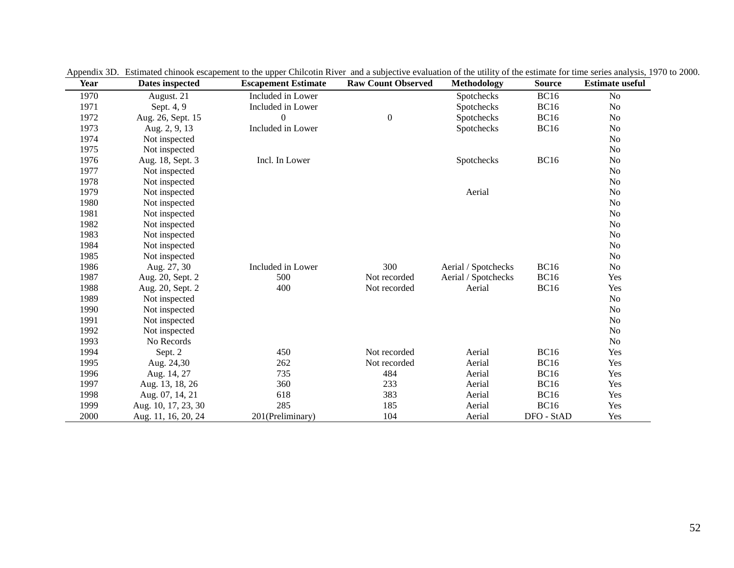| Year | Dates inspected     | <b>Escapement Estimate</b> | <b>Raw Count Observed</b> | Methodology         | <b>Source</b> | <b>Estimate useful</b> |
|------|---------------------|----------------------------|---------------------------|---------------------|---------------|------------------------|
| 1970 | August. 21          | Included in Lower          |                           | Spotchecks          | <b>BC16</b>   | No                     |
| 1971 | Sept. 4, 9          | Included in Lower          |                           | Spotchecks          | <b>BC16</b>   | No                     |
| 1972 | Aug. 26, Sept. 15   | $\mathbf{0}$               | $\boldsymbol{0}$          | Spotchecks          | <b>BC16</b>   | N <sub>o</sub>         |
| 1973 | Aug. 2, 9, 13       | Included in Lower          |                           | Spotchecks          | <b>BC16</b>   | No                     |
| 1974 | Not inspected       |                            |                           |                     |               | No                     |
| 1975 | Not inspected       |                            |                           |                     |               | N <sub>o</sub>         |
| 1976 | Aug. 18, Sept. 3    | Incl. In Lower             |                           | Spotchecks          | <b>BC16</b>   | No                     |
| 1977 | Not inspected       |                            |                           |                     |               | No                     |
| 1978 | Not inspected       |                            |                           |                     |               | N <sub>o</sub>         |
| 1979 | Not inspected       |                            |                           | Aerial              |               | N <sub>o</sub>         |
| 1980 | Not inspected       |                            |                           |                     |               | No                     |
| 1981 | Not inspected       |                            |                           |                     |               | N <sub>o</sub>         |
| 1982 | Not inspected       |                            |                           |                     |               | N <sub>o</sub>         |
| 1983 | Not inspected       |                            |                           |                     |               | N <sub>o</sub>         |
| 1984 | Not inspected       |                            |                           |                     |               | N <sub>o</sub>         |
| 1985 | Not inspected       |                            |                           |                     |               | No                     |
| 1986 | Aug. 27, 30         | Included in Lower          | 300                       | Aerial / Spotchecks | <b>BC16</b>   | No                     |
| 1987 | Aug. 20, Sept. 2    | 500                        | Not recorded              | Aerial / Spotchecks | <b>BC16</b>   | Yes                    |
| 1988 | Aug. 20, Sept. 2    | 400                        | Not recorded              | Aerial              | <b>BC16</b>   | Yes                    |
| 1989 | Not inspected       |                            |                           |                     |               | No                     |
| 1990 | Not inspected       |                            |                           |                     |               | No                     |
| 1991 | Not inspected       |                            |                           |                     |               | No                     |
| 1992 | Not inspected       |                            |                           |                     |               | No                     |
| 1993 | No Records          |                            |                           |                     |               | No                     |
| 1994 | Sept. 2             | 450                        | Not recorded              | Aerial              | <b>BC16</b>   | Yes                    |
| 1995 | Aug. 24,30          | 262                        | Not recorded              | Aerial              | <b>BC16</b>   | Yes                    |
| 1996 | Aug. 14, 27         | 735                        | 484                       | Aerial              | <b>BC16</b>   | Yes                    |
| 1997 | Aug. 13, 18, 26     | 360                        | 233                       | Aerial              | <b>BC16</b>   | Yes                    |
| 1998 | Aug. 07, 14, 21     | 618                        | 383                       | Aerial              | <b>BC16</b>   | Yes                    |
| 1999 | Aug. 10, 17, 23, 30 | 285                        | 185                       | Aerial              | <b>BC16</b>   | Yes                    |
| 2000 | Aug. 11, 16, 20, 24 | 201(Preliminary)           | 104                       | Aerial              | DFO - StAD    | Yes                    |

Appendix 3D. Estimated chinook escapement to the upper Chilcotin River and a subjective evaluation of the utility of the estimate for time series analysis, 1970 to 2000.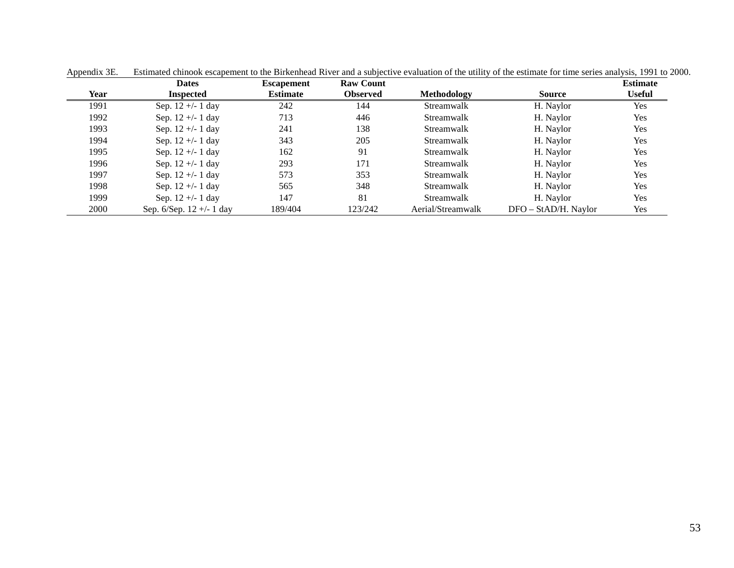|             | <b>Dates</b>                  | <b>Escapement</b> | <b>Raw Count</b> |                   |                      | <b>Estimate</b> |
|-------------|-------------------------------|-------------------|------------------|-------------------|----------------------|-----------------|
| <b>Year</b> | <b>Inspected</b>              | <b>Estimate</b>   | <b>Observed</b>  | Methodology       | <b>Source</b>        | <b>Useful</b>   |
| 1991        | Sep. $12 + - 1$ day           | 242               | 144              | Streamwalk        | H. Naylor            | Yes             |
| 1992        | Sep. $12 + - 1$ day           | 713               | 446              | Streamwalk        | H. Naylor            | Yes             |
| 1993        | Sep. $12 +/- 1$ day           | 241               | 138              | <b>Streamwalk</b> | H. Naylor            | Yes             |
| 1994        | Sep. $12 +/- 1$ day           | 343               | 205              | <b>Streamwalk</b> | H. Naylor            | Yes             |
| 1995        | Sep. $12 + - 1$ day           | 162               | 91               | Streamwalk        | H. Naylor            | Yes             |
| 1996        | Sep. $12 +/- 1$ day           | 293               | 171              | Streamwalk        | H. Naylor            | Yes             |
| 1997        | Sep. $12 +/- 1$ day           | 573               | 353              | Streamwalk        | H. Naylor            | Yes             |
| 1998        | Sep. $12 + - 1$ day           | 565               | 348              | Streamwalk        | H. Naylor            | Yes             |
| 1999        | Sep. $12 + - 1$ day           | 147               | 81               | <b>Streamwalk</b> | H. Naylor            | Yes             |
| 2000        | Sep. $6/$ Sep. $12 +/- 1$ day | 189/404           | 123/242          | Aerial/Streamwalk | DFO - StAD/H. Naylor | Yes             |

Appendix 3E. Estimated chinook escapement to the Birkenhead River and a subjective evaluation of the utility of the estimate for time series analysis, 1991 to 2000.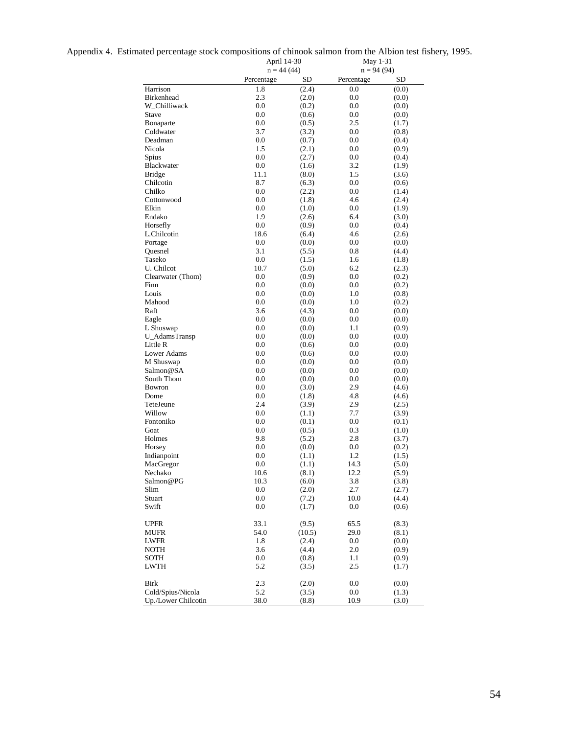|  | Appendix 4. Estimated percentage stock compositions of chinook salmon from the Albion test fishery, 1995. |  |  |  |  |
|--|-----------------------------------------------------------------------------------------------------------|--|--|--|--|
|  |                                                                                                           |  |  |  |  |

|                                   | April 14-30        |                 | May 1-31     |                |  |  |  |
|-----------------------------------|--------------------|-----------------|--------------|----------------|--|--|--|
|                                   | $n = 44(44)$       |                 | $n = 94(94)$ |                |  |  |  |
|                                   | Percentage         | SD              | Percentage   | SD             |  |  |  |
| Harrison                          | 1.8                | (2.4)           | 0.0          | (0.0)          |  |  |  |
| <b>Birkenhead</b><br>W Chilliwack | 2.3<br>0.0         | (2.0)<br>(0.2)  | 0.0<br>0.0   | (0.0)          |  |  |  |
| Stave                             | 0.0                | (0.6)           | 0.0          | (0.0)<br>(0.0) |  |  |  |
| Bonaparte                         | 0.0                | (0.5)           | 2.5          | (1.7)          |  |  |  |
| Coldwater                         | 3.7                | (3.2)           | $0.0\,$      | (0.8)          |  |  |  |
| Deadman                           | 0.0                | (0.7)           | 0.0          | (0.4)          |  |  |  |
| Nicola                            | 1.5                | (2.1)           | 0.0          | (0.9)          |  |  |  |
| Spius                             | $0.0\,$            | (2.7)           | 0.0          | (0.4)          |  |  |  |
| Blackwater                        | 0.0                | (1.6)           | 3.2          | (1.9)          |  |  |  |
| <b>Bridge</b>                     | 11.1               | (8.0)           | 1.5          | (3.6)          |  |  |  |
| Chilcotin                         | 8.7                | (6.3)           | 0.0          | (0.6)          |  |  |  |
| Chilko                            | 0.0                | (2.2)           | 0.0          | (1.4)          |  |  |  |
| Cottonwood                        | 0.0                | (1.8)           | 4.6          | (2.4)          |  |  |  |
| Elkin                             | $0.0\,$            | (1.0)           | 0.0          | (1.9)          |  |  |  |
| Endako                            | 1.9                | (2.6)           | 6.4          | (3.0)          |  |  |  |
| Horsefly                          | $0.0\,$            | (0.9)           | 0.0          | (0.4)          |  |  |  |
| L.Chilcotin                       | 18.6               | (6.4)           | 4.6          | (2.6)          |  |  |  |
| Portage                           | 0.0                | (0.0)           | 0.0          | (0.0)          |  |  |  |
| Quesnel                           | 3.1                | (5.5)           | 0.8          | (4.4)          |  |  |  |
| Taseko                            | 0.0                | (1.5)           | 1.6          | (1.8)          |  |  |  |
| U. Chilcot                        | 10.7               | (5.0)           | 6.2          | (2.3)          |  |  |  |
| Clearwater (Thom)                 | 0.0                | (0.9)           | $0.0\,$      | (0.2)          |  |  |  |
| Finn                              | $0.0\,$            | (0.0)           | 0.0          | (0.2)          |  |  |  |
| Louis                             | 0.0                | (0.0)           | 1.0          | (0.8)          |  |  |  |
| Mahood                            | $0.0\,$            | (0.0)           | 1.0          | (0.2)          |  |  |  |
| Raft                              | 3.6                | (4.3)           | 0.0<br>0.0   | (0.0)          |  |  |  |
| Eagle<br>L Shuswap                | $0.0\,$<br>$0.0\,$ | (0.0)<br>(0.0)  | 1.1          | (0.0)<br>(0.9) |  |  |  |
| U_AdamsTransp                     | $0.0\,$            | (0.0)           | 0.0          | (0.0)          |  |  |  |
| Little R                          | 0.0                | (0.6)           | 0.0          | (0.0)          |  |  |  |
| Lower Adams                       | 0.0                | (0.6)           | 0.0          | (0.0)          |  |  |  |
| M Shuswap                         | 0.0                | (0.0)           | 0.0          | (0.0)          |  |  |  |
| Salmon@SA                         | $0.0\,$            | (0.0)           | 0.0          | (0.0)          |  |  |  |
| South Thom                        | 0.0                | (0.0)           | 0.0          | (0.0)          |  |  |  |
| Bowron                            | 0.0                | (3.0)           | 2.9          | (4.6)          |  |  |  |
| Dome                              | $0.0\,$            | (1.8)           | 4.8          | (4.6)          |  |  |  |
| TeteJeune                         | 2.4                | (3.9)           | 2.9          | (2.5)          |  |  |  |
| Willow                            | $0.0\,$            | (1.1)           | 7.7          | (3.9)          |  |  |  |
| Fontoniko                         | $0.0\,$            | (0.1)           | $0.0\,$      | (0.1)          |  |  |  |
| Goat                              | $0.0\,$            | (0.5)           | 0.3          | (1.0)          |  |  |  |
| Holmes                            | 9.8                | (5.2)           | 2.8          | (3.7)          |  |  |  |
| Horsey                            | $0.0\,$            | (0.0)           | 0.0          | (0.2)          |  |  |  |
| Indianpoint                       | $0.0\,$            | (1.1)           | 1.2          | (1.5)          |  |  |  |
| MacGregor                         | 0.0                | (1.1)           | 14.3         | (5.0)          |  |  |  |
| Nechako                           | 10.6               | (8.1)           | 12.2         | (5.9)          |  |  |  |
| Salmon@PG                         | 10.3               | (6.0)           | 3.8          | (3.8)          |  |  |  |
| Slim                              | 0.0                | (2.0)           | 2.7          | (2.7)          |  |  |  |
| Stuart                            | $0.0\,$            | (7.2)           | 10.0         | (4.4)          |  |  |  |
| Swift                             | $0.0\,$            | (1.7)           | 0.0          | (0.6)          |  |  |  |
|                                   |                    |                 |              |                |  |  |  |
| <b>UPFR</b><br>MUFR               | 33.1<br>54.0       | (9.5)<br>(10.5) | 65.5<br>29.0 | (8.3)<br>(8.1) |  |  |  |
| LWFR                              | 1.8                | (2.4)           | $0.0\,$      | (0.0)          |  |  |  |
| NOTH                              | 3.6                | (4.4)           | 2.0          | (0.9)          |  |  |  |
| <b>SOTH</b>                       | $0.0\,$            | (0.8)           | 1.1          | (0.9)          |  |  |  |
| <b>LWTH</b>                       | 5.2                | (3.5)           | 2.5          | (1.7)          |  |  |  |
|                                   |                    |                 |              |                |  |  |  |
| Birk                              | 2.3                | (2.0)           | 0.0          | (0.0)          |  |  |  |
| Cold/Spius/Nicola                 | 5.2                | (3.5)           | $0.0\,$      | (1.3)          |  |  |  |
| Up./Lower Chilcotin               | 38.0               | (8.8)           | 10.9         | (3.0)          |  |  |  |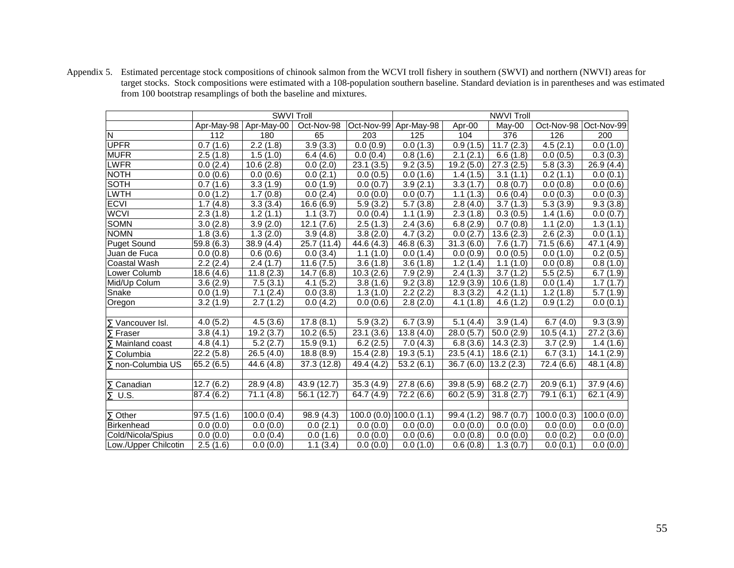|                          |            | <b>SWVI Troll</b> |             |            | <b>NWVI Troll</b>            |                        |                        |                         |            |  |  |  |
|--------------------------|------------|-------------------|-------------|------------|------------------------------|------------------------|------------------------|-------------------------|------------|--|--|--|
|                          | Apr-May-98 | Apr-May-00        | Oct-Nov-98  |            | Oct-Nov-99 Apr-May-98        | Apr-00                 | May-00                 | Oct-Nov-98   Oct-Nov-99 |            |  |  |  |
| N                        | 112        | 180               | 65          | 203        | 125                          | 104                    | 376                    | 126                     | 200        |  |  |  |
| <b>UPFR</b>              | 0.7(1.6)   | 2.2(1.8)          | 3.9(3.3)    | 0.0(0.9)   | 0.0(1.3)                     | 0.9(1.5)               | 11.7(2.3)              | 4.5(2.1)                | 0.0(1.0)   |  |  |  |
| <b>MUFR</b>              | 2.5(1.8)   | 1.5(1.0)          | 6.4(4.6)    | 0.0(0.4)   | 0.8(1.6)                     | 2.1(2.1)               | 6.6(1.8)               | 0.0(0.5)                | 0.3(0.3)   |  |  |  |
| LWFR                     | 0.0(2.4)   | 10.6(2.8)         | 0.0(2.0)    | 23.1(3.5)  | 9.2(3.5)                     | 19.2(5.0)              | 27.3(2.5)              | 5.8(3.3)                | 26.9(4.4)  |  |  |  |
| <b>NOTH</b>              | 0.0(0.6)   | 0.0(0.6)          | 0.0(2.1)    | 0.0(0.5)   | 0.0(1.6)                     | 1.4(1.5)               | 3.1(1.1)               | 0.2(1.1)                | 0.0(0.1)   |  |  |  |
| <b>SOTH</b>              | 0.7(1.6)   | 3.3(1.9)          | 0.0(1.9)    | 0.0(0.7)   | 3.9(2.1)                     | 3.3(1.7)               | 0.8(0.7)               | 0.0(0.8)                | 0.0(0.6)   |  |  |  |
| <b>LWTH</b>              | 0.0(1.2)   | 1.7(0.8)          | 0.0(2.4)    | 0.0(0.0)   | 0.0(0.7)                     | $\overline{1.1}$ (1.3) | $\overline{0.6}$ (0.4) | 0.0(0.3)                | 0.0(0.3)   |  |  |  |
| <b>ECVI</b>              | 1.7(4.8)   | 3.3(3.4)          | 16.6(6.9)   | 5.9(3.2)   | 5.7(3.8)                     | 2.8(4.0)               | 3.7(1.3)               | 5.3(3.9)                | 9.3(3.8)   |  |  |  |
| <b>WCVI</b>              | 2.3(1.8)   | 1.2(1.1)          | 1.1(3.7)    | 0.0(0.4)   | $\overline{1.1}$ (1.9)       | 2.3(1.8)               | 0.3(0.5)               | $\overline{1.4}$ (1.6)  | 0.0(0.7)   |  |  |  |
| <b>SOMN</b>              | 3.0(2.8)   | 3.9(2.0)          | 12.1(7.6)   | 2.5(1.3)   | 2.4(3.6)                     | 6.8(2.9)               | 0.7(0.8)               | 1.1(2.0)                | 1.3(1.1)   |  |  |  |
| <b>NOMN</b>              | 1.8(3.6)   | 1.3(2.0)          | 3.9(4.8)    | 3.8(2.0)   | 4.7(3.2)                     | 0.0(2.7)               | 13.6(2.3)              | 2.6(2.3)                | 0.0(1.1)   |  |  |  |
| <b>Puget Sound</b>       | 59.8 (6.3) | 38.9 (4.4)        | 25.7 (11.4) | 44.6 (4.3) | 46.8(6.3)                    | 31.3(6.0)              | 7.6(1.7)               | 71.5(6.6)               | 47.1 (4.9) |  |  |  |
| Juan de Fuca             | 0.0(0.8)   | 0.6(0.6)          | 0.0(3.4)    | 1.1(1.0)   | 0.0(1.4)                     | 0.0(0.9)               | 0.0(0.5)               | 0.0(1.0)                | 0.2(0.5)   |  |  |  |
| Coastal Wash             | 2.2(2.4)   | 2.4(1.7)          | 11.6(7.5)   | 3.6(1.8)   | 3.6(1.8)                     | 1.2(1.4)               | 1.1(1.0)               | 0.0(0.8)                | 0.8(1.0)   |  |  |  |
| Lower Columb             | 18.6 (4.6) | 11.8(2.3)         | 14.7(6.8)   | 10.3(2.6)  | 7.9(2.9)                     | 2.4(1.3)               | 3.7(1.2)               | 5.5(2.5)                | 6.7(1.9)   |  |  |  |
| Mid/Up Colum             | 3.6(2.9)   | 7.5(3.1)          | 4.1(5.2)    | 3.8(1.6)   | 9.2(3.8)                     | 12.9(3.9)              | 10.6(1.8)              | 0.0(1.4)                | 1.7(1.7)   |  |  |  |
| Snake                    | 0.0(1.9)   | 7.1(2.4)          | 0.0(3.8)    | 1.3(1.0)   | 2.2(2.2)                     | 8.3(3.2)               | 4.2(1.1)               | 1.2(1.8)                | 5.7(1.9)   |  |  |  |
| Oregon                   | 3.2(1.9)   | 2.7(1.2)          | 0.0(4.2)    | 0.0(0.6)   | 2.8(2.0)                     | 4.1(1.8)               | 4.6(1.2)               | 0.9(1.2)                | 0.0(0.1)   |  |  |  |
| $\Sigma$ Vancouver Isl.  | 4.0(5.2)   | 4.5(3.6)          | 17.8(8.1)   | 5.9(3.2)   | 6.7(3.9)                     | 5.1(4.4)               | 3.9(1.4)               | 6.7(4.0)                | 9.3(3.9)   |  |  |  |
| $\Sigma$ Fraser          | 3.8(4.1)   | 19.2(3.7)         | 10.2(6.5)   | 23.1(3.6)  | 13.8(4.0)                    | 28.0(5.7)              | 50.0(2.9)              | 10.5(4.1)               | 27.2(3.6)  |  |  |  |
| Mainland coast           | 4.8(4.1)   | 5.2(2.7)          | 15.9(9.1)   | 6.2(2.5)   | 7.0(4.3)                     | 6.8(3.6)               | 14.3(2.3)              | 3.7(2.9)                | 1.4(1.6)   |  |  |  |
| Columbia                 | 22.2(5.8)  | 26.5(4.0)         | 18.8(8.9)   | 15.4(2.8)  | 19.3(5.1)                    | 23.5(4.1)              | 18.6(2.1)              | 6.7(3.1)                | 14.1(2.9)  |  |  |  |
| $\Sigma$ non-Columbia US | 65.2 (6.5) | 44.6 (4.8)        | 37.3(12.8)  | 49.4 (4.2) | 53.2(6.1)                    | $36.7(6.0)$ 13.2 (2.3) |                        | 72.4 (6.6)              | 48.1 (4.8) |  |  |  |
| $\Sigma$ Canadian        | 12.7(6.2)  | 28.9(4.8)         | 43.9 (12.7) | 35.3(4.9)  | 27.8(6.6)                    | 39.8(5.9)              | 68.2(2.7)              | 20.9(6.1)               | 37.9(4.6)  |  |  |  |
| U.S.<br>Σ                | 87.4 (6.2) | 71.1(4.8)         | 56.1 (12.7) | 64.7 (4.9) | 72.2(6.6)                    | 60.2(5.9)              | 31.8(2.7)              | 79.1 (6.1)              | 62.1(4.9)  |  |  |  |
|                          |            |                   |             |            |                              |                        |                        |                         |            |  |  |  |
| $\Sigma$ Other           | 97.5(1.6)  | 100.0(0.4)        | 98.9 (4.3)  |            | $100.0$ (0.0) $ 100.0$ (1.1) | 99.4 (1.2)             | 98.7(0.7)              | 100.0(0.3)              | 100.0(0.0) |  |  |  |
| Birkenhead               | 0.0(0.0)   | 0.0(0.0)          | 0.0(2.1)    | 0.0(0.0)   | 0.0(0.0)                     | 0.0(0.0)               | 0.0(0.0)               | 0.0(0.0)                | 0.0(0.0)   |  |  |  |
| Cold/Nicola/Spius        | 0.0(0.0)   | 0.0(0.4)          | 0.0(1.6)    | 0.0(0.0)   | 0.0(0.6)                     | 0.0(0.8)               | 0.0(0.0)               | 0.0(0.2)                | 0.0(0.0)   |  |  |  |
| Low./Upper Chilcotin     | 2.5(1.6)   | 0.0(0.0)          | 1.1(3.4)    | 0.0(0.0)   | 0.0(1.0)                     | 0.6(0.8)               | 1.3(0.7)               | 0.0(0.1)                | 0.0(0.0)   |  |  |  |

Appendix 5. Estimated percentage stock compositions of chinook salmon from the WCVI troll fishery in southern (SWVI) and northern (NWVI) areas for target stocks. Stock compositions were estimated with a 108-population southern baseline. Standard deviation is in parentheses and was estimated from 100 bootstrap resamplings of both the baseline and mixtures.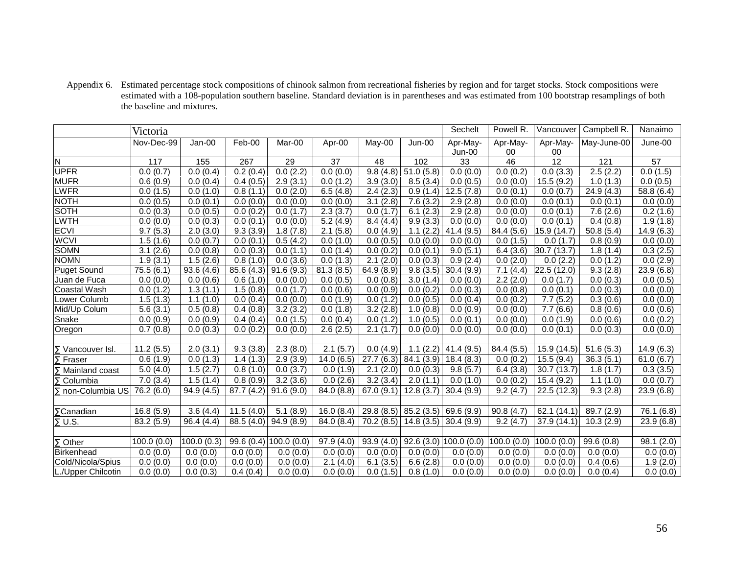Appendix 6. Estimated percentage stock compositions of chinook salmon from recreational fisheries by region and for target stocks. Stock compositions were estimated with a 108-population southern baseline. Standard deviation is in parentheses and was estimated from 100 bootstrap resamplings of both the baseline and mixtures.

|                          | Victoria   |            |            |                            |            |            | Sechelt    | Powell R.           | Vancouver  | Campbell R.     | Nanaimo     |            |
|--------------------------|------------|------------|------------|----------------------------|------------|------------|------------|---------------------|------------|-----------------|-------------|------------|
|                          | Nov-Dec-99 | Jan-00     | Feb-00     | Mar-00                     | Apr-00     | May-00     | Jun-00     | Apr-May-            | Apr-May-   | Apr-May-        | May-June-00 | June-00    |
|                          |            |            |            |                            |            |            |            | Jun-00              | 00         | 00              |             |            |
| N                        | 117        | 155        | 267        | 29                         | 37         | 48         | 102        | 33                  | 46         | $\overline{12}$ | 121         | 57         |
| UPFR                     | 0.0(0.7)   | 0.0(0.4)   | 0.2(0.4)   | 0.0(2.2)                   | 0.0(0.0)   | 9.8(4.8)   | 51.0(5.8)  | 0.0(0.0)            | 0.0(0.2)   | 0.0(3.3)        | 2.5(2.2)    | 0.0(1.5)   |
| <b>MUFR</b>              | 0.6(0.9)   | 0.0(0.4)   | 0.4(0.5)   | 2.9(3.1)                   | 0.0(1.2)   | 3.9(3.0)   | 8.5(3.4)   | 0.0(0.5)            | 0.0(0.0)   | 15.5(9.2)       | 1.0(1.3)    | 0.0(0.5)   |
| <b>LWFR</b>              | 0.0(1.5)   | 0.0(1.0)   | 0.8(1.1)   | 0.0(2.0)                   | 6.5(4.8)   | 2.4(2.3)   | 0.9(1.4)   | 12.5(7.8)           | 0.0(0.1)   | 0.0(0.7)        | 24.9(4.3)   | 58.8 (6.4) |
| <b>NOTH</b>              | 0.0(0.5)   | 0.0(0.1)   | 0.0(0.0)   | 0.0(0.0)                   | 0.0(0.0)   | 3.1(2.8)   | 7.6(3.2)   | 2.9(2.8)            | 0.0(0.0)   | 0.0(0.1)        | 0.0(0.1)    | 0.0(0.0)   |
| SOTH                     | 0.0(0.3)   | 0.0(0.5)   | 0.0(0.2)   | 0.0(1.7)                   | 2.3(3.7)   | 0.0(1.7)   | 6.1(2.3)   | 2.9(2.8)            | 0.0(0.0)   | 0.0(0.1)        | 7.6(2.6)    | 0.2(1.6)   |
| LWTH                     | 0.0(0.0)   | 0.0(0.3)   | 0.0(0.1)   | 0.0(0.0)                   | 5.2(4.9)   | 8.4(4.4)   | 9.9(3.3)   | 0.0(0.0)            | 0.0(0.0)   | 0.0(0.1)        | 0.4(0.8)    | 1.9(1.8)   |
| <b>ECVI</b>              | 9.7(5.3)   | 2.0(3.0)   | 9.3(3.9)   | 1.8(7.8)                   | 2.1(5.8)   | 0.0(4.9)   | 1.1(2.2)   | 41.4(9.5)           | 84.4 (5.6) | 15.9 (14.7)     | 50.8(5.4)   | 14.9(6.3)  |
| <b>WCVI</b>              | 1.5(1.6)   | 0.0(0.7)   | 0.0(0.1)   | 0.5(4.2)                   | 0.0(1.0)   | 0.0(0.5)   | 0.0(0.0)   | 0.0(0.0)            | 0.0(1.5)   | 0.0(1.7)        | 0.8(0.9)    | 0.0(0.0)   |
| <b>SOMN</b>              | 3.1(2.6)   | 0.0(0.8)   | 0.0(0.3)   | 0.0(1.1)                   | 0.0(1.4)   | 0.0(0.2)   | 0.0(0.1)   | 9.0(5.1)            | 6.4(3.6)   | 30.7 (13.7)     | 1.8(1.4)    | 0.3(2.5)   |
| <b>NOMN</b>              | 1.9(3.1)   | 1.5(2.6)   | 0.8(1.0)   | 0.0(3.6)                   | 0.0(1.3)   | 2.1(2.0)   | 0.0(0.3)   | 0.9(2.4)            | 0.0(2.0)   | 0.0(2.2)        | 0.0(1.2)    | 0.0(2.9)   |
| <b>Puget Sound</b>       | 75.5(6.1)  | 93.6(4.6)  | 85.6 (4.3) | 91.6(9.3)                  | 81.3(8.5)  | 64.9(8.9)  | 9.8(3.5)   | 30.4(9.9)           | 7.1(4.4)   | 22.5(12.0)      | 9.3(2.8)    | 23.9(6.8)  |
| Juan de Fuca             | 0.0(0.0)   | 0.0(0.6)   | 0.6(1.0)   | 0.0(0.0)                   | 0.0(0.5)   | 0.0(0.8)   | 3.0(1.4)   | 0.0(0.0)            | 2.2(2.0)   | 0.0(1.7)        | 0.0(0.3)    | 0.0(0.5)   |
| Coastal Wash             | 0.0(1.2)   | 1.3(1.1)   | 1.5(0.8)   | 0.0(1.7)                   | 0.0(0.6)   | 0.0(0.9)   | 0.0(0.2)   | 0.0(0.3)            | 0.0(0.8)   | 0.0(0.1)        | 0.0(0.3)    | 0.0(0.0)   |
| Lower Columb             | 1.5(1.3)   | 1.1(1.0)   | 0.0(0.4)   | 0.0(0.0)                   | 0.0(1.9)   | 0.0(1.2)   | 0.0(0.5)   | 0.0(0.4)            | 0.0(0.2)   | 7.7(5.2)        | 0.3(0.6)    | 0.0(0.0)   |
| Mid/Up Colum             | 5.6(3.1)   | 0.5(0.8)   | 0.4(0.8)   | 3.2(3.2)                   | 0.0(1.8)   | 3.2(2.8)   | 1.0(0.8)   | 0.0(0.9)            | 0.0(0.0)   | 7.7(6.6)        | 0.8(0.6)    | 0.0(0.6)   |
| Snake                    | 0.0(0.9)   | 0.0(0.9)   | 0.4(0.4)   | 0.0(1.5)                   | 0.0(0.4)   | 0.0(1.2)   | 1.0(0.5)   | 0.0(0.1)            | 0.0(0.0)   | 0.0(1.9)        | 0.0(0.6)    | 0.0(0.2)   |
| Oregon                   | 0.7(0.8)   | 0.0(0.3)   | 0.0(0.2)   | 0.0(0.0)                   | 2.6(2.5)   | 2.1(1.7)   | 0.0(0.0)   | 0.0(0.0)            | 0.0(0.0)   | 0.0(0.1)        | 0.0(0.3)    | 0.0(0.0)   |
|                          |            |            |            |                            |            |            |            |                     |            |                 |             |            |
| $\Sigma$ Vancouver Isl.  | 11.2(5.5)  | 2.0(3.1)   | 9.3(3.8)   | 2.3(8.0)                   | 2.1(5.7)   | 0.0(4.9)   | 1.1(2.2)   | 41.4(9.5)           | 84.4 (5.5) | 15.9 (14.5)     | 51.6(5.3)   | 14.9(6.3)  |
| Σ<br>Fraser              | 0.6(1.9)   | 0.0(1.3)   | 1.4(1.3)   | 2.9(3.9)                   | 14.0(6.5)  | 27.7(6.3)  | 84.1 (3.9) | 18.4(8.3)           | 0.0(0.2)   | 15.5(9.4)       | 36.3(5.1)   | 61.0(6.7)  |
| Mainland coast           | 5.0(4.0)   | 1.5(2.7)   | 0.8(1.0)   | 0.0(3.7)                   | 0.0(1.9)   | 2.1(2.0)   | 0.0(0.3)   | 9.8(5.7)            | 6.4(3.8)   | 30.7(13.7)      | 1.8(1.7)    | 0.3(3.5)   |
| $\Sigma$ Columbia        | 7.0(3.4)   | 1.5(1.4)   | 0.8(0.9)   | 3.2(3.6)                   | 0.0(2.6)   | 3.2(3.4)   | 2.0(1.1)   | 0.0(1.0)            | 0.0(0.2)   | 15.4(9.2)       | 1.1(1.0)    | 0.0(0.7)   |
| $\Sigma$ non-Columbia US | 76.2 (6.0) | 94.9(4.5)  | 87.7 (4.2) | 91.6(9.0)                  | 84.0(8.8)  | 67.0(9.1)  | 12.8(3.7)  | 30.4(9.9)           | 9.2(4.7)   | 22.5(12.3)      | 9.3(2.8)    | 23.9(6.8)  |
|                          |            |            |            |                            |            |            |            |                     |            |                 |             |            |
| $\Sigma$ Canadian        | 16.8(5.9)  | 3.6(4.4)   | 11.5(4.0)  | 5.1(8.9)                   | 16.0(8.4)  | 29.8(8.5)  | 85.2(3.5)  | 69.6 (9.9)          | 90.8(4.7)  | 62.1 (14.1)     | 89.7 (2.9)  | 76.1 (6.8) |
| $\Sigma$ U.S.            | 83.2 (5.9) | 96.4(4.4)  | 88.5 (4.0) | 94.9(8.9)                  | 84.0 (8.4) | 70.2 (8.5) | 14.8(3.5)  | 30.4(9.9)           | 9.2(4.7)   | 37.9 (14.1)     | 10.3(2.9)   | 23.9(6.8)  |
|                          |            |            |            |                            |            |            |            |                     |            |                 |             |            |
| $\Sigma$ Other           | 100.0(0.0) | 100.0(0.3) |            | 99.6 $(0.4)$ 100.0 $(0.0)$ | 97.9(4.0)  | 93.9(4.0)  |            | 92.6(3.0)100.0(0.0) | 100.0(0.0) | 100.0(0.0)      | 99.6(0.8)   | 98.1(2.0)  |
| Birkenhead               | 0.0(0.0)   | 0.0(0.0)   | 0.0(0.0)   | 0.0(0.0)                   | 0.0(0.0)   | 0.0(0.0)   | 0.0(0.0)   | 0.0(0.0)            | 0.0(0.0)   | 0.0(0.0)        | 0.0(0.0)    | 0.0(0.0)   |
| Cold/Nicola/Spius        | 0.0(0.0)   | 0.0(0.0)   | 0.0(0.0)   | 0.0(0.0)                   | 2.1(4.0)   | 6.1(3.5)   | 6.6(2.8)   | 0.0(0.0)            | 0.0(0.0)   | 0.0(0.0)        | 0.4(0.6)    | 1.9(2.0)   |
| L./Upper Chilcotin       | 0.0(0.0)   | 0.0(0.3)   | 0.4(0.4)   | 0.0(0.0)                   | 0.0(0.0)   | 0.0(1.5)   | 0.8(1.0)   | 0.0(0.0)            | 0.0(0.0)   | 0.0(0.0)        | 0.0(0.4)    | 0.0(0.0)   |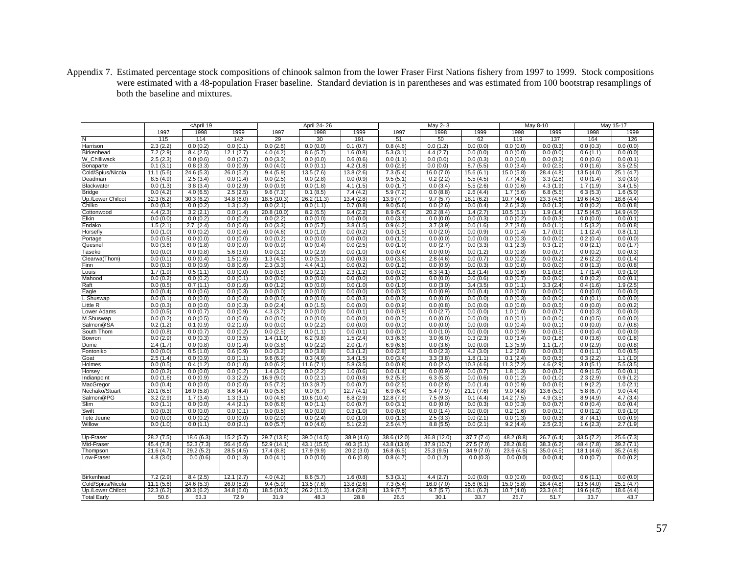Appendix 7. Estimated percentage stock compositions of chinook salmon from the lower Fraser First Nations fishery from 1997 to 1999. Stock compositions were estimated with a 48-population Fraser baseline. Standard deviation is in parentheses and was estimated from 100 bootstrap resamplings of both the baseline and mixtures.

|                        | <april 19<="" th=""><th colspan="3">April 24-26</th><th></th><th>May 2-3</th><th></th><th></th><th>May 8-10</th><th colspan="2">May 15-17</th></april> |                       |                         | April 24-26           |                        |                       |                          | May 2-3                 |                       |                        | May 8-10              | May 15-17             |                          |
|------------------------|--------------------------------------------------------------------------------------------------------------------------------------------------------|-----------------------|-------------------------|-----------------------|------------------------|-----------------------|--------------------------|-------------------------|-----------------------|------------------------|-----------------------|-----------------------|--------------------------|
|                        | 1997                                                                                                                                                   | 1998                  | 1999                    | 1997                  | 1998                   | 1999                  | 1997                     | 1998                    | 1999                  | 1998                   | 1999                  | 1998                  | 1999                     |
| N                      | 115                                                                                                                                                    | 114                   | 142                     | 29                    | 30                     | 191                   | 51                       | 50                      | 62                    | 119                    | 137                   | 164                   | 126                      |
| Harrison               | 2.3(2.2)                                                                                                                                               | 0.0(0.2)              | 0.0(0.1)                | 0.0(2.6)              | 0.0(0.0)               | 0.1(0.7)              | 0.8(4.6)                 | 0.0(1.2)                | 0.0(0.0)              | 0.0(0.0)               | 0.0(0.3)              | 0.0(0.3)              | 0.0(0.0)                 |
| Birkenhead             | 7.2(2.9)                                                                                                                                               | 8.4(2.5)              | 12.1(2.7)               | 4.0(4.2)              | 8.6(5.7)               | 1.6(0.8)              | 5.3(3.1)                 | 4.4(2.7)                | 0.0(0.0)              | 0.0(0.0)               | 0.0(0.0)              | 0.6(1.1)              | 0.0(0.0)                 |
| W Chilliwack           | 2.5(2.3)                                                                                                                                               | 0.0(0.6)              | 0.0(0.7)                | 0.0(3.3)              | 0.0(0.0)               | 0.6(0.6)              | 0.0(1.1)                 | 0.0(0.0)                | 0.0(0.3)              | 0.0(0.0)               | 0.0(0.3)              | 0.0(0.6)              | 0.0(0.1)                 |
| Bonaparte              | 0.1(3.1)                                                                                                                                               | 0.8(3.3)              | 0.0(0.9)                | 0.0(4.0)              | 0.0(0.1)               | 4.2(1.8)              | 0.0(2.9)                 | 0.0(0.0)                | 8.7(5.5)              | 0.0(3.4)               | 0.0(2.5)              | 0.0(1.6)              | 3.5(2.5)                 |
| Cold/Spius/Nicola      | 11.1(5.6)                                                                                                                                              | 24.6(5.3)             | 26.0(5.2)               | 9.4(5.9)              | 13.5(7.6)              | 13.8(2.6)             | 7.3(5.4)                 | 16.0(7.0)               | 15.6(6.1)             | 15.0 (5.8)             | 28.4 (4.8)            | 13.5(4.0)             | 25.1(4.7)                |
| Deadman                | 8.5(4.9)                                                                                                                                               | 2.5(3.4)              | 0.0(1.4)                | 0.0(2.5)              | 0.0(2.8)               | 0.0(0.9)              | 9.5(5.1)                 | 0.2(2.2)                | 5.5(4.5)              | 7.7(4.3)               | 3.3(2.8)              | 0.0(1.4)              | 3.0(3.0)                 |
| Blackwater             | 0.0(1.3)                                                                                                                                               | 3.8(3.4)              | 0.0(2.9)                | 0.0(0.9)              | 0.0(1.8)               | 4.1(1.5)              | 0.0(1.7)                 | 0.0(3.4)                | 5.5(2.6)              | 0.0(0.6)               | 4.3(1.9)              | 1.7(1.9)              | 3.4(1.5)                 |
| <b>Bridge</b>          | 0.0(4.2)                                                                                                                                               | 4.0(6.5)              | 2.5(2.5)                | 9.6(7.3)              | 0.1(8.5)               | 7.4(4.2)              | 5.9(7.2)                 | 0.0(8.8)                | 2.6(4.4)              | 1.7(5.6)               | 6.8(5.5)              | 6.3(5.3)              | 1.6(5.0)                 |
| Up./Lower Chilcot      | 32.3(6.2)                                                                                                                                              | 30.3(6.2)             | 34.8(6.0)               | 18.5 (10.3)           | 26.2 (11.3)            | 13.4(2.8)             | 13.9(7.7)                | 9.7(5.7)                | 18.1(6.2)             | 10.7(4.0)              | 23.3(4.6)             | 19.6 (4.5)            | 18.6 (4.4)               |
| Chilko                 | 0.0(0.3)                                                                                                                                               | 0.0(0.2)              | 1.3(1.2)                | 0.0(2.1)              | 0.0(1.1)               | 0.7(0.8)              | 9.0(5.6)                 | 0.0(2.6)                | 0.0(0.4)              | 2.6(3.3)               | 0.0(1.3)              | 0.0(0.2)              | 0.0(0.8)                 |
| Cottonwood             | 4.4(2.3)                                                                                                                                               | 3.2(2.1)              | 0.0(1.4)                | 20.8 (10.0)           | 8.2(6.5)               | 9.4(2.2)              | 8.9(5.4)                 | 20.2(8.4)               | 1.4(2.7)              | 10.5(5.1)              | 1.9(1.4)              | 17.5(4.5)             | 14.9 (4.0)               |
| Elkin                  | 0.0(0.0)                                                                                                                                               | 0.0(0.2)              | 0.0(0.2)                | 0.0(2.2)              | 0.0(0.0)               | 0.0(0.0)              | 0.0(3.1)                 | 0.0(0.0)                | 0.0(0.3)              | 0.0(0.2)               | 0.0(0.3)              | 0.0(0.0)              | $0.\overline{0}$ $(0.1)$ |
| Endako                 | 1.5(2.1)                                                                                                                                               | 2.7(2.4)              | 0.0(0.0)                | 0.0(3.3)              | 0.0(5.7)               | 3.8(1.5)              | 0.9(4.2)                 | 3.7(3.9)                | 0.0(1.6)              | 2.7(3.0)               | 0.0(1.1)              | 1.5(3.2)              | 0.0(0.8)                 |
| Horsefly               | 0.0(1.0)                                                                                                                                               | 0.0(0.2)              | 0.0(0.6)                | 0.0(4.6)              | 0.0(1.0)               | 0.0(0.2)              | 0.0(1.5)                 | 0.0(2.0)                | 0.0(0.9)              | 0.0(1.4)               | 1.7(0.9)              | 1.1(2.4)              | 0.8(1.1)                 |
| Portage                | 0.0(0.5)                                                                                                                                               | 0.0(0.0)              | 0.0(0.0)                | 0.0(0.2)              | 0.0(0.0)               | 0.0(0.0)              | 0.0(1.0)                 | 0.0(0.0)                | 0.0(0.0)              | 0.0(0.3)               | 0.0(0.0)              | 0.2(0.4)              | 0.0(0.0)                 |
| Quesnel                | 0.0(3.6)                                                                                                                                               | 0.0(1.8)              | 0.0(0.0)                | 0.0(0.9)              | 0.0(0.4)               | 0.0(2.5)              | 0.0(1.0)                 | 0.0(2.7)                | 0.0(3.3)              | 0.1(2.3)               | 0.3(1.9)              | 0.0(2.1)              | 0.0(1.7)                 |
| Taseko                 | 0.0(0.0)                                                                                                                                               | 0.0(0.8)              | 5.6(3.0)                | 0.0(3.1)              | 0.0(2.9)               | 0.0(1.0)              | 0.0(0.4)                 | 0.0(0.0)                | 0.0(1.2)              | 0.0(0.8)               | 0.0(0.7)              | 0.0(0.2)              | 0.0(0.3)                 |
| Clearwa(Thom)          | $\overline{0.0}$ (0.1)                                                                                                                                 | 0.0(0.4)              | 1.5(1.6)                | 1.3(4.5)              | 0.0(5.1)               | 0.0(0.3)              | 0.0(3.6)                 | 2.8(4.6)                | 0.0(0.7)              | 0.0(0.2)               | 0.0(0.2)              | 2.6(2.2)              | 0.0(1.4)                 |
| Finn                   | 0.0(0.3)                                                                                                                                               | 0.0(0.9)              | 0.8(0.6)                | 2.3(3.3)              | 4.4(4.1)               | 0.0(0.2)              | 0.0(1.2)                 | 0.0(0.9)                | 0.0(0.3)              | 0.0(0.0)               | 0.0(0.0)              | 0.0(1.3)              | 0.0(0.8)                 |
| Louis<br>Mahood        | 1.7(1.9)<br>0.0(0.2)                                                                                                                                   | 0.5(1.1)              | 0.0(0.0)                | 0.0(0.5)              | 0.0(2.1)               | 2.3(1.2)              | 0.0(0.2)                 | 6.3(4.1)                | 1.8(1.4)              | 0.0(0.6)               | 0.1(0.8)              | 1.7(1.4)              | 0.9(1.0)                 |
| Raft                   | 0.0(0.5)                                                                                                                                               | 0.0(0.2)<br>0.7(1.1)  | 0.0(0.1)<br>0.0(1.6)    | 0.0(0.0)<br>0.0(1.2)  | 0.0(0.0)               | 0.0(0.0)<br>0.0(1.0)  | 0.0(0.0)<br>0.0(1.0)     | 0.0(0.0)                | 0.0(0.6)<br>3.4(3.5)  | 0.0(0.7)               | 0.0(0.0)<br>3.3(2.4)  | 0.0(0.2)<br>0.4(1.6)  | 0.0(0.1)<br>1.9(2.5)     |
| Eagle                  | 0.0(0.4)                                                                                                                                               | 0.0(0.6)              | 0.0(0.3)                | 0.0(0.0)              | 0.0(0.0)<br>0.0(0.0)   | 0.0(0.0)              | 0.0(0.3)                 | 0.0(3.0)<br>0.0(0.9)    | 0.0(0.4)              | 0.0(1.1)<br>0.0(0.0)   | 0.0(0.0)              | 0.0(0.0)              | 0.0(0.0)                 |
| L Shuswap              | 0.0(0.1)                                                                                                                                               | 0.0(0.0)              | 0.0(0.0)                | 0.0(0.0)              | 0.0(0.0)               | 0.0(0.3)              | 0.0(0.0)                 | 0.0(0.0)                | 0.0(0.0)              | 0.0(0.3)               | 0.0(0.0)              | 0.0(0.1)              | 0.0(0.0)                 |
| Little R               | 0.0(0.3)                                                                                                                                               | 0.0(0.0)              | 0.0(0.3)                | 0.0(2.4)              | 0.0(1.5)               | 0.0(0.0)              | 0.0(0.9)                 | 0.0(0.8)                | 0.0(0.0)              | 0.0(0.0)               | 0.0(0.5)              | 0.0(0.0)              | 0.0(0.2)                 |
| Lower Adams            | 0.0(0.5)                                                                                                                                               | 0.0(0.7)              | 0.0(0.9)                | 4.3(3.7)              | 0.0(0.0)               | 0.0(0.1)              | 0.0(0.8)                 | 0.0(2.7)                | 0.0(0.0)              | 1.0(1.0)               | 0.0(0.7)              | 0.0(0.3)              | 0.0(0.0)                 |
| M Shuswap              | 0.0(0.2)                                                                                                                                               | 0.0(0.5)              | 0.0(0.0)                | 0.0(0.0)              | 0.0(0.0)               | 0.0(0.0)              | 0.0(0.0)                 | 0.0(0.0)                | 0.0(0.0)              | 0.0(0.1)               | 0.0(0.0)              | 0.0(0.5)              | 0.0(0.0)                 |
| Salmon@SA              | $\sqrt{0.2}$ (1.2)                                                                                                                                     | 0.1(0.9)              | 0.2(1.0)                | 0.0(0.0)              | 0.0(2.2)               | 0.0(0.0)              | 0.0(0.0)                 | 0.0(0.0)                | 0.0(0.0)              | 0.0(0.4)               | 0.0(0.1)              | 0.0(0.0)              | 0.7(0.8)                 |
| South Thom             | 0.0(0.8)                                                                                                                                               | 0.0(0.7)              | 0.0(0.2)                | 0.0(2.5)              | 0.0(1.1)               | 0.0(0.1)              | 0.0(0.0)                 | 0.0(1.0)                | 0.0(0.0)              | 0.0(0.9)               | 0.0(0.5)              | 0.0(0.4)              | 0.0(0.0)                 |
| Bowron                 | 0.0(2.9)                                                                                                                                               | 0.0(0.3)              | 0.0(3.5)                | 1.4(11.0)             | 6.2(9.8)               | 1.5(2.4)              | 0.3(6.6)                 | 3.0(6.0)                | 0.3(2.3)              | 0.0(3.4)               | 0.0(1.8)              | 0.0(3.6)              | 0.0(1.8)                 |
| Dome                   | 2.4(1.7)                                                                                                                                               | 0.0(0.8)              | 0.0(1.4)                | 0.0(3.8)              | 0.0(2.2)               | 2.0(1.7)              | 6.9(6.6)                 | 0.0(3.6)                | 0.0(0.0)              | 1.3(5.9)               | 1.1(1.7)              | 0.0(2.9)              | 0.0(0.8)                 |
| Fontoniko              | 0.0(0.0)                                                                                                                                               | 0.5(1.0)              | 0.6(0.9)                | 0.0(3.2)              | 0.0(3.8)               | 0.3(1.2)              | 0.0(2.8)                 | 0.0(2.3)                | 4.2(3.0)              | 1.2(2.0)               | 0.0(0.3)              | 0.0(1.1)              | 0.0(0.5)                 |
| Goat                   | 2.5(1.4)                                                                                                                                               | 0.0(0.9)              | 0.0(1.1)                | 9.6(6.9)              | $\overline{0.3}$ (4.9) | 3.4(1.5)              | 0.0(3.4)                 | 3.3(3.8)                | 1.8(1.1)              | 0.1(2.4)               | 0.0(0.5)              | 0.3(2.2)              | 1.1(1.0)                 |
| Holmes                 | 0.0(0.5)                                                                                                                                               | 0.4(1.2)              | 0.0(1.0)                | 0.0(6.2)              | 11.6(7.1)              | 5.8(3.5)              | 0.0(0.8)                 | 0.0(2.4)                | 10.3(4.6)             | 11.3(7.2)              | 4.6(2.9)              | 3.0(5.1)              | 5.5(3.5)                 |
| Horsey                 | 0.0(0.2)                                                                                                                                               | 0.0(0.0)              | 0.0(0.2)                | 1.4(3.0)              | 0.0(2.2)               | 1.0(0.6)              | $\overline{0.0}$ (1.4)   | 0.0(0.9)                | 0.0(0.7)              | 1.8(1.3)               | 0.0(0.2)              | 0.9(1.5)              | 0.0(0.1)                 |
| Indianpoint            | 0.0(1.6)                                                                                                                                               | 0.0(0.9)              | 0.3(2.2)                | 16.9(9.0)             | 0.0(2.1)               | 0.0(0.8)              | 9.2(5.9)                 | 6.3(5.3)                | 0.0(0.6)              | 0.0(1.2)               | 0.0(1.0)              | 2.3(2.9)              | 0.9(1.2)                 |
| MacGregor              | 0.0(0.4)                                                                                                                                               | 0.0(0.0)              | 0.0(0.0)                | 0.5(7.2)              | 10.3(8.7)              | 0.0(0.7)              | 0.0(2.5)                 | 0.0(2.8)                | 0.0(1.4)              | 0.0(0.9)               | 0.0(0.6)              | 1.9(2.2)              | 1.0(2.1)                 |
| Nechako/Stuart         | 20.1(6.5)                                                                                                                                              | 16.0(5.8)             | 8.6(4.4)                | 0.0(5.6)              | 0.0(6.7)               | 12.7(4.1)             | 6.9(6.4)                 | 5.4(7.9)                | 21.1(7.6)             | 9.0(4.8)               | 13.6(5.0)             | 5.8(6.7)              | 9.0(4.4)                 |
| Salmon@PG              | 3.2(2.9)                                                                                                                                               | 1.7(3.4)              | 1.3(3.1)                | 0.0(4.6)              | 10.6(10.4)             | 6.8(2.9)              | 12.8(7.9)                | 7.5(9.3)                | 0.1(4.4)              | 14.2 (7.5)             | 4.9(3.5)              | 8.9(4.9)              | 4.7(3.4)                 |
| Slim                   | 0.0(1.1)                                                                                                                                               | 0.0(0.0)              | 4.4(2.1)                | 0.0(6.6)              | 0.0(1.1)               | 0.0(0.7)              | 0.0(3.1)                 | 0.0(0.0)                | 0.0(0.3)              | 0.0(0.3)               | 0.0(0.7)              | 0.0(0.4)              | 0.0(0.4)                 |
| Swift                  | 0.0(0.3)                                                                                                                                               | 0.0(0.0)              | 0.0(0.1)                | 0.0(0.5)              | 0.0(0.0)               | 0.3(1.0)              | 0.0(0.8)                 | 0.0(1.4)                | 0.0(0.0)              | 0.2(1.6)               | 0.0(0.1)              | 0.0(1.2)              | 0.9(1.0)                 |
| Tete Jeune             | 0.0(0.0)                                                                                                                                               | 0.0(0.2)              | 0.0(0.0)                | 0.0(2.0)              | 0.0(2.4)               | 0.0(1.0)              | 0.0(1.3)                 | 2.5(3.3)                | 0.0(2.1)              | 0.0(1.3)               | 0.0(0.3)              | 8.7(4.1)              | 0.0(0.9)                 |
| Willow                 | 0.0(1.0)                                                                                                                                               | 0.0(1.1)              | 0.0(2.1)                | 0.0(5.7)              | 0.0(4.6)               | 5.1(2.2)              | 2.5(4.7)                 | 8.8(5.5)                | 0.0(2.1)              | 9.2(4.4)               | 2.5(2.3)              | 1.6(2.3)              | 2.7(1.9)                 |
|                        |                                                                                                                                                        |                       |                         |                       |                        |                       |                          |                         |                       |                        |                       |                       |                          |
| Up-Fraser              | 28.2(7.5)                                                                                                                                              | 18.6(6.3)             | 15.2(5.7)               | 29.7 (13.8)           | 39.0 (14.5)            | 38.9(4.6)             | 38.6 (12.0)              | 36.8 (12.0)             | 37.7(7.4)             | 48.2 (8.8)             | 26.7(6.4)             | 33.5(7.2)             | 25.6(7.3)                |
| Mid-Fraser             | 45.4 (7.8)<br>21.6(4.7)                                                                                                                                | 52.3(7.3)             | 56.4 (6.6)<br>28.5(4.5) | 52.9 (14.1)           | 43.1 (15.5)            | 40.3(5.1)             | $\overline{43.8}$ (13.0) | 37.9 (10.7)             | 27.5(7.0)             | 28.2(8.6)<br>23.6(4.5) | 38.3(6.2)             | 48.4 (7.8)            | 39.2 (7.1)               |
| Thompson<br>Low-Fraser | 4.8(3.0)                                                                                                                                               | 29.2(5.2)<br>0.0(0.6) | 0.0(1.3)                | 17.4(8.8)<br>0.0(4.1) | 17.9 (9.9)<br>0.0(0.0) | 20.2(3.0)<br>0.6(0.8) | 16.8(6.5)<br>0.8(4.7)    | 25.3(9.5)<br>0.0(1.2)   | 34.9(7.0)<br>0.0(0.3) | 0.0(0.0)               | 35.0(4.5)<br>0.0(0.4) | 18.1(4.6)<br>0.0(0.7) | 35.2(4.8)<br>0.0(0.2)    |
|                        |                                                                                                                                                        |                       |                         |                       |                        |                       |                          |                         |                       |                        |                       |                       |                          |
|                        |                                                                                                                                                        |                       |                         |                       |                        |                       |                          |                         |                       |                        |                       |                       |                          |
| Birkenhead             | 7.2(2.9)                                                                                                                                               | 8.4(2.5)              | 12.1(2.7)               | 4.0(4.2)              | 8.6(5.7)               | 1.6(0.8)              | 5.3(3.1)                 | 4.4(2.7)                | 0.0(0.0)              | 0.0(0.0)               | 0.0(0.0)              | 0.6(1.1)              | 0.0(0.0)                 |
| Cold/Spius/Nicola      | 11.1(5.6)                                                                                                                                              | 24.6(5.3)             | 26.0(5.2)               | 9.4(5.9)              | 13.5(7.6)              | 13.8(2.6)             | 7.3(5.4)                 | $\overline{16.0}$ (7.0) | 15.6(6.1)             | 15.0 (5.8)             | 28.4(4.8)             | 13.5(4.0)             | 25.1(4.7)                |
| Up./Lower Chilcot      | 32.3(6.2)                                                                                                                                              | 30.3(6.2)             | 34.8(6.0)               | 18.5 (10.3)           | 26.2 (11.3)            | 13.4(2.8)             | 13.9(7.7)                | 9.7(5.7)                | 18.1(6.2)             | 10.7(4.0)              | 23.3(4.6)             | 19.6(4.5)             | 18.6 (4.4)               |
| <b>Total Early</b>     | 50.6                                                                                                                                                   | 63.3                  | 72.9                    | 31.9                  | 48.3                   | 28.8                  | 26.5                     | 30.1                    | 33.7                  | 25.7                   | 51.7                  | 33.7                  | 43.7                     |